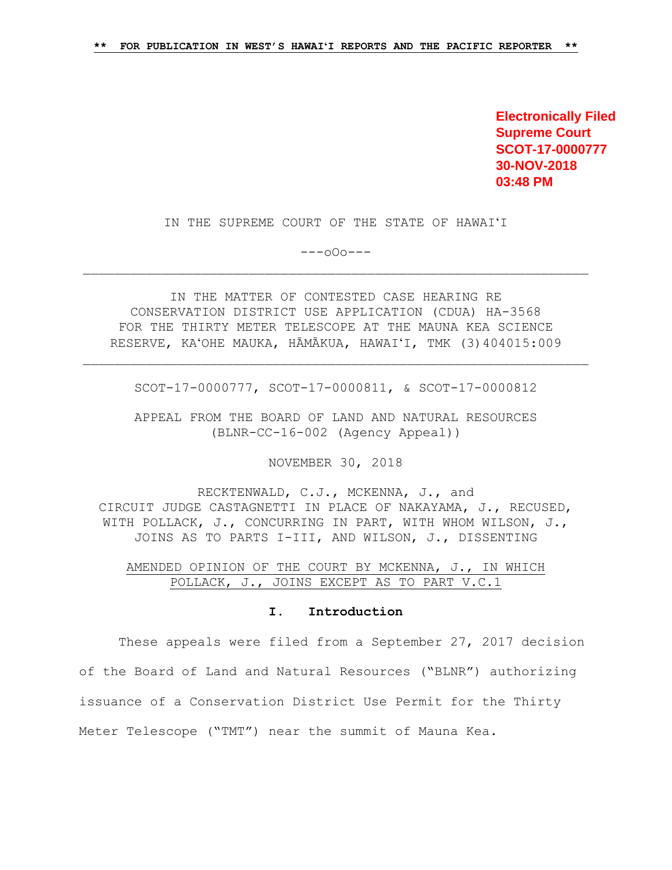**Electronically Filed Supreme Court SCOT-17-0000777 30-NOV-2018 03:48 PM**

IN THE SUPREME COURT OF THE STATE OF HAWAIʻI

---oOo---

IN THE MATTER OF CONTESTED CASE HEARING RE CONSERVATION DISTRICT USE APPLICATION (CDUA) HA-3568 FOR THE THIRTY METER TELESCOPE AT THE MAUNA KEA SCIENCE RESERVE, KAʻOHE MAUKA, HĀMĀKUA, HAWAIʻI, TMK (3)404015:009

SCOT-17-0000777, SCOT-17-0000811, & SCOT-17-0000812

APPEAL FROM THE BOARD OF LAND AND NATURAL RESOURCES (BLNR-CC-16-002 (Agency Appeal))

NOVEMBER 30, 2018

RECKTENWALD, C.J., MCKENNA, J., and CIRCUIT JUDGE CASTAGNETTI IN PLACE OF NAKAYAMA, J., RECUSED, WITH POLLACK, J., CONCURRING IN PART, WITH WHOM WILSON, J., JOINS AS TO PARTS I-III, AND WILSON, J., DISSENTING

AMENDED OPINION OF THE COURT BY MCKENNA, J., IN WHICH POLLACK, J., JOINS EXCEPT AS TO PART V.C.1

#### **I. Introduction**

These appeals were filed from a September 27, 2017 decision of the Board of Land and Natural Resources ("BLNR") authorizing issuance of a Conservation District Use Permit for the Thirty Meter Telescope ("TMT") near the summit of Mauna Kea.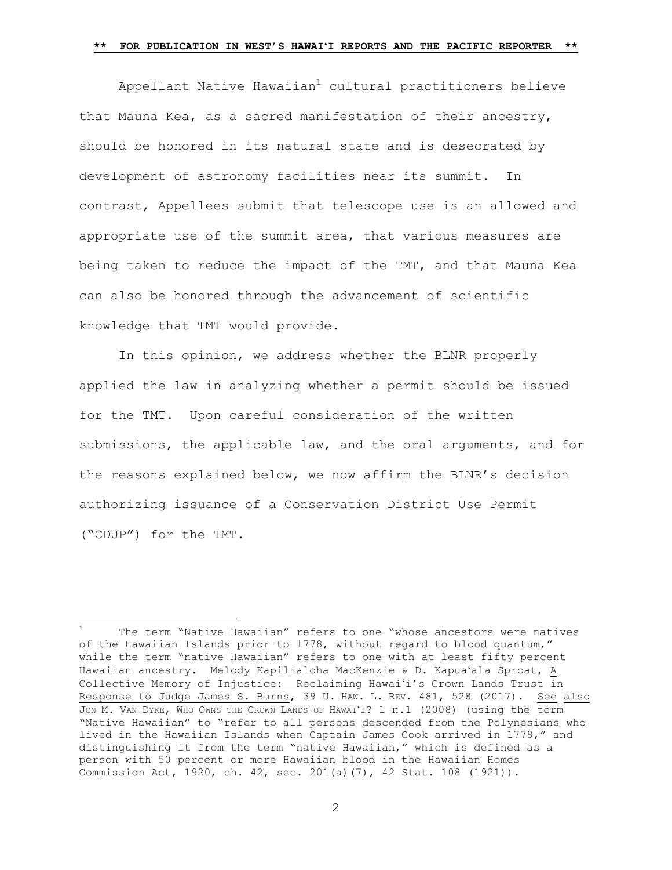Appellant Native Hawaiian<sup>1</sup> cultural practitioners believe that Mauna Kea, as a sacred manifestation of their ancestry, should be honored in its natural state and is desecrated by development of astronomy facilities near its summit. In contrast, Appellees submit that telescope use is an allowed and appropriate use of the summit area, that various measures are being taken to reduce the impact of the TMT, and that Mauna Kea can also be honored through the advancement of scientific knowledge that TMT would provide.

In this opinion, we address whether the BLNR properly applied the law in analyzing whether a permit should be issued for the TMT. Upon careful consideration of the written submissions, the applicable law, and the oral arguments, and for the reasons explained below, we now affirm the BLNR's decision authorizing issuance of a Conservation District Use Permit ("CDUP") for the TMT.

÷.

The term "Native Hawaiian" refers to one "whose ancestors were natives of the Hawaiian Islands prior to 1778, without regard to blood quantum," while the term "native Hawaiian" refers to one with at least fifty percent Hawaiian ancestry. Melody Kapilialoha MacKenzie & D. Kapuaʻala Sproat, A Collective Memory of Injustice: Reclaiming Hawaiʻi's Crown Lands Trust in Response to Judge James S. Burns, 39 U. HAW. L. REV. 481, 528 (2017). See also JON M. VAN DYKE, WHO OWNS THE CROWN LANDS OF HAWAIʻI? 1 n.1 (2008) (using the term "Native Hawaiian" to "refer to all persons descended from the Polynesians who lived in the Hawaiian Islands when Captain James Cook arrived in 1778," and distinguishing it from the term "native Hawaiian," which is defined as a person with 50 percent or more Hawaiian blood in the Hawaiian Homes Commission Act, 1920, ch. 42, sec. 201(a)(7), 42 Stat. 108 (1921)).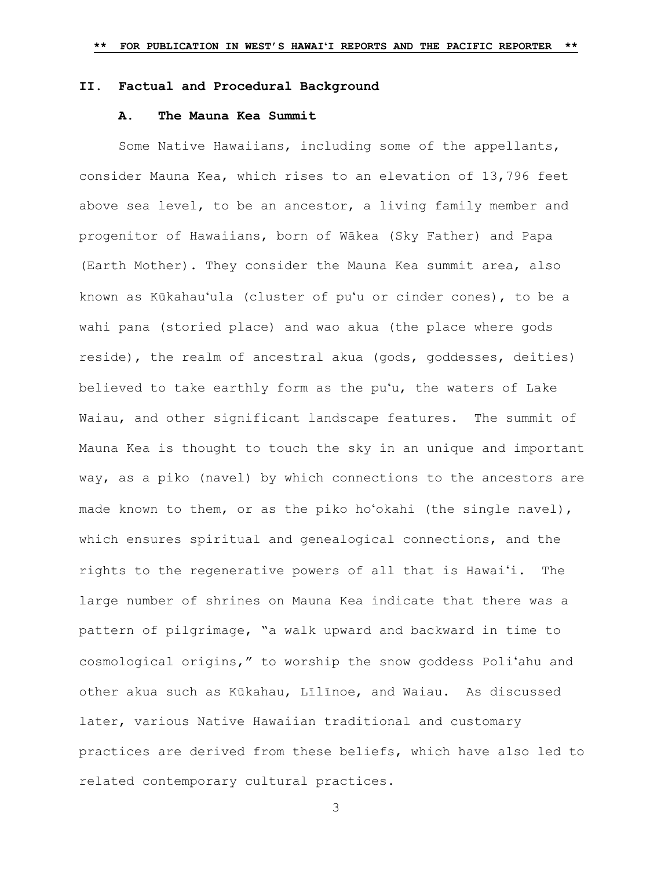### **II. Factual and Procedural Background**

### **A. The Mauna Kea Summit**

Some Native Hawaiians, including some of the appellants, consider Mauna Kea, which rises to an elevation of 13,796 feet above sea level, to be an ancestor, a living family member and progenitor of Hawaiians, born of Wākea (Sky Father) and Papa (Earth Mother). They consider the Mauna Kea summit area, also known as Kūkahauʻula (cluster of puʻu or cinder cones), to be a wahi pana (storied place) and wao akua (the place where gods reside), the realm of ancestral akua (gods, goddesses, deities) believed to take earthly form as the puʻu, the waters of Lake Waiau, and other significant landscape features. The summit of Mauna Kea is thought to touch the sky in an unique and important way, as a piko (navel) by which connections to the ancestors are made known to them, or as the piko hoʻokahi (the single navel), which ensures spiritual and genealogical connections, and the rights to the regenerative powers of all that is Hawaiʻi. The large number of shrines on Mauna Kea indicate that there was a pattern of pilgrimage, "a walk upward and backward in time to cosmological origins," to worship the snow goddess Poliʻahu and other akua such as Kūkahau, Līlīnoe, and Waiau. As discussed later, various Native Hawaiian traditional and customary practices are derived from these beliefs, which have also led to related contemporary cultural practices.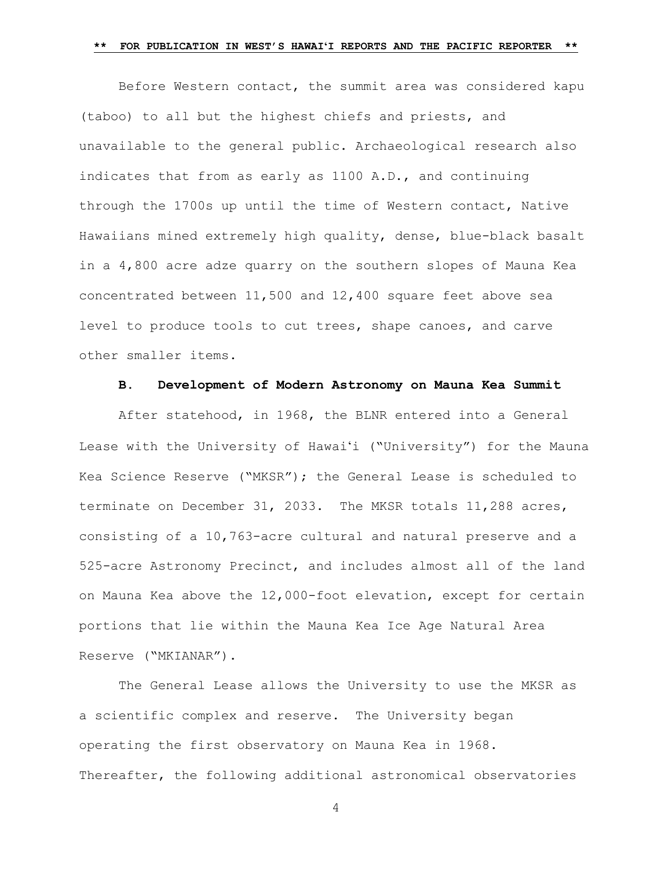Before Western contact, the summit area was considered kapu (taboo) to all but the highest chiefs and priests, and unavailable to the general public. Archaeological research also indicates that from as early as 1100 A.D., and continuing through the 1700s up until the time of Western contact, Native Hawaiians mined extremely high quality, dense, blue-black basalt in a 4,800 acre adze quarry on the southern slopes of Mauna Kea concentrated between 11,500 and 12,400 square feet above sea level to produce tools to cut trees, shape canoes, and carve other smaller items.

### **B. Development of Modern Astronomy on Mauna Kea Summit**

After statehood, in 1968, the BLNR entered into a General Lease with the University of Hawaiʻi ("University") for the Mauna Kea Science Reserve ("MKSR"); the General Lease is scheduled to terminate on December 31, 2033. The MKSR totals 11,288 acres, consisting of a 10,763-acre cultural and natural preserve and a 525-acre Astronomy Precinct, and includes almost all of the land on Mauna Kea above the 12,000-foot elevation, except for certain portions that lie within the Mauna Kea Ice Age Natural Area Reserve ("MKIANAR").

The General Lease allows the University to use the MKSR as a scientific complex and reserve. The University began operating the first observatory on Mauna Kea in 1968. Thereafter, the following additional astronomical observatories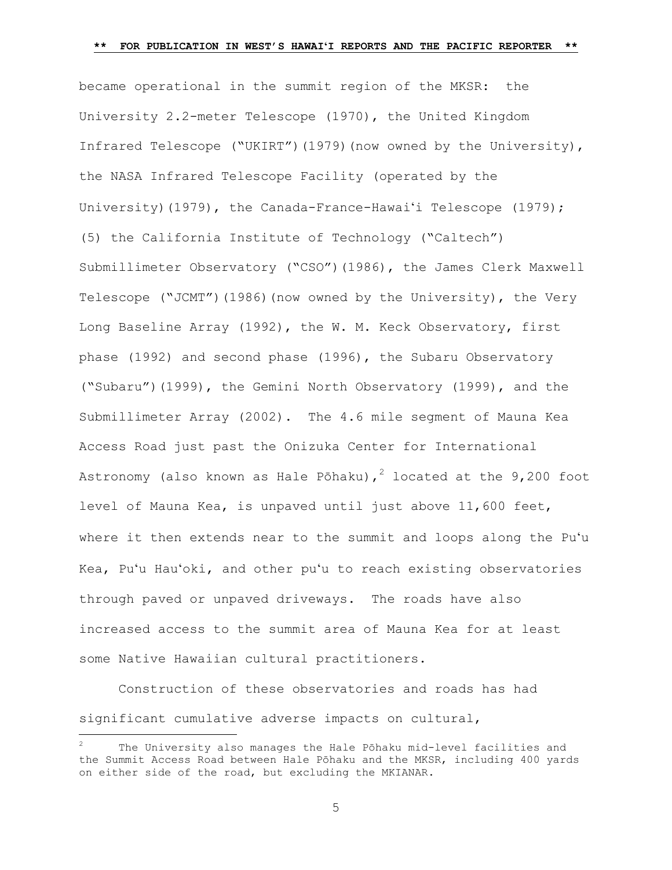became operational in the summit region of the MKSR: the University 2.2-meter Telescope (1970), the United Kingdom Infrared Telescope ("UKIRT")(1979)(now owned by the University), the NASA Infrared Telescope Facility (operated by the University)(1979), the Canada-France-Hawai'i Telescope (1979); (5) the California Institute of Technology ("Caltech") Submillimeter Observatory ("CSO")(1986), the James Clerk Maxwell Telescope ("JCMT")(1986)(now owned by the University), the Very Long Baseline Array (1992), the W. M. Keck Observatory, first phase (1992) and second phase (1996), the Subaru Observatory ("Subaru")(1999), the Gemini North Observatory (1999), and the Submillimeter Array (2002). The 4.6 mile segment of Mauna Kea Access Road just past the Onizuka Center for International Astronomy (also known as Hale Pōhaku),<sup>2</sup> located at the 9,200 foot level of Mauna Kea, is unpaved until just above 11,600 feet, where it then extends near to the summit and loops along the Puʻu Kea, Puʻu Hauʻoki, and other puʻu to reach existing observatories through paved or unpaved driveways. The roads have also increased access to the summit area of Mauna Kea for at least some Native Hawaiian cultural practitioners.

Construction of these observatories and roads has had significant cumulative adverse impacts on cultural,

÷.

The University also manages the Hale Pōhaku mid-level facilities and the Summit Access Road between Hale Pōhaku and the MKSR, including 400 yards on either side of the road, but excluding the MKIANAR.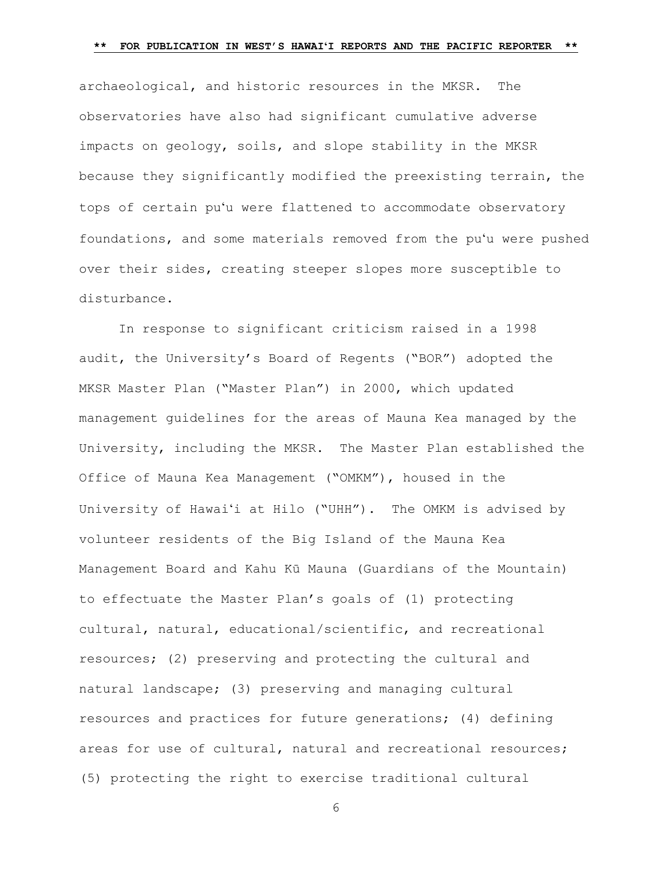archaeological, and historic resources in the MKSR. The observatories have also had significant cumulative adverse impacts on geology, soils, and slope stability in the MKSR because they significantly modified the preexisting terrain, the tops of certain puʻu were flattened to accommodate observatory foundations, and some materials removed from the puʻu were pushed over their sides, creating steeper slopes more susceptible to disturbance.

In response to significant criticism raised in a 1998 audit, the University's Board of Regents ("BOR") adopted the MKSR Master Plan ("Master Plan") in 2000, which updated management guidelines for the areas of Mauna Kea managed by the University, including the MKSR. The Master Plan established the Office of Mauna Kea Management ("OMKM"), housed in the University of Hawaiʻi at Hilo ("UHH"). The OMKM is advised by volunteer residents of the Big Island of the Mauna Kea Management Board and Kahu Kū Mauna (Guardians of the Mountain) to effectuate the Master Plan's goals of (1) protecting cultural, natural, educational/scientific, and recreational resources; (2) preserving and protecting the cultural and natural landscape; (3) preserving and managing cultural resources and practices for future generations; (4) defining areas for use of cultural, natural and recreational resources; (5) protecting the right to exercise traditional cultural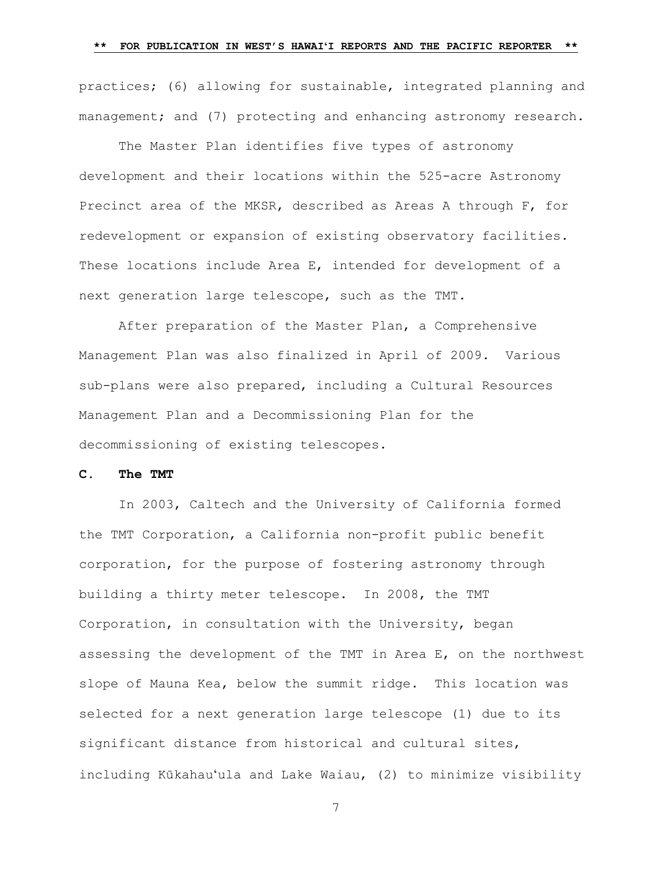practices; (6) allowing for sustainable, integrated planning and management; and (7) protecting and enhancing astronomy research.

The Master Plan identifies five types of astronomy development and their locations within the 525-acre Astronomy Precinct area of the MKSR, described as Areas A through F, for redevelopment or expansion of existing observatory facilities. These locations include Area E, intended for development of a next generation large telescope, such as the TMT.

After preparation of the Master Plan, a Comprehensive Management Plan was also finalized in April of 2009. Various sub-plans were also prepared, including a Cultural Resources Management Plan and a Decommissioning Plan for the decommissioning of existing telescopes.

## **C. The TMT**

In 2003, Caltech and the University of California formed the TMT Corporation, a California non-profit public benefit corporation, for the purpose of fostering astronomy through building a thirty meter telescope. In 2008, the TMT Corporation, in consultation with the University, began assessing the development of the TMT in Area E, on the northwest slope of Mauna Kea, below the summit ridge. This location was selected for a next generation large telescope (1) due to its significant distance from historical and cultural sites, including Kūkahauʻula and Lake Waiau, (2) to minimize visibility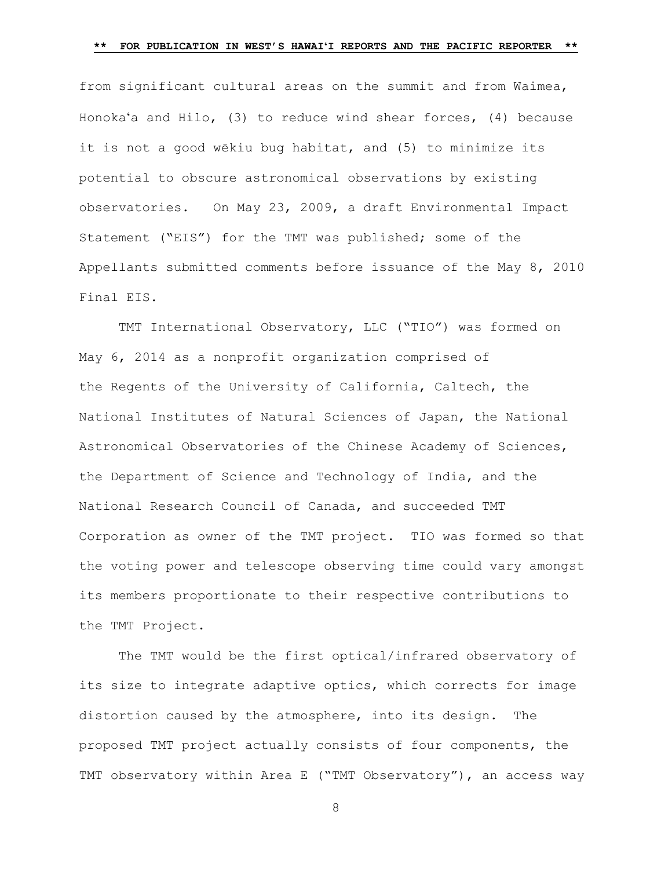from significant cultural areas on the summit and from Waimea, Honokaʻa and Hilo, (3) to reduce wind shear forces, (4) because it is not a good wēkiu bug habitat, and (5) to minimize its potential to obscure astronomical observations by existing observatories. On May 23, 2009, a draft Environmental Impact Statement ("EIS") for the TMT was published; some of the Appellants submitted comments before issuance of the May 8, 2010 Final EIS.

TMT International Observatory, LLC ("TIO") was formed on May 6, 2014 as a nonprofit organization comprised of the Regents of the University of California, Caltech, the National Institutes of Natural Sciences of Japan, the National Astronomical Observatories of the Chinese Academy of Sciences, the Department of Science and Technology of India, and the National Research Council of Canada, and succeeded TMT Corporation as owner of the TMT project. TIO was formed so that the voting power and telescope observing time could vary amongst its members proportionate to their respective contributions to the TMT Project.

The TMT would be the first optical/infrared observatory of its size to integrate adaptive optics, which corrects for image distortion caused by the atmosphere, into its design. The proposed TMT project actually consists of four components, the TMT observatory within Area E ("TMT Observatory"), an access way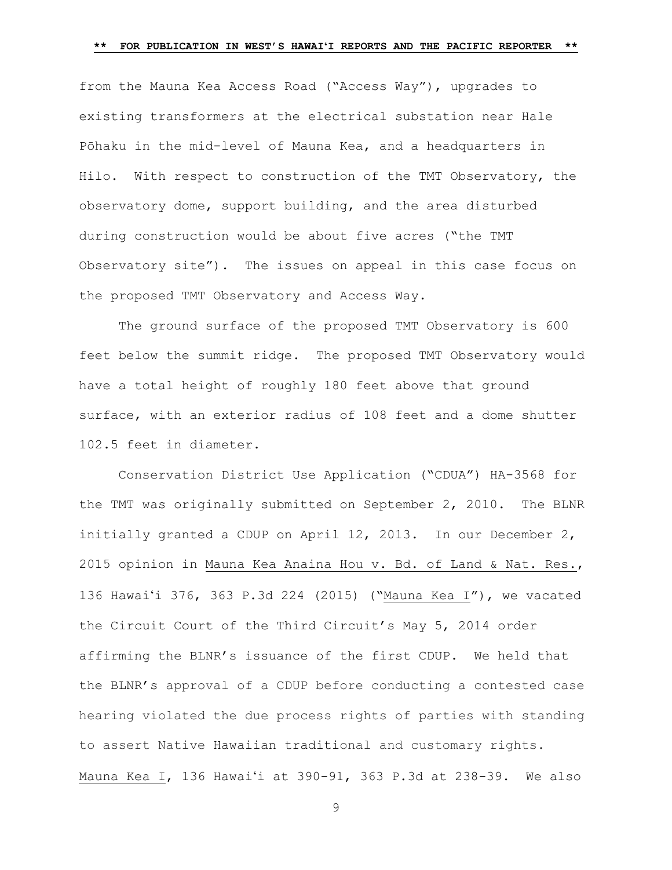from the Mauna Kea Access Road ("Access Way"), upgrades to existing transformers at the electrical substation near Hale Pōhaku in the mid-level of Mauna Kea, and a headquarters in Hilo. With respect to construction of the TMT Observatory, the observatory dome, support building, and the area disturbed during construction would be about five acres ("the TMT Observatory site"). The issues on appeal in this case focus on the proposed TMT Observatory and Access Way.

The ground surface of the proposed TMT Observatory is 600 feet below the summit ridge. The proposed TMT Observatory would have a total height of roughly 180 feet above that ground surface, with an exterior radius of 108 feet and a dome shutter 102.5 feet in diameter.

Conservation District Use Application ("CDUA") HA-3568 for the TMT was originally submitted on September 2, 2010. The BLNR initially granted a CDUP on April 12, 2013. In our December 2, 2015 opinion in [Mauna Kea Anaina Hou v. Bd. of Land & Nat. Res.,](https://1.next.westlaw.com/Link/Document/FullText?findType=Y&serNum=2037728538&pubNum=0004645&originatingDoc=Ib7310ae08c6c11e68bf9cabfb8a03530&refType=RP&originationContext=document&transitionType=DocumentItem&contextData=(sc.Search))  136 Hawaiʻ[i 376, 363 P.3d 224 \(2015\)](https://1.next.westlaw.com/Link/Document/FullText?findType=Y&serNum=2037728538&pubNum=0004645&originatingDoc=Ib7310ae08c6c11e68bf9cabfb8a03530&refType=RP&originationContext=document&transitionType=DocumentItem&contextData=(sc.Search)) ("Mauna Kea I"), we vacated the Circuit Court of the Third Circuit's May 5, 2014 order affirming the BLNR's issuance of the first CDUP. We held that the BLNR's approval of a CDUP before conducting a contested case hearing violated the due process rights of parties with standing to assert Native Hawaiian traditional and customary rights. Mauna Kea I, 136 Hawaiʻ[i at 390-91, 363 P.3d a](https://1.next.westlaw.com/Link/Document/FullText?findType=Y&serNum=2037728538&pubNum=0004645&originatingDoc=Ib7310ae08c6c11e68bf9cabfb8a03530&refType=RP&originationContext=document&transitionType=DocumentItem&contextData=(sc.Search))t 238-39. We also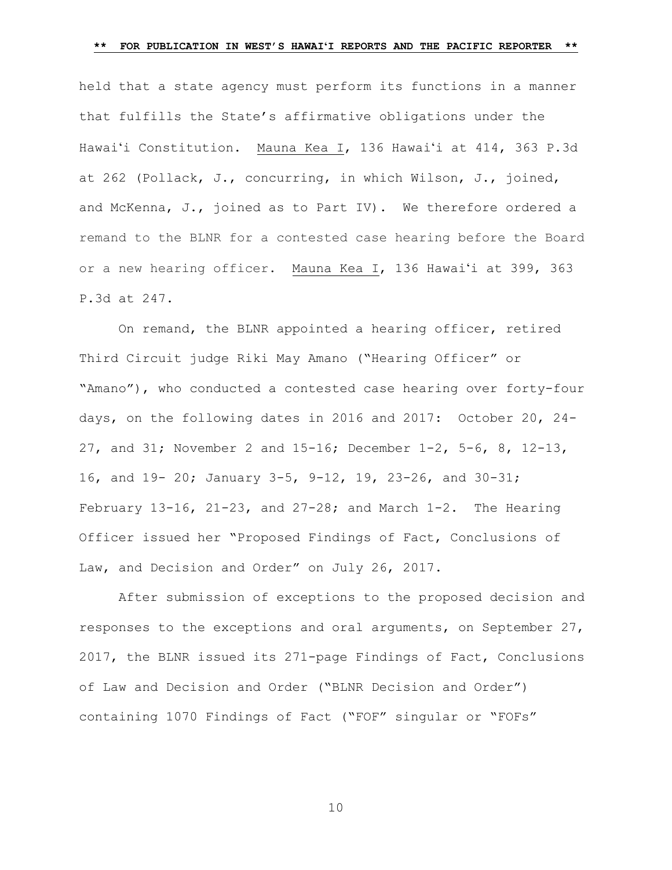held that a state agency must perform its functions in a manner that fulfills the [State's affirmative obligations under the](https://1.next.westlaw.com/Link/Document/FullText?findType=Y&serNum=2037728538&pubNum=0004645&originatingDoc=Ib7310ae08c6c11e68bf9cabfb8a03530&refType=RP&fi=co_pp_sp_4645_262&originationContext=document&transitionType=DocumentItem&contextData=(sc.Search)#co_pp_sp_4645_262)  Hawaiʻ[i Constitution. Mauna Kea I,](https://1.next.westlaw.com/Link/Document/FullText?findType=Y&serNum=2037728538&pubNum=0004645&originatingDoc=Ib7310ae08c6c11e68bf9cabfb8a03530&refType=RP&fi=co_pp_sp_4645_262&originationContext=document&transitionType=DocumentItem&contextData=(sc.Search)#co_pp_sp_4645_262) 136 Hawaiʻi at 414, 363 P.3d [at 262](https://1.next.westlaw.com/Link/Document/FullText?findType=Y&serNum=2037728538&pubNum=0004645&originatingDoc=Ib7310ae08c6c11e68bf9cabfb8a03530&refType=RP&fi=co_pp_sp_4645_262&originationContext=document&transitionType=DocumentItem&contextData=(sc.Search)#co_pp_sp_4645_262) (Pollack, J., concurring, in which Wilson, J., joined, and McKenna, J., joined as to Part IV). We therefore ordered a remand to the BLNR for a contested case hearing before the Board or a new hearing officer. [Mauna Kea I, 136 Hawai](https://1.next.westlaw.com/Link/Document/FullText?findType=Y&serNum=2037728538&pubNum=0004645&originatingDoc=Ib7310ae08c6c11e68bf9cabfb8a03530&refType=RP&originationContext=document&transitionType=DocumentItem&contextData=(sc.Search))ʻi at 399, 363 [P.3d a](https://1.next.westlaw.com/Link/Document/FullText?findType=Y&serNum=2037728538&pubNum=0004645&originatingDoc=Ib7310ae08c6c11e68bf9cabfb8a03530&refType=RP&originationContext=document&transitionType=DocumentItem&contextData=(sc.Search))t 247.

On remand, the BLNR appointed a hearing officer, retired Third Circuit judge Riki May Amano ("Hearing Officer" or "Amano"), who conducted a contested case hearing over forty-four days, on the following dates in 2016 and 2017: October 20, 24- 27, and 31; November 2 and 15-16; December 1-2, 5-6, 8, 12-13, 16, and 19- 20; January 3-5, 9-12, 19, 23-26, and 30-31; February 13-16, 21-23, and  $27-28$ ; and March 1-2. The Hearing Officer issued her "Proposed Findings of Fact, Conclusions of Law, and Decision and Order" on July 26, 2017.

After submission of exceptions to the proposed decision and responses to the exceptions and oral arguments, on September 27, 2017, the BLNR issued its 271-page Findings of Fact, Conclusions of Law and Decision and Order ("BLNR Decision and Order") containing 1070 Findings of Fact ("FOF" singular or "FOFs"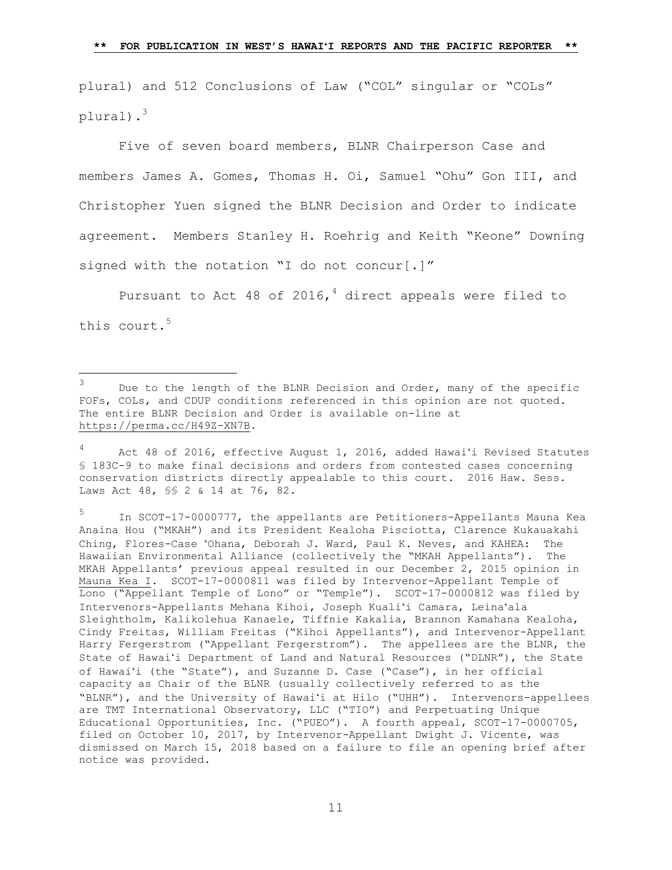plural) and 512 Conclusions of Law ("COL" singular or "COLs" plural).<sup>3</sup>

Five of seven board members, BLNR Chairperson Case and members James A. Gomes, Thomas H. Oi, Samuel "Ohu" Gon III, and Christopher Yuen signed the BLNR Decision and Order to indicate agreement. Members Stanley H. Roehrig and Keith "Keone" Downing signed with the notation "I do not concur[.]"

Pursuant to Act 48 of 2016, $4$  direct appeals were filed to this court.<sup>5</sup>

L,

5 In SCOT-17-0000777, the appellants are Petitioners-Appellants Mauna Kea Anaina Hou ("MKAH") and its President Kealoha Pisciotta, Clarence Kukauakahi Ching, Flores-Case ʻOhana, Deborah J. Ward, Paul K. Neves, and KAHEA: The Hawaiian Environmental Alliance (collectively the "MKAH Appellants"). The MKAH Appellants' previous appeal resulted in our December 2, 2015 opinion in Mauna Kea I. SCOT-17-0000811 was filed by Intervenor-Appellant Temple of Lono ("Appellant Temple of Lono" or "Temple"). SCOT-17-0000812 was filed by Intervenors-Appellants Mehana Kihoi, Joseph Kualiʻi Camara, Leinaʻala Sleightholm, Kalikolehua Kanaele, Tiffnie Kakalia, Brannon Kamahana Kealoha, Cindy Freitas, William Freitas ("Kihoi Appellants"), and Intervenor-Appellant Harry Fergerstrom ("Appellant Fergerstrom"). The appellees are the BLNR, the State of Hawaiʻi Department of Land and Natural Resources ("DLNR"), the State of Hawaiʻi (the "State"), and Suzanne D. Case ("Case"), in her official capacity as Chair of the BLNR (usually collectively referred to as the "BLNR"), and the University of Hawaiʻi at Hilo ("UHH"). Intervenors-appellees are TMT International Observatory, LLC ("TIO") and Perpetuating Unique Educational Opportunities, Inc. ("PUEO"). A fourth appeal, SCOT-17-0000705, filed on October 10, 2017, by Intervenor-Appellant Dwight J. Vicente, was dismissed on March 15, 2018 based on a failure to file an opening brief after notice was provided.

<sup>3</sup> Due to the length of the BLNR Decision and Order, many of the specific FOFs, COLs, and CDUP conditions referenced in this opinion are not quoted. The entire BLNR Decision and Order is available on-line at [https://perma.cc/H49Z-XN7B.](https://perma.cc/H49Z-XN7B)

<sup>4</sup> Act 48 of 2016, effective August 1, 2016, added Hawaiʻi Revised Statutes § 183C-9 to make final decisions and orders from contested cases concerning conservation districts directly appealable to this court. 2016 Haw. Sess. Laws Act 48, §§ 2 & 14 at 76, 82.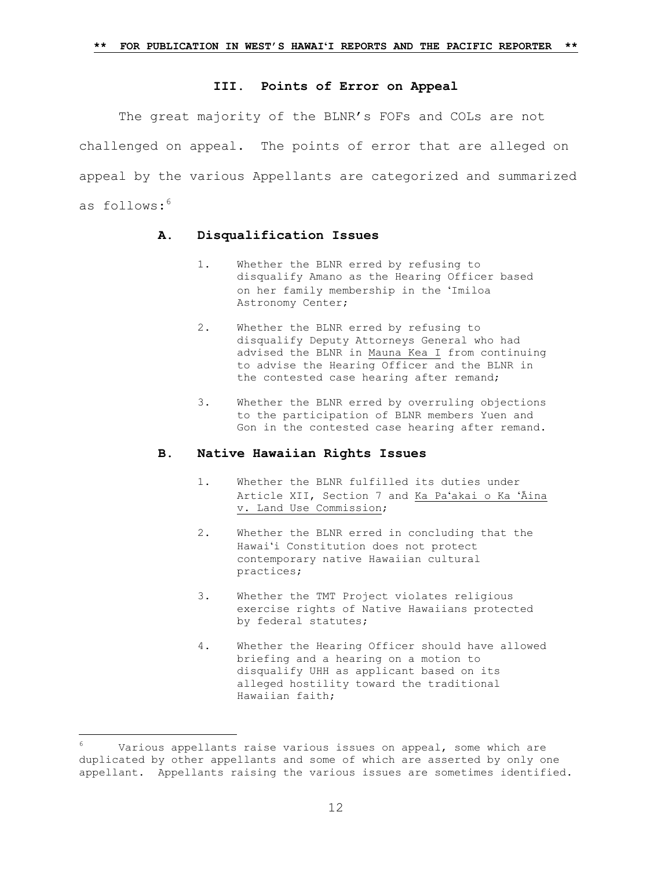### **III. Points of Error on Appeal**

The great majority of the BLNR's FOFs and COLs are not challenged on appeal. The points of error that are alleged on appeal by the various Appellants are categorized and summarized as follows:<sup>6</sup>

### **A. Disqualification Issues**

- 1. Whether the BLNR erred by refusing to disqualify Amano as the Hearing Officer based on her family membership in the ʻImiloa Astronomy Center;
- 2. Whether the BLNR erred by refusing to disqualify Deputy Attorneys General who had advised the BLNR in Mauna Kea I from continuing to advise the Hearing Officer and the BLNR in the contested case hearing after remand;
- 3. Whether the BLNR erred by overruling objections to the participation of BLNR members Yuen and Gon in the contested case hearing after remand.

### **B. Native Hawaiian Rights Issues**

- 1. Whether the BLNR fulfilled its duties under Article XII, Section 7 and Ka Paʻakai o Ka ʻĀina v. Land Use Commission;
- 2. Whether the BLNR erred in concluding that the Hawaiʻi Constitution does not protect contemporary native Hawaiian cultural practices;
- 3. Whether the TMT Project violates religious exercise rights of Native Hawaiians protected by federal statutes;
- 4. Whether the Hearing Officer should have allowed briefing and a hearing on a motion to disqualify UHH as applicant based on its alleged hostility toward the traditional Hawaiian faith;

÷.

Various appellants raise various issues on appeal, some which are duplicated by other appellants and some of which are asserted by only one appellant. Appellants raising the various issues are sometimes identified.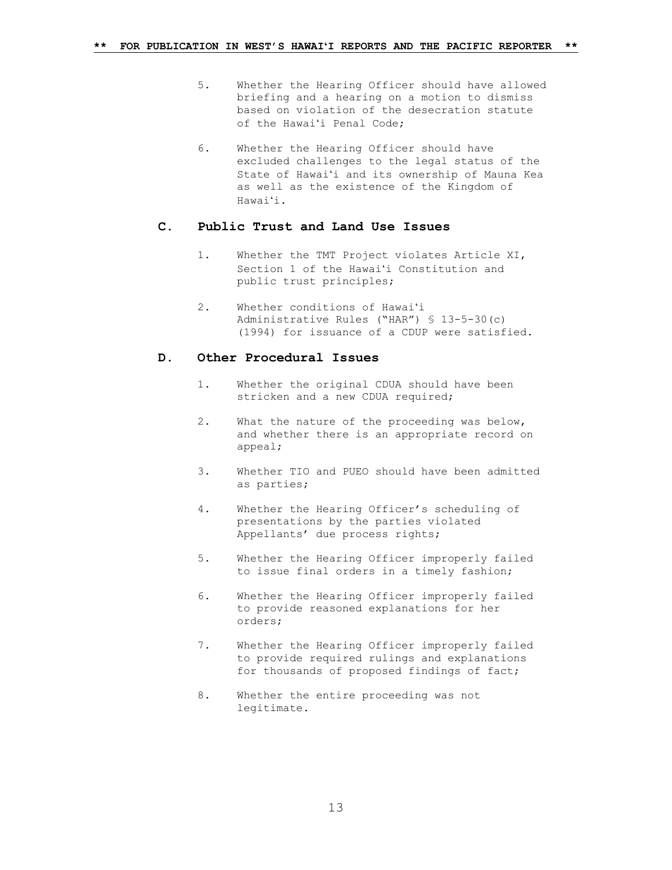- 5. Whether the Hearing Officer should have allowed briefing and a hearing on a motion to dismiss based on violation of the desecration statute of the Hawaiʻi Penal Code;
- 6. Whether the Hearing Officer should have excluded challenges to the legal status of the State of Hawaiʻi and its ownership of Mauna Kea as well as the existence of the Kingdom of Hawaiʻi.

### **C. Public Trust and Land Use Issues**

- 1. Whether the TMT Project violates Article XI, Section 1 of the Hawaiʻi Constitution and public trust principles;
- 2. Whether conditions of Hawaiʻi Administrative Rules ("HAR") § 13-5-30(c) (1994) for issuance of a CDUP were satisfied.

### **D. Other Procedural Issues**

- 1. Whether the original CDUA should have been stricken and a new CDUA required;
- 2. What the nature of the proceeding was below, and whether there is an appropriate record on appeal;
- 3. Whether TIO and PUEO should have been admitted as parties;
- 4. Whether the Hearing Officer's scheduling of presentations by the parties violated Appellants' due process rights;
- 5. Whether the Hearing Officer improperly failed to issue final orders in a timely fashion;
- 6. Whether the Hearing Officer improperly failed to provide reasoned explanations for her orders;
- 7. Whether the Hearing Officer improperly failed to provide required rulings and explanations for thousands of proposed findings of fact;
- 8. Whether the entire proceeding was not legitimate.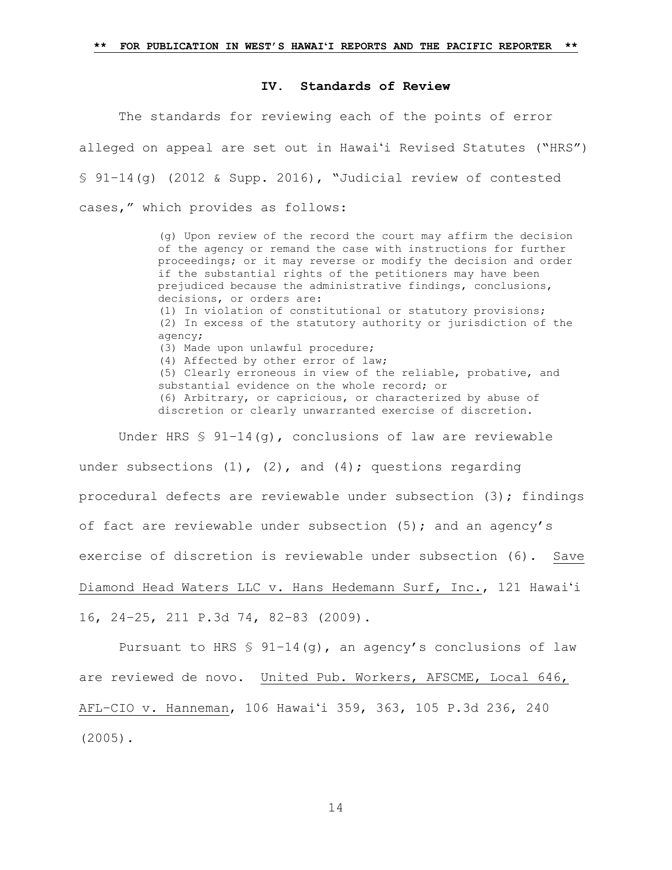### **IV. Standards of Review**

The standards for reviewing each of the points of error alleged on appeal are set out in Hawaiʻi Revised Statutes ("HRS"[\)](https://1.next.westlaw.com/Link/Document/FullText?findType=L&pubNum=1000522&cite=HISTS91-14&originatingDoc=Ib7310ae08c6c11e68bf9cabfb8a03530&refType=SP&originationContext=document&transitionType=DocumentItem&contextData=(sc.Search)#co_pp_16f4000091d86) § 91–[14\(g\)](https://1.next.westlaw.com/Link/Document/FullText?findType=L&pubNum=1000522&cite=HISTS91-14&originatingDoc=Ib7310ae08c6c11e68bf9cabfb8a03530&refType=SP&originationContext=document&transitionType=DocumentItem&contextData=(sc.Search)#co_pp_16f4000091d86) (2012 & Supp. 2016), "Judicial review of contested cases," which provides as follows:

> (g) Upon review of the record the court may affirm the decision of the agency or remand the case with instructions for further proceedings; or it may reverse or modify the decision and order if the substantial rights of the petitioners may have been prejudiced because the administrative findings, conclusions, decisions, or orders are: (1) In violation of constitutional or statutory provisions;

> (2) In excess of the statutory authority or jurisdiction of the agency; (3) Made upon unlawful procedure; (4) Affected by other error of law; (5) Clearly erroneous in view of the reliable, probative, and substantial evidence on the whole record; or (6) Arbitrary, or capricious, or characterized by abuse of discretion or clearly unwarranted exercise of discretion.

Under HRS  $\frac{1}{2}$  91-14(q), conclusions of law are reviewable under subsections  $(1)$ ,  $(2)$ , and  $(4)$ ; questions regarding procedural defects are reviewable under subsection  $(3)$ ; findings of fact are reviewable under subsection (5); and an agency's exercise of discretion is reviewable under subsection (6). [Save](https://1.next.westlaw.com/Link/Document/FullText?findType=Y&serNum=2019363632&pubNum=0004645&originatingDoc=Ib7310ae08c6c11e68bf9cabfb8a03530&refType=RP&fi=co_pp_sp_4645_82&originationContext=document&transitionType=DocumentItem&contextData=(sc.Search)#co_pp_sp_4645_82)  [Diamond Head Waters LLC v. Hans Hedemann Surf, Inc., 121 Hawai](https://1.next.westlaw.com/Link/Document/FullText?findType=Y&serNum=2019363632&pubNum=0004645&originatingDoc=Ib7310ae08c6c11e68bf9cabfb8a03530&refType=RP&fi=co_pp_sp_4645_82&originationContext=document&transitionType=DocumentItem&contextData=(sc.Search)#co_pp_sp_4645_82)ʻi 16, 24–[25, 211 P.3d 74, 82](https://1.next.westlaw.com/Link/Document/FullText?findType=Y&serNum=2019363632&pubNum=0004645&originatingDoc=Ib7310ae08c6c11e68bf9cabfb8a03530&refType=RP&fi=co_pp_sp_4645_82&originationContext=document&transitionType=DocumentItem&contextData=(sc.Search)#co_pp_sp_4645_82)–83 (2009).

Pursuant to HRS §  $91-14$  (q), an agency's conclusions of law are reviewed de novo. [United Pub. Workers, AFSCME, Local 646,](https://1.next.westlaw.com/Link/Document/FullText?findType=Y&serNum=2006135801&pubNum=0004645&originatingDoc=Ib7310ae08c6c11e68bf9cabfb8a03530&refType=RP&fi=co_pp_sp_4645_240&originationContext=document&transitionType=DocumentItem&contextData=(sc.Search)#co_pp_sp_4645_240)  AFL–CIO v. Hanneman, 106 Hawaiʻ[i 359, 363, 105 P.3d 236, 240](https://1.next.westlaw.com/Link/Document/FullText?findType=Y&serNum=2006135801&pubNum=0004645&originatingDoc=Ib7310ae08c6c11e68bf9cabfb8a03530&refType=RP&fi=co_pp_sp_4645_240&originationContext=document&transitionType=DocumentItem&contextData=(sc.Search)#co_pp_sp_4645_240)  [\(2005\).](https://1.next.westlaw.com/Link/Document/FullText?findType=Y&serNum=2006135801&pubNum=0004645&originatingDoc=Ib7310ae08c6c11e68bf9cabfb8a03530&refType=RP&fi=co_pp_sp_4645_240&originationContext=document&transitionType=DocumentItem&contextData=(sc.Search)#co_pp_sp_4645_240)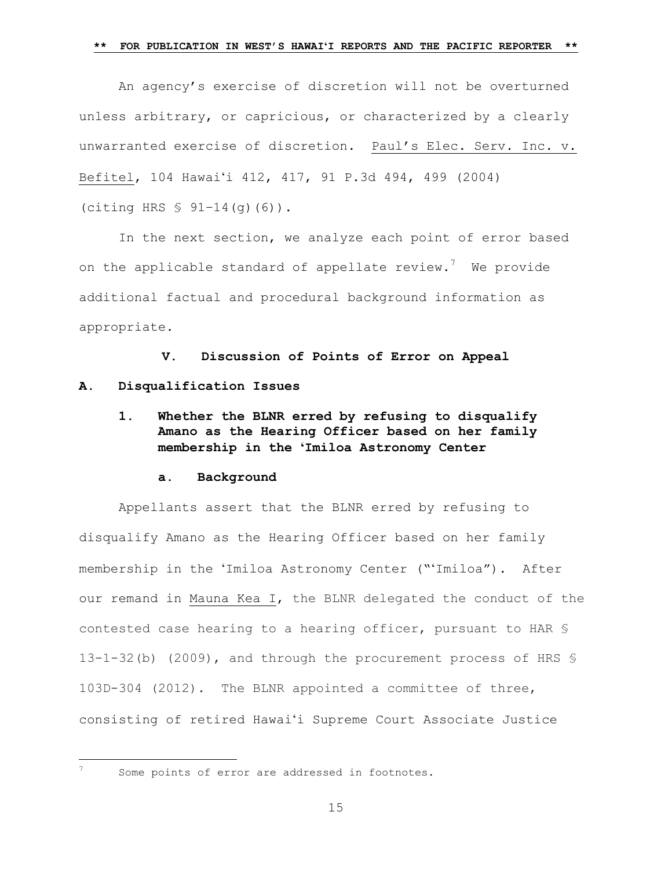An agency's exercise of discretion will not be overturned unless arbitrary, or capricious, or characterized by a clearly unwarranted exercise of discretion. [Paul's Elec. Serv. Inc. v.](https://1.next.westlaw.com/Link/Document/FullText?findType=Y&serNum=2004565502&pubNum=0004645&originatingDoc=Ib7310ae08c6c11e68bf9cabfb8a03530&refType=RP&fi=co_pp_sp_4645_498&originationContext=document&transitionType=DocumentItem&contextData=(sc.Search)#co_pp_sp_4645_498)  Befitel, 104 Hawaiʻ[i 412, 417, 91 P.3d 494, 499 \(2004\)](https://1.next.westlaw.com/Link/Document/FullText?findType=Y&serNum=2004565502&pubNum=0004645&originatingDoc=Ib7310ae08c6c11e68bf9cabfb8a03530&refType=RP&fi=co_pp_sp_4645_498&originationContext=document&transitionType=DocumentItem&contextData=(sc.Search)#co_pp_sp_4645_498)  (citing [HRS § 91](https://1.next.westlaw.com/Link/Document/FullText?findType=L&pubNum=1000522&cite=HISTS91-14&originatingDoc=Ib7310ae08c6c11e68bf9cabfb8a03530&refType=SP&originationContext=document&transitionType=DocumentItem&contextData=(sc.Search)#co_pp_08320000787e3)–14(g)(6)).

In the next section, we analyze each point of error based on the applicable standard of appellate review.<sup>7</sup> We provide additional factual and procedural background information as appropriate.

**V. Discussion of Points of Error on Appeal A. Disqualification Issues**

**1. Whether the BLNR erred by refusing to disqualify Amano as the Hearing Officer based on her family membership in the ʻImiloa Astronomy Center**

# **a. Background**

Appellants assert that the BLNR erred by refusing to disqualify Amano as the Hearing Officer based on her family membership in the ʻImiloa Astronomy Center ("ʻImiloa"). After our remand in Mauna Kea I, the BLNR delegated the conduct of the contested case hearing to a hearing officer, pursuant to HAR § 13-1-32(b) (2009), and through the procurement process of HRS § 103D-304 (2012). The BLNR appointed a committee of three, consisting of retired Hawaiʻi Supreme Court Associate Justice

÷.

Some points of error are addressed in footnotes.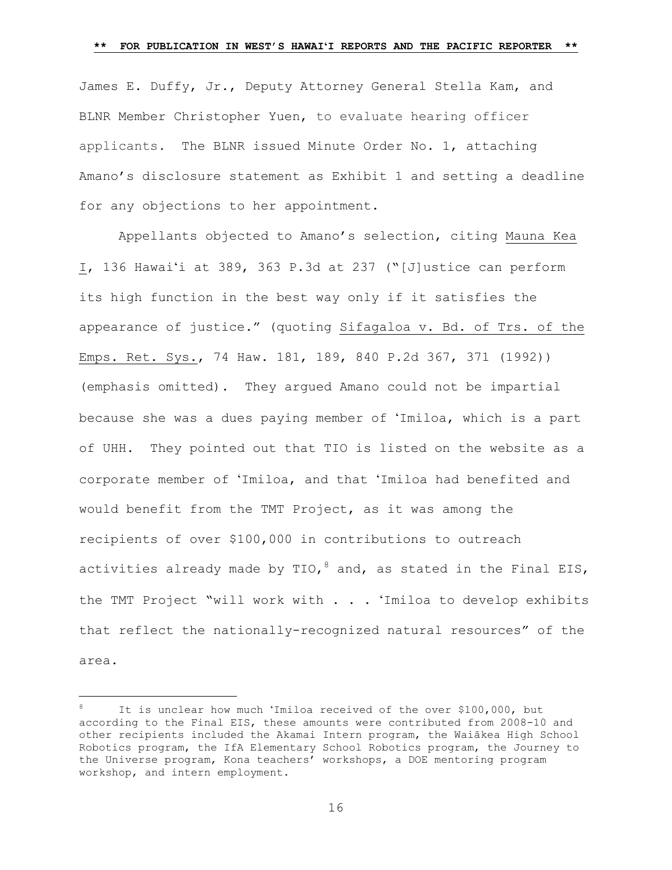James E. Duffy, Jr., Deputy Attorney General Stella Kam, and BLNR Member Christopher Yuen, to evaluate hearing officer applicants. The BLNR issued Minute Order No. 1, attaching Amano's disclosure statement as Exhibit 1 and setting a deadline for any objections to her appointment.

Appellants objected to Amano's selection, citing Mauna Kea I, 136 Hawaiʻi at 389, 363 P.3d at 237 ("[J]ustice can perform its high function in the best way only if it satisfies the appearance of justice." (quoting Sifagaloa v. Bd. of Trs. of the Emps. Ret. Sys., 74 Haw. 181, 189, 840 P.2d 367, 371 (1992)) (emphasis omitted). They argued Amano could not be impartial because she was a dues paying member of ʻImiloa, which is a part of UHH. They pointed out that TIO is listed on the website as a corporate member of ʻImiloa, and that ʻImiloa had benefited and would benefit from the TMT Project, as it was among the recipients of over \$100,000 in contributions to outreach activities already made by TIO,  $^8$  and, as stated in the Final EIS, the TMT Project "will work with . . . ʻImiloa to develop exhibits that reflect the nationally-recognized natural resources" of the area.

It is unclear how much 'Imiloa received of the over \$100,000, but according to the Final EIS, these amounts were contributed from 2008-10 and other recipients included the Akamai Intern program, the Waiākea High School Robotics program, the IfA Elementary School Robotics program, the Journey to the Universe program, Kona teachers' workshops, a DOE mentoring program workshop, and intern employment.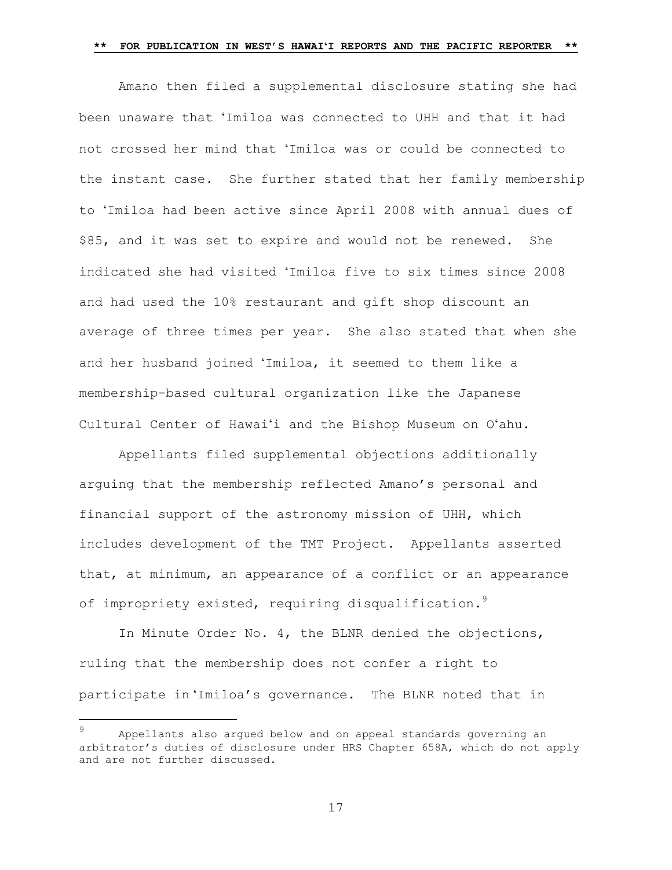Amano then filed a supplemental disclosure stating she had been unaware that ʻImiloa was connected to UHH and that it had not crossed her mind that ʻImiloa was or could be connected to the instant case. She further stated that her family membership to ʻImiloa had been active since April 2008 with annual dues of \$85, and it was set to expire and would not be renewed. She indicated she had visited ʻImiloa five to six times since 2008 and had used the 10% restaurant and gift shop discount an average of three times per year. She also stated that when she and her husband joined ʻImiloa, it seemed to them like a membership-based cultural organization like the Japanese Cultural Center of Hawaiʻi and the Bishop Museum on Oʻahu.

Appellants filed supplemental objections additionally arguing that the membership reflected Amano's personal and financial support of the astronomy mission of UHH, which includes development of the TMT Project. Appellants asserted that, at minimum, an appearance of a conflict or an appearance of impropriety existed, requiring disqualification.<sup>9</sup>

In Minute Order No. 4, the BLNR denied the objections, ruling that the membership does not confer a right to participate in ʻImiloa's governance. The BLNR noted that in

a<br>B

<sup>9</sup> Appellants also argued below and on appeal standards governing an arbitrator's duties of disclosure under HRS Chapter 658A, which do not apply and are not further discussed.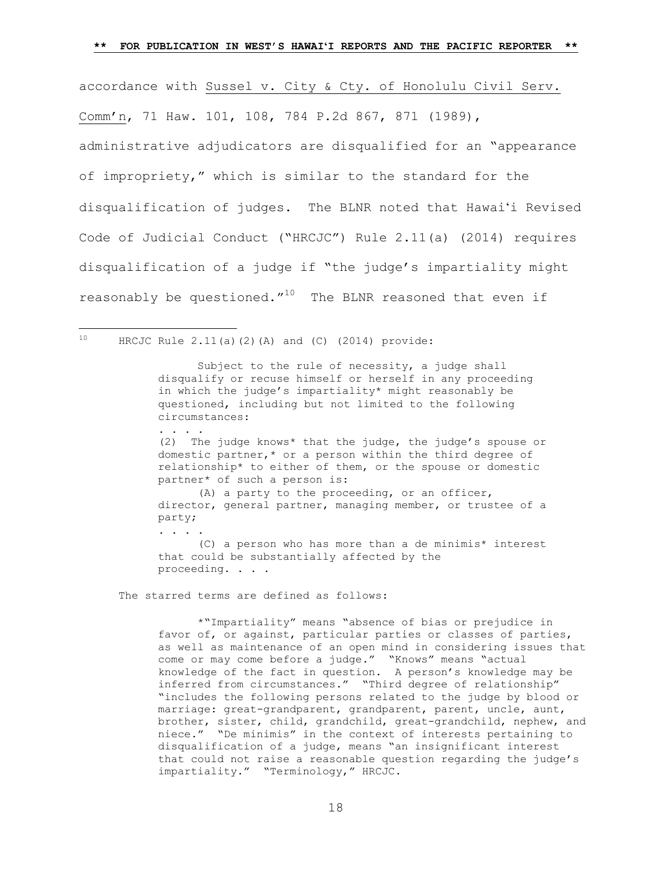accordance with Sussel v. City & Cty. of Honolulu Civil Serv. Comm'n, 71 Haw. 101, 108, 784 P.2d 867, 871 (1989), administrative adjudicators are disqualified for an "appearance of impropriety," which is similar to the standard for the disqualification of judges. The BLNR noted that Hawaiʻi Revised Code of Judicial Conduct ("HRCJC") Rule 2.11(a) (2014) requires disqualification of a judge if "the judge's impartiality might reasonably be questioned. $''^{10}$  The BLNR reasoned that even if

 $10$  HRCJC Rule 2.11(a)(2)(A) and (C) (2014) provide:

. . . .

. . . .

a<br>B

Subject to the rule of necessity, a judge shall disqualify or recuse himself or herself in any proceeding in which the judge's impartiality\* might reasonably be questioned, including but not limited to the following circumstances:

(2) The judge knows\* that the judge, the judge's spouse or domestic partner,\* or a person within the third degree of relationship\* to either of them, or the spouse or domestic partner\* of such a person is:

 (A) a party to the proceeding, or an officer, director, general partner, managing member, or trustee of a party;

(C) a person who has more than a de minimis\* interest that could be substantially affected by the proceeding. . . .

The starred terms are defined as follows:

\*"Impartiality" means "absence of bias or prejudice in favor of, or against, particular parties or classes of parties, as well as maintenance of an open mind in considering issues that come or may come before a judge." "Knows" means "actual knowledge of the fact in question. A person's knowledge may be inferred from circumstances." "Third degree of relationship" "includes the following persons related to the judge by blood or marriage: great-grandparent, grandparent, parent, uncle, aunt, brother, sister, child, grandchild, great-grandchild, nephew, and niece." "De minimis" in the context of interests pertaining to disqualification of a judge, means "an insignificant interest that could not raise a reasonable question regarding the judge's impartiality." "Terminology," HRCJC.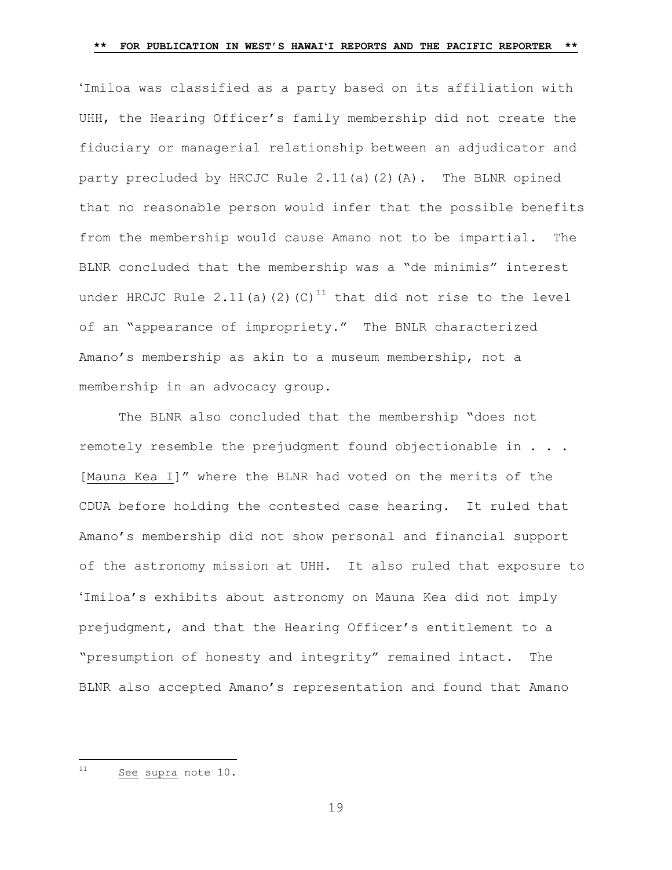ʻImiloa was classified as a party based on its affiliation with UHH, the Hearing Officer's family membership did not create the fiduciary or managerial relationship between an adjudicator and party precluded by HRCJC Rule 2.11(a)(2)(A). The BLNR opined that no reasonable person would infer that the possible benefits from the membership would cause Amano not to be impartial. The BLNR concluded that the membership was a "de minimis" interest under HRCJC Rule 2.11(a)(2)(C)<sup>11</sup> that did not rise to the level of an "appearance of impropriety." The BNLR characterized Amano's membership as akin to a museum membership, not a membership in an advocacy group.

The BLNR also concluded that the membership "does not remotely resemble the prejudgment found objectionable in . . . [Mauna Kea I]" where the BLNR had voted on the merits of the CDUA before holding the contested case hearing. It ruled that Amano's membership did not show personal and financial support of the astronomy mission at UHH. It also ruled that exposure to ʻImiloa's exhibits about astronomy on Mauna Kea did not imply prejudgment, and that the Hearing Officer's entitlement to a "presumption of honesty and integrity" remained intact. The BLNR also accepted Amano's representation and found that Amano

 $11\,$ See supra note 10.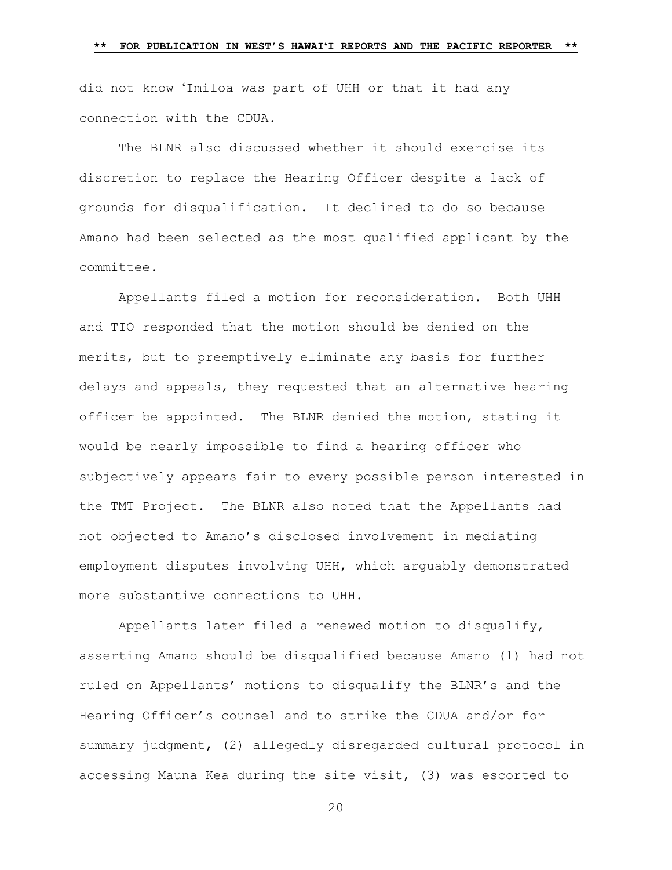did not know ʻImiloa was part of UHH or that it had any connection with the CDUA.

The BLNR also discussed whether it should exercise its discretion to replace the Hearing Officer despite a lack of grounds for disqualification. It declined to do so because Amano had been selected as the most qualified applicant by the committee.

Appellants filed a motion for reconsideration. Both UHH and TIO responded that the motion should be denied on the merits, but to preemptively eliminate any basis for further delays and appeals, they requested that an alternative hearing officer be appointed. The BLNR denied the motion, stating it would be nearly impossible to find a hearing officer who subjectively appears fair to every possible person interested in the TMT Project. The BLNR also noted that the Appellants had not objected to Amano's disclosed involvement in mediating employment disputes involving UHH, which arguably demonstrated more substantive connections to UHH.

Appellants later filed a renewed motion to disqualify, asserting Amano should be disqualified because Amano (1) had not ruled on Appellants' motions to disqualify the BLNR's and the Hearing Officer's counsel and to strike the CDUA and/or for summary judgment, (2) allegedly disregarded cultural protocol in accessing Mauna Kea during the site visit, (3) was escorted to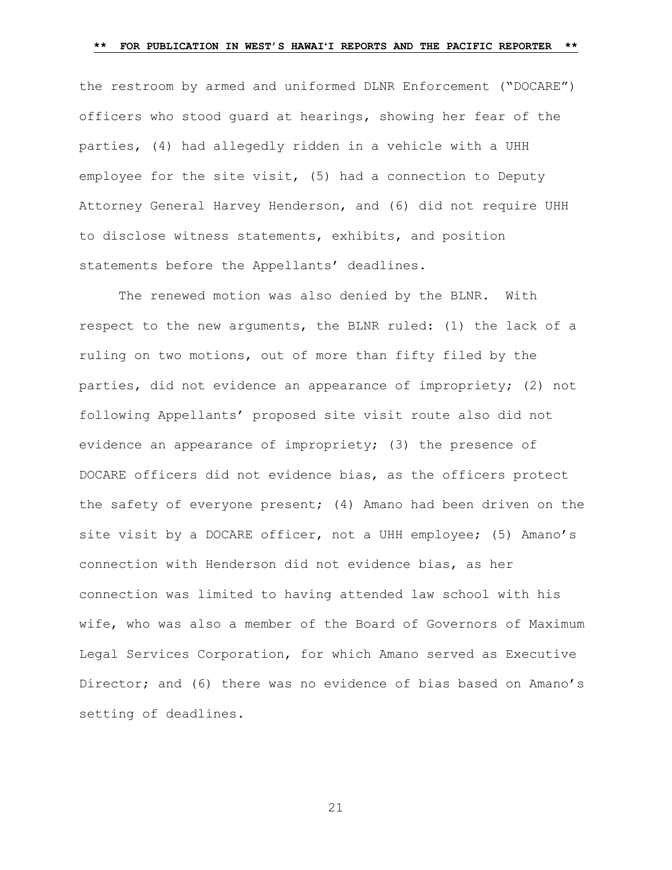the restroom by armed and uniformed DLNR Enforcement ("DOCARE") officers who stood guard at hearings, showing her fear of the parties, (4) had allegedly ridden in a vehicle with a UHH employee for the site visit, (5) had a connection to Deputy Attorney General Harvey Henderson, and (6) did not require UHH to disclose witness statements, exhibits, and position statements before the Appellants' deadlines.

The renewed motion was also denied by the BLNR. With respect to the new arguments, the BLNR ruled: (1) the lack of a ruling on two motions, out of more than fifty filed by the parties, did not evidence an appearance of impropriety; (2) not following Appellants' proposed site visit route also did not evidence an appearance of impropriety; (3) the presence of DOCARE officers did not evidence bias, as the officers protect the safety of everyone present; (4) Amano had been driven on the site visit by a DOCARE officer, not a UHH employee; (5) Amano's connection with Henderson did not evidence bias, as her connection was limited to having attended law school with his wife, who was also a member of the Board of Governors of Maximum Legal Services Corporation, for which Amano served as Executive Director; and (6) there was no evidence of bias based on Amano's setting of deadlines.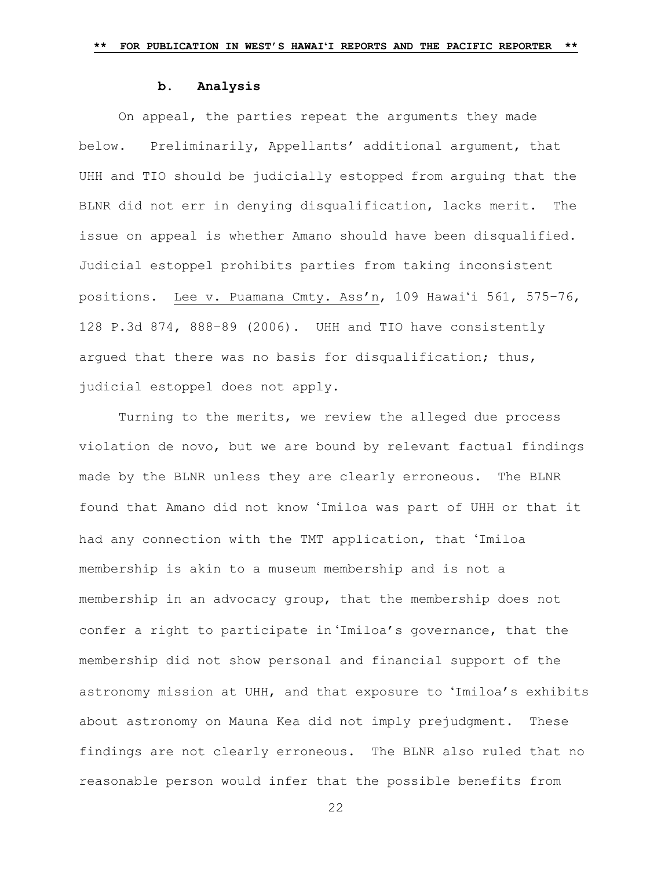#### **b. Analysis**

On appeal, the parties repeat the arguments they made below. Preliminarily, Appellants' additional argument, that UHH and TIO should be judicially estopped from arguing that the BLNR did not err in denying disqualification, lacks merit. The issue on appeal is whether Amano should have been disqualified. Judicial estoppel prohibits parties from taking inconsistent positions. Lee v. Puamana Cmty. Ass'n, 109 Hawaiʻi 561, 575–76, 128 P.3d 874, 888–89 (2006). UHH and TIO have consistently argued that there was no basis for disqualification; thus, judicial estoppel does not apply.

Turning to the merits, we review the alleged due process violation de novo, but we are bound by relevant factual findings made by the BLNR unless they are clearly erroneous. The BLNR found that Amano did not know ʻImiloa was part of UHH or that it had any connection with the TMT application, that ʻImiloa membership is akin to a museum membership and is not a membership in an advocacy group, that the membership does not confer a right to participate in ʻImiloa's governance, that the membership did not show personal and financial support of the astronomy mission at UHH, and that exposure to ʻImiloa's exhibits about astronomy on Mauna Kea did not imply prejudgment. These findings are not clearly erroneous. The BLNR also ruled that no reasonable person would infer that the possible benefits from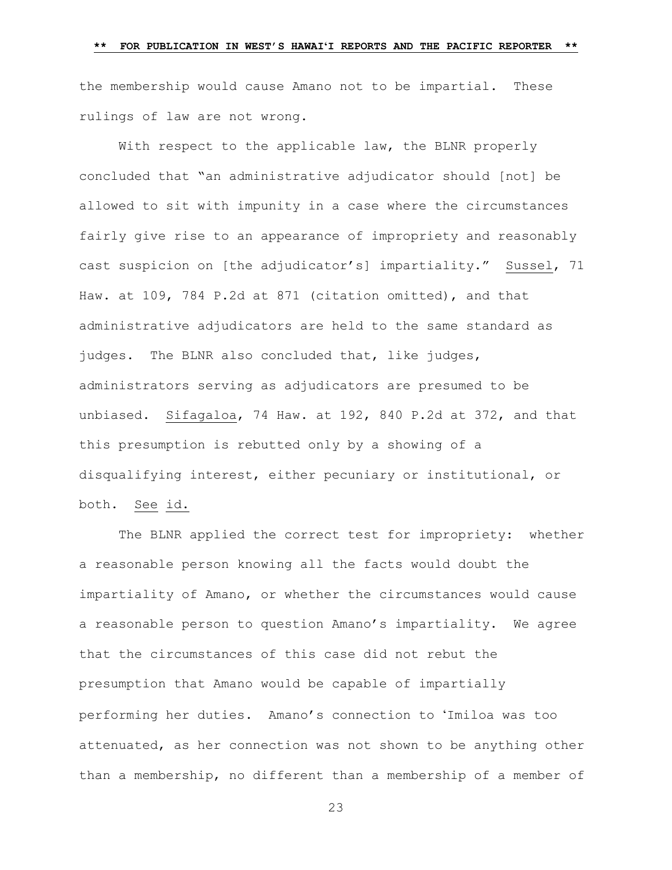the membership would cause Amano not to be impartial. These rulings of law are not wrong.

With respect to the applicable law, the BLNR properly concluded that "an administrative adjudicator should [not] be allowed to sit with impunity in a case where the circumstances fairly give rise to an appearance of impropriety and reasonably cast suspicion on [the adjudicator's] impartiality." Sussel, 71 Haw. at 109, 784 P.2d at 871 (citation omitted), and that administrative adjudicators are held to the same standard as judges. The BLNR also concluded that, like judges, administrators serving as adjudicators are presumed to be unbiased. Sifagaloa, 74 Haw. at 192, 840 P.2d at 372, and that this presumption is rebutted only by a showing of a disqualifying interest, either pecuniary or institutional, or both. See id.

The BLNR applied the correct test for impropriety: whether a reasonable person knowing all the facts would doubt the impartiality of Amano, or whether the circumstances would cause a reasonable person to question Amano's impartiality. We agree that the circumstances of this case did not rebut the presumption that Amano would be capable of impartially performing her duties. Amano's connection to ʻImiloa was too attenuated, as her connection was not shown to be anything other than a membership, no different than a membership of a member of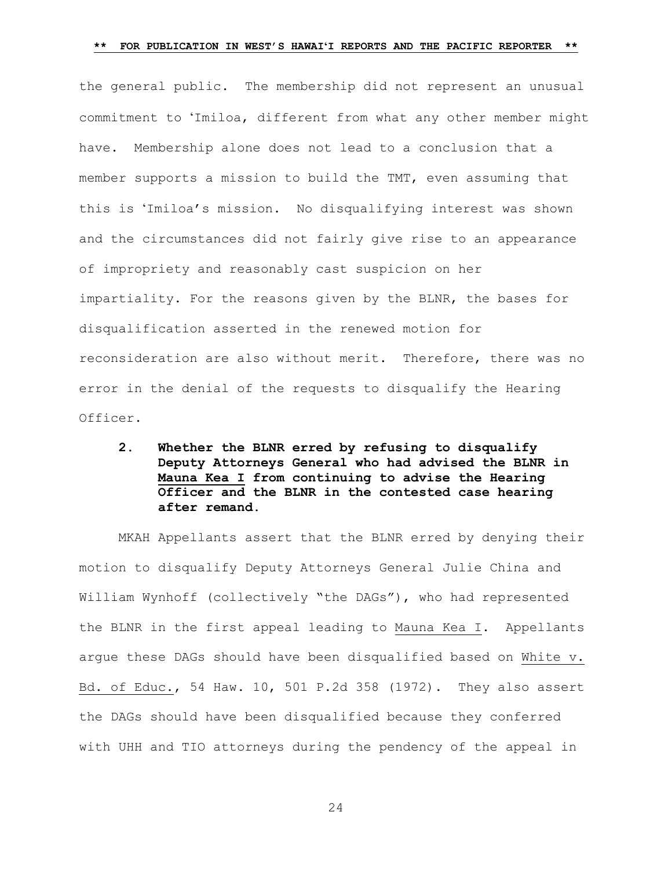the general public. The membership did not represent an unusual commitment to ʻImiloa, different from what any other member might have. Membership alone does not lead to a conclusion that a member supports a mission to build the TMT, even assuming that this is ʻImiloa's mission. No disqualifying interest was shown and the circumstances did not fairly give rise to an appearance of impropriety and reasonably cast suspicion on her impartiality. For the reasons given by the BLNR, the bases for disqualification asserted in the renewed motion for reconsideration are also without merit. Therefore, there was no error in the denial of the requests to disqualify the Hearing Officer.

**2. Whether the BLNR erred by refusing to disqualify Deputy Attorneys General who had advised the BLNR in Mauna Kea I from continuing to advise the Hearing Officer and the BLNR in the contested case hearing after remand.** 

MKAH Appellants assert that the BLNR erred by denying their motion to disqualify Deputy Attorneys General Julie China and William Wynhoff (collectively "the DAGs"), who had represented the BLNR in the first appeal leading to Mauna Kea I. Appellants argue these DAGs should have been disqualified based on White v. Bd. of Educ., 54 Haw. 10, 501 P.2d 358 (1972). They also assert the DAGs should have been disqualified because they conferred with UHH and TIO attorneys during the pendency of the appeal in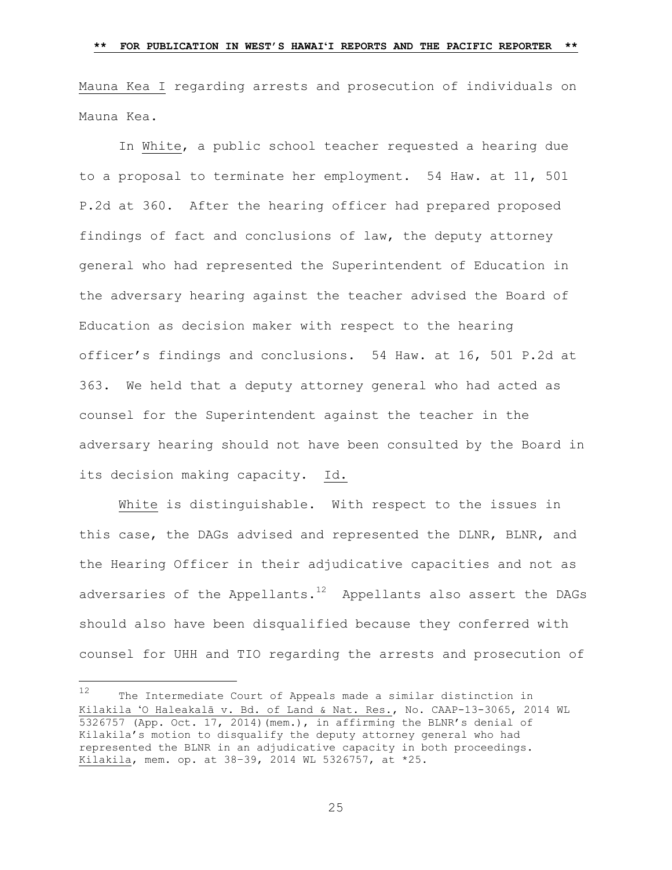Mauna Kea I regarding arrests and prosecution of individuals on Mauna Kea.

In White, a public school teacher requested a hearing due to a proposal to terminate her employment. 54 Haw. at 11, 501 P.2d at 360. After the hearing officer had prepared proposed findings of fact and conclusions of law, the deputy attorney general who had represented the Superintendent of Education in the adversary hearing against the teacher advised the Board of Education as decision maker with respect to the hearing officer's findings and conclusions. 54 Haw. at 16, 501 P.2d at 363. We held that a deputy attorney general who had acted as counsel for the Superintendent against the teacher in the adversary hearing should not have been consulted by the Board in its decision making capacity. Id.

White is distinguishable. With respect to the issues in this case, the DAGs advised and represented the DLNR, BLNR, and the Hearing Officer in their adjudicative capacities and not as adversaries of the Appellants. $12$  Appellants also assert the DAGs should also have been disqualified because they conferred with counsel for UHH and TIO regarding the arrests and prosecution of

L,

<sup>12</sup> The Intermediate Court of Appeals made a similar distinction in Kilakila ʻO Haleakalā v. Bd. of Land & Nat. Res., No. CAAP-13-3065, 2014 WL 5326757 (App. Oct. 17, 2014)(mem.), in affirming the BLNR's denial of Kilakila's motion to disqualify the deputy attorney general who had represented the BLNR in an adjudicative capacity in both proceedings. Kilakila, mem. op. at 38–39, 2014 WL 5326757, at \*25.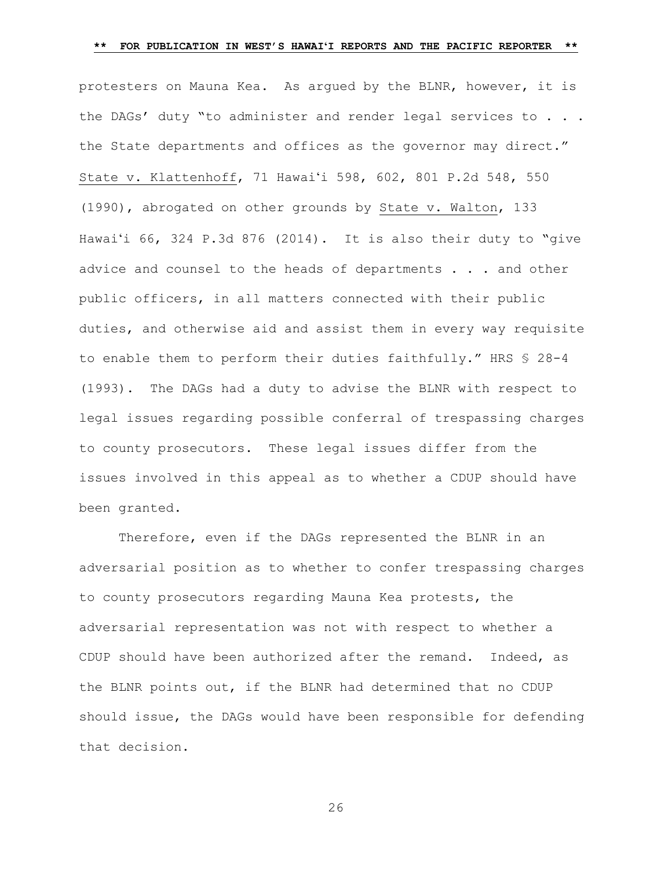protesters on Mauna Kea. As argued by the BLNR, however, it is the DAGs' duty "to administer and render legal services to . . . the State departments and offices as the governor may direct." State v. Klattenhoff, 71 Hawaiʻi 598, 602, 801 P.2d 548, 550 (1990), abrogated on other grounds by State v. Walton, 133 Hawaiʻi 66, 324 P.3d 876 (2014). It is also their duty to "give advice and counsel to the heads of departments . . . and other public officers, in all matters connected with their public duties, and otherwise aid and assist them in every way requisite to enable them to perform their duties faithfully." HRS § 28-4 (1993).The DAGs had a duty to advise the BLNR with respect to legal issues regarding possible conferral of trespassing charges to county prosecutors. These legal issues differ from the issues involved in this appeal as to whether a CDUP should have been granted.

Therefore, even if the DAGs represented the BLNR in an adversarial position as to whether to confer trespassing charges to county prosecutors regarding Mauna Kea protests, the adversarial representation was not with respect to whether a CDUP should have been authorized after the remand. Indeed, as the BLNR points out, if the BLNR had determined that no CDUP should issue, the DAGs would have been responsible for defending that decision.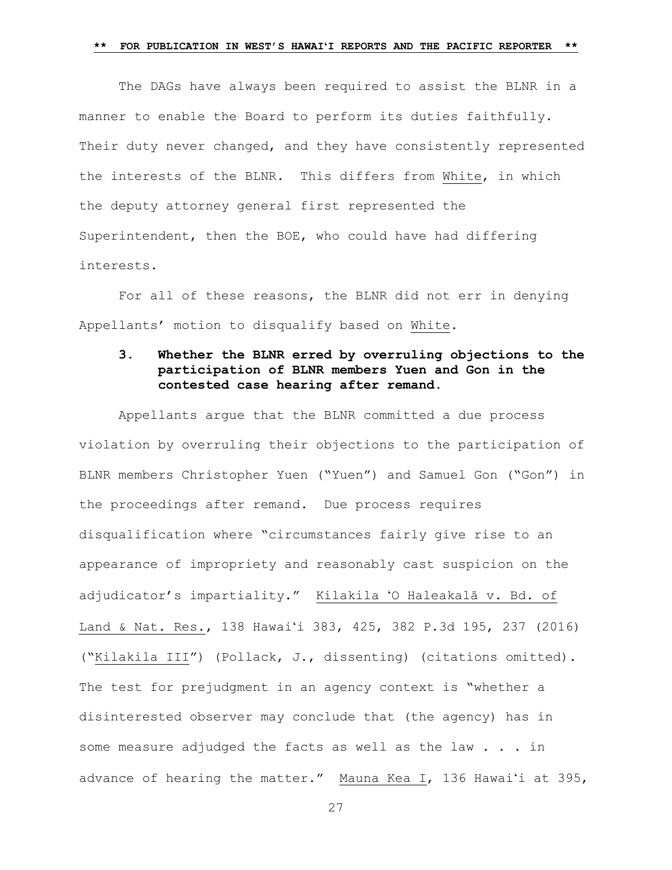The DAGs have always been required to assist the BLNR in a manner to enable the Board to perform its duties faithfully. Their duty never changed, and they have consistently represented the interests of the BLNR. This differs from White, in which the deputy attorney general first represented the Superintendent, then the BOE, who could have had differing interests.

For all of these reasons, the BLNR did not err in denying Appellants' motion to disqualify based on White**.**

# **3. Whether the BLNR erred by overruling objections to the participation of BLNR members Yuen and Gon in the contested case hearing after remand.**

Appellants argue that the BLNR committed a due process violation by overruling their objections to the participation of BLNR members Christopher Yuen ("Yuen") and Samuel Gon ("Gon") in the proceedings after remand. Due process requires disqualification where "circumstances fairly give rise to an appearance of impropriety and reasonably cast suspicion on the adjudicator's impartiality." Kilakila ʻO Haleakalā v. Bd. of Land & Nat. Res., 138 Hawaiʻi 383, 425, 382 P.3d 195, 237 (2016) ("Kilakila III") (Pollack, J., dissenting) (citations omitted). The test for prejudgment in an agency context is "whether a disinterested observer may conclude that (the agency) has in some measure adjudged the facts as well as the law . . . in advance of hearing the matter." Mauna Kea I, 136 Hawaiʻi at 395,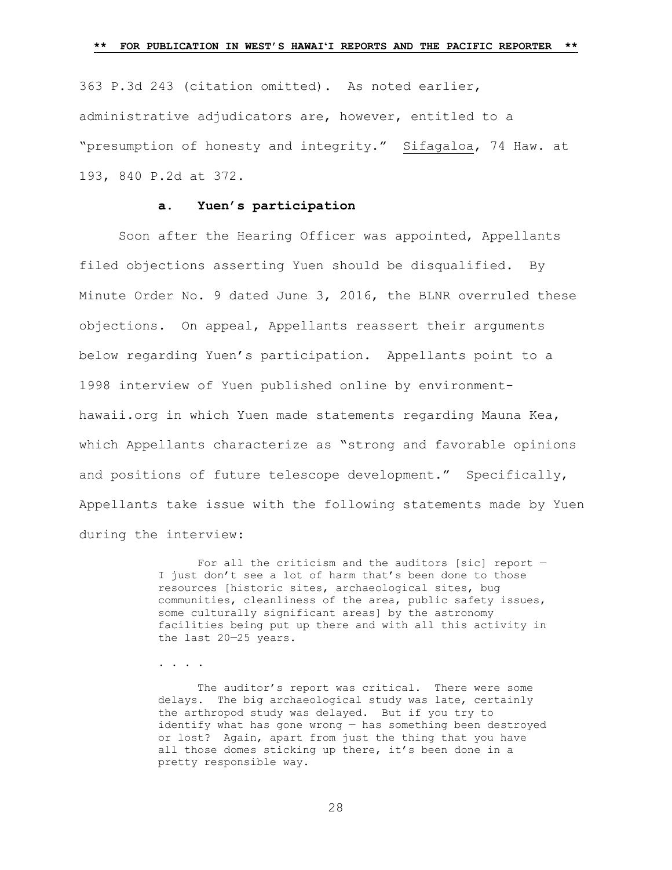363 P.3d 243 (citation omitted). As noted earlier, administrative adjudicators are, however, entitled to a "presumption of honesty and integrity." Sifagaloa, 74 Haw. at 193, 840 P.2d at 372.

## **a. Yuen's participation**

Soon after the Hearing Officer was appointed, Appellants filed objections asserting Yuen should be disqualified. By Minute Order No. 9 dated June 3, 2016, the BLNR overruled these objections. On appeal, Appellants reassert their arguments below regarding Yuen's participation. Appellants point to a 1998 interview of Yuen published online by environmenthawaii.org in which Yuen made statements regarding Mauna Kea, which Appellants characterize as "strong and favorable opinions and positions of future telescope development." Specifically, Appellants take issue with the following statements made by Yuen during the interview:

> For all the criticism and the auditors [sic] report  $-$ I just don't see a lot of harm that's been done to those resources [historic sites, archaeological sites, bug communities, cleanliness of the area, public safety issues, some culturally significant areas] by the astronomy facilities being put up there and with all this activity in the last 20—25 years.

. . . .

The auditor's report was critical. There were some delays. The big archaeological study was late, certainly the arthropod study was delayed. But if you try to identify what has gone wrong — has something been destroyed or lost? Again, apart from just the thing that you have all those domes sticking up there, it's been done in a pretty responsible way.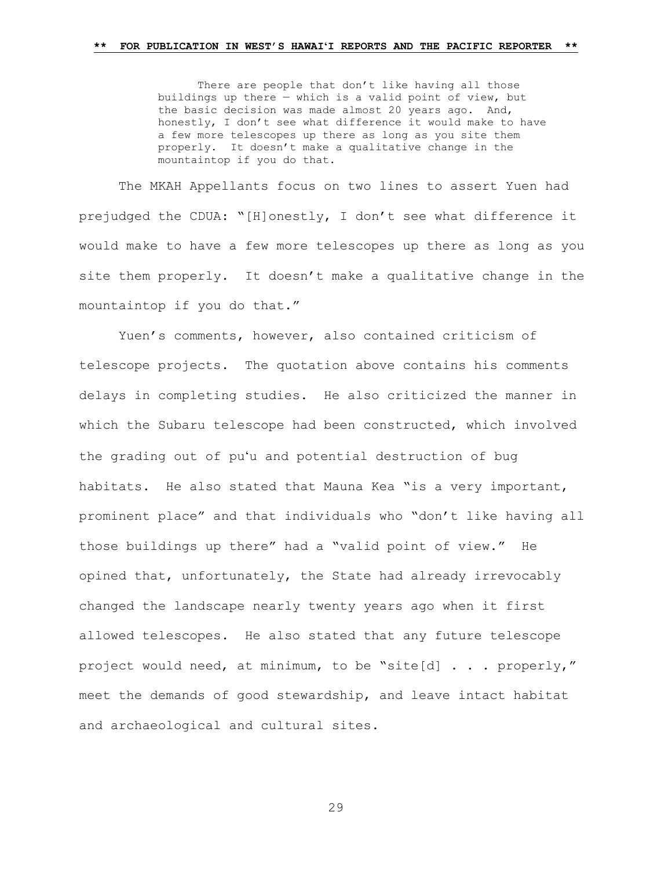There are people that don't like having all those buildings up there  $-$  which is a valid point of view, but the basic decision was made almost 20 years ago. And, honestly, I don't see what difference it would make to have a few more telescopes up there as long as you site them properly. It doesn't make a qualitative change in the mountaintop if you do that.

The MKAH Appellants focus on two lines to assert Yuen had prejudged the CDUA: "[H]onestly, I don't see what difference it would make to have a few more telescopes up there as long as you site them properly. It doesn't make a qualitative change in the mountaintop if you do that."

Yuen's comments, however, also contained criticism of telescope projects. The quotation above contains his comments delays in completing studies. He also criticized the manner in which the Subaru telescope had been constructed, which involved the grading out of puʻu and potential destruction of bug habitats. He also stated that Mauna Kea "is a very important, prominent place" and that individuals who "don't like having all those buildings up there" had a "valid point of view." He opined that, unfortunately, the State had already irrevocably changed the landscape nearly twenty years ago when it first allowed telescopes. He also stated that any future telescope project would need, at minimum, to be "site[d] . . . properly," meet the demands of good stewardship, and leave intact habitat and archaeological and cultural sites.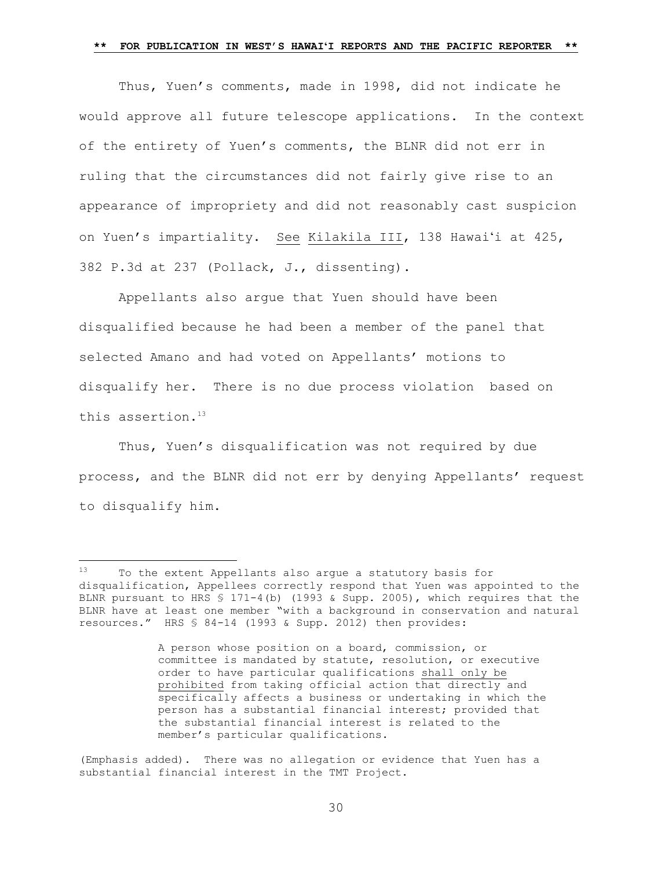Thus, Yuen's comments, made in 1998, did not indicate he would approve all future telescope applications. In the context of the entirety of Yuen's comments, the BLNR did not err in ruling that the circumstances did not fairly give rise to an appearance of impropriety and did not reasonably cast suspicion on Yuen's impartiality. See Kilakila III, 138 Hawaiʻi at 425, 382 P.3d at 237 (Pollack, J., dissenting).

Appellants also argue that Yuen should have been disqualified because he had been a member of the panel that selected Amano and had voted on Appellants' motions to disqualify her. There is no due process violation based on this assertion. <sup>13</sup>

Thus, Yuen's disqualification was not required by due process, and the BLNR did not err by denying Appellants' request to disqualify him.

<sup>13</sup> To the extent Appellants also argue a statutory basis for disqualification, Appellees correctly respond that Yuen was appointed to the BLNR pursuant to HRS § 171-4(b) (1993 & Supp. 2005), which requires that the BLNR have at least one member "with a background in conservation and natural resources." HRS § 84-14 (1993 & Supp. 2012) then provides:

A person whose position on a board, commission, or committee is mandated by statute, resolution, or executive order to have particular qualifications shall only be prohibited from taking official action that directly and specifically affects a business or undertaking in which the person has a substantial financial interest; provided that the substantial financial interest is related to the member's particular qualifications.

<sup>(</sup>Emphasis added). There was no allegation or evidence that Yuen has a substantial financial interest in the TMT Project.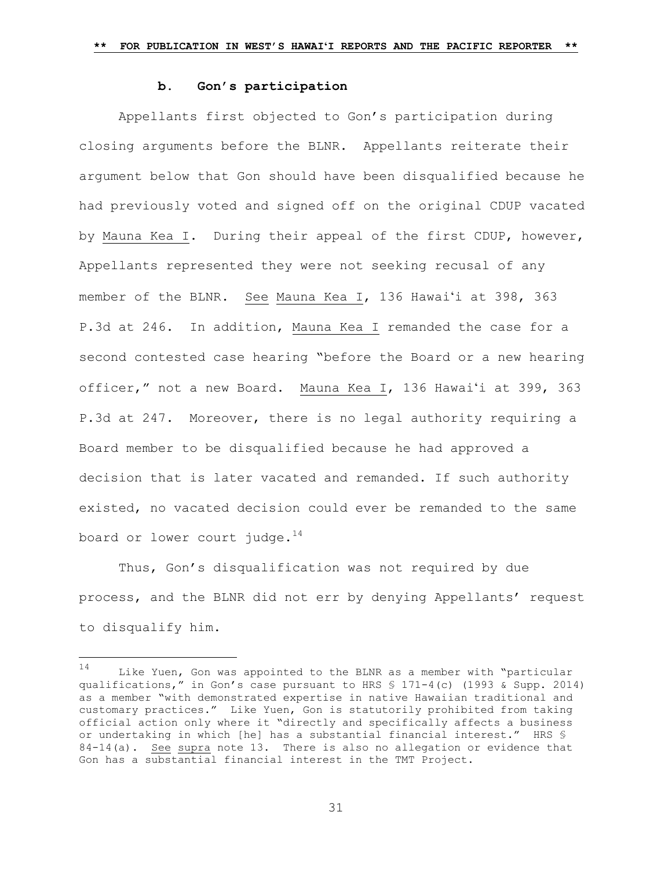### **b. Gon's participation**

Appellants first objected to Gon's participation during closing arguments before the BLNR. Appellants reiterate their argument below that Gon should have been disqualified because he had previously voted and signed off on the original CDUP vacated by Mauna Kea I. During their appeal of the first CDUP, however, Appellants represented they were not seeking recusal of any member of the BLNR. See Mauna Kea I, 136 Hawaiʻi at 398, 363 P.3d at 246. In addition, Mauna Kea I remanded the case for a second contested case hearing "before the Board or a new hearing officer," not a new Board. Mauna Kea I, 136 Hawaiʻi at 399, 363 P.3d at 247.Moreover, there is no legal authority requiring a Board member to be disqualified because he had approved a decision that is later vacated and remanded. If such authority existed, no vacated decision could ever be remanded to the same board or lower court judge. $14$ 

Thus, Gon's disqualification was not required by due process, and the BLNR did not err by denying Appellants' request to disqualify him.

a<br>B

<sup>14</sup> Like Yuen, Gon was appointed to the BLNR as a member with "particular qualifications," in Gon's case pursuant to HRS § 171-4(c) (1993 & Supp. 2014) as a member "with demonstrated expertise in native Hawaiian traditional and customary practices." Like Yuen, Gon is statutorily prohibited from taking official action only where it "directly and specifically affects a business or undertaking in which [he] has a substantial financial interest." HRS § 84-14(a). See supra note 13. There is also no allegation or evidence that Gon has a substantial financial interest in the TMT Project.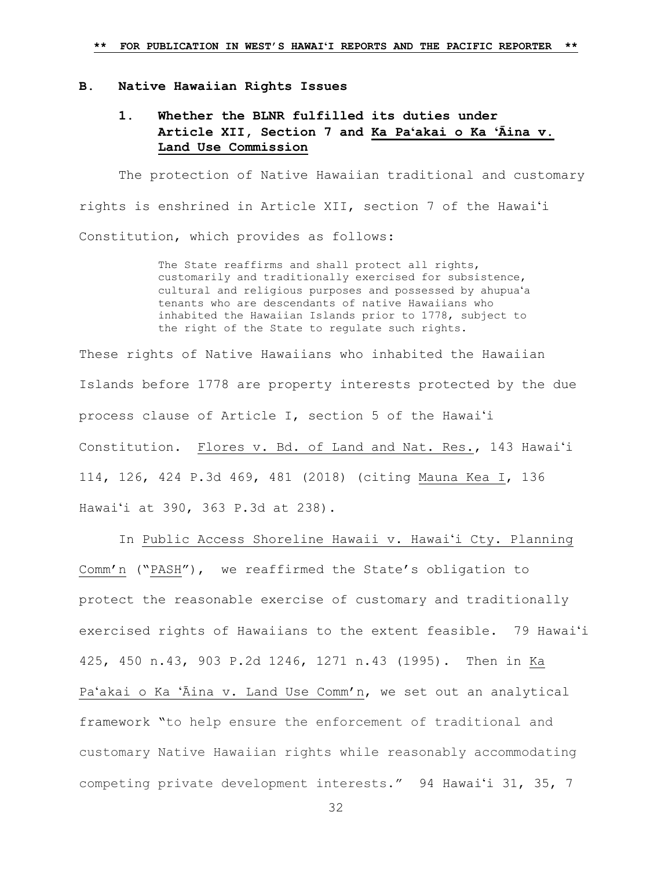#### **B. Native Hawaiian Rights Issues**

# **1. Whether the BLNR fulfilled its duties under Article XII, Section 7 and Ka Paʻakai o Ka ʻĀina v. Land Use Commission**

The protection of Native Hawaiian traditional and customary rights is enshrined in Article XII, section 7 of the Hawaiʻi Constitution, which provides as follows:

> The State reaffirms and shall protect all rights, customarily and traditionally exercised for subsistence, cultural and religious purposes and possessed by ahupuaʻa tenants who are descendants of native Hawaiians who inhabited the Hawaiian Islands prior to 1778, subject to the right of the State to regulate such rights.

These rights of Native Hawaiians who inhabited the Hawaiian Islands before 1778 are property interests protected by the due process clause of Article I, section 5 of the Hawaiʻi Constitution. Flores v. Bd. of Land and Nat. Res., 143 Hawaiʻi 114, 126, 424 P.3d 469, 481 (2018) (citing [Mauna Kea I, 136](https://1.next.westlaw.com/Link/Document/FullText?findType=Y&serNum=2037728538&pubNum=0004645&originatingDoc=Ib7310ae08c6c11e68bf9cabfb8a03530&refType=RP&originationContext=document&transitionType=DocumentItem&contextData=(sc.Search))  Hawaiʻ[i at 390, 363](https://1.next.westlaw.com/Link/Document/FullText?findType=Y&serNum=2037728538&pubNum=0004645&originatingDoc=Ib7310ae08c6c11e68bf9cabfb8a03530&refType=RP&originationContext=document&transitionType=DocumentItem&contextData=(sc.Search)) P.3d at 238).

In Public Access Shoreline Hawaii v. Hawaiʻi Cty. Planning Comm'n ("PASH"), we reaffirmed the State's obligation to protect the reasonable exercise of customary and traditionally exercised rights of Hawaiians to the extent feasible. 79 Hawaiʻi 425, 450 n.43, 903 P.2d 1246, 1271 n.43 (1995). Then in Ka Paʻakai o Ka ʻĀina v. Land Use Comm'n, we set out an analytical framework "to help ensure the enforcement of traditional and customary Native Hawaiian rights while reasonably accommodating competing private development interests." 94 Hawaiʻi 31, 35, 7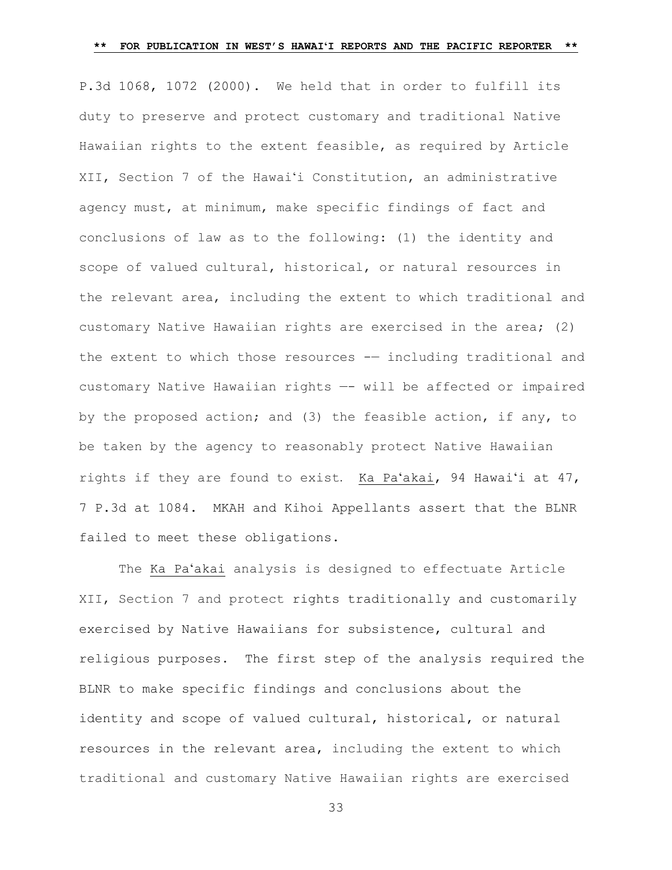P.3d 1068, 1072 (2000). We held that in order to fulfill its duty to preserve and protect customary and traditional Native Hawaiian rights to the extent feasible, as required by Article XII, Section 7 of the Hawaiʻi Constitution, an administrative agency must, at minimum, make specific findings of fact and conclusions of law as to the following: (1) the identity and scope of valued cultural, historical, or natural resources in the relevant area, including the extent to which traditional and customary Native Hawaiian rights are exercised in the area; (2) the extent to which those resources -— including traditional and customary Native Hawaiian rights —- will be affected or impaired by the proposed action; and (3) the feasible action, if any, to be taken by the agency to reasonably protect Native Hawaiian rights if they are found to exist. Ka Paʻakai, 94 Hawaiʻi at 47, 7 P.3d at 1084. MKAH and Kihoi Appellants assert that the BLNR failed to meet these obligations.

The Ka Paʻakai analysis is designed to effectuate Article XII, Section 7 and protect rights traditionally and customarily exercised by Native Hawaiians for subsistence, cultural and religious purposes. The first step of the analysis required the BLNR to make specific findings and conclusions about the identity and scope of valued cultural, historical, or natural resources in the relevant area, including the extent to which traditional and customary Native Hawaiian rights are exercised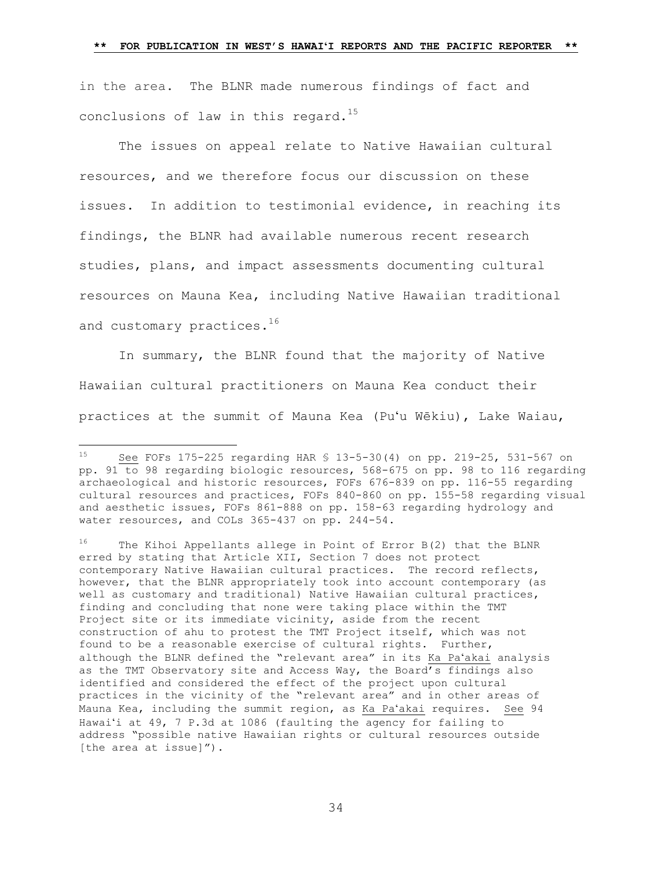in the area. The BLNR made numerous findings of fact and conclusions of law in this regard. $^{15}$ 

The issues on appeal relate to Native Hawaiian cultural resources, and we therefore focus our discussion on these issues. In addition to testimonial evidence, in reaching its findings, the BLNR had available numerous recent research studies, plans, and impact assessments documenting cultural resources on Mauna Kea, including Native Hawaiian traditional and customary practices.<sup>16</sup>

In summary, the BLNR found that the majority of Native Hawaiian cultural practitioners on Mauna Kea conduct their practices at the summit of Mauna Kea (Puʻu Wēkiu), Lake Waiau,

<sup>15</sup> See FOFs 175-225 regarding HAR § 13-5-30(4) on pp. 219-25, 531-567 on pp. 91 to 98 regarding biologic resources, 568-675 on pp. 98 to 116 regarding archaeological and historic resources, FOFs 676-839 on pp. 116-55 regarding cultural resources and practices, FOFs 840-860 on pp. 155-58 regarding visual and aesthetic issues, FOFs 861-888 on pp. 158-63 regarding hydrology and water resources, and COLs 365-437 on pp. 244-54.

 $16$  The Kihoi Appellants allege in Point of Error B(2) that the BLNR erred by stating that Article XII, Section 7 does not protect contemporary Native Hawaiian cultural practices. The record reflects, however, that the BLNR appropriately took into account contemporary (as well as customary and traditional) Native Hawaiian cultural practices, finding and concluding that none were taking place within the TMT Project site or its immediate vicinity, aside from the recent construction of ahu to protest the TMT Project itself, which was not found to be a reasonable exercise of cultural rights. Further, although the BLNR defined the "relevant area" in its Ka Paʻakai analysis as the TMT Observatory site and Access Way, the Board's findings also identified and considered the effect of the project upon cultural practices in the vicinity of the "relevant area" and in other areas of Mauna Kea, including the summit region, as Ka Paʻakai requires. See 94 Hawaiʻi at 49, 7 P.3d at 1086 (faulting the agency for failing to address "possible native Hawaiian rights or cultural resources outside [the area at issue]").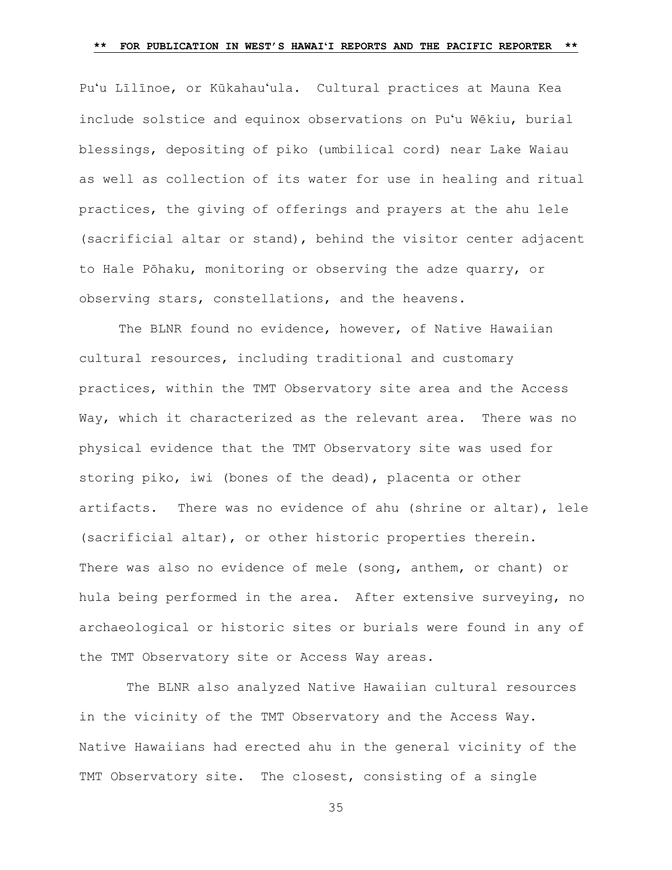Puʻu Līlīnoe, or Kūkahauʻula. Cultural practices at Mauna Kea include solstice and equinox observations on Puʻu Wēkiu, burial blessings, depositing of piko (umbilical cord) near Lake Waiau as well as collection of its water for use in healing and ritual practices, the giving of offerings and prayers at the ahu lele (sacrificial altar or stand), behind the visitor center adjacent to Hale Pōhaku, monitoring or observing the adze quarry, or observing stars, constellations, and the heavens.

The BLNR found no evidence, however, of Native Hawaiian cultural resources, including traditional and customary practices, within the TMT Observatory site area and the Access Way, which it characterized as the relevant area. There was no physical evidence that the TMT Observatory site was used for storing piko, iwi (bones of the dead), placenta or other artifacts. There was no evidence of ahu (shrine or altar), lele (sacrificial altar), or other historic properties therein. There was also no evidence of mele (song, anthem, or chant) or hula being performed in the area. After extensive surveying, no archaeological or historic sites or burials were found in any of the TMT Observatory site or Access Way areas.

The BLNR also analyzed Native Hawaiian cultural resources in the vicinity of the TMT Observatory and the Access Way. Native Hawaiians had erected ahu in the general vicinity of the TMT Observatory site. The closest, consisting of a single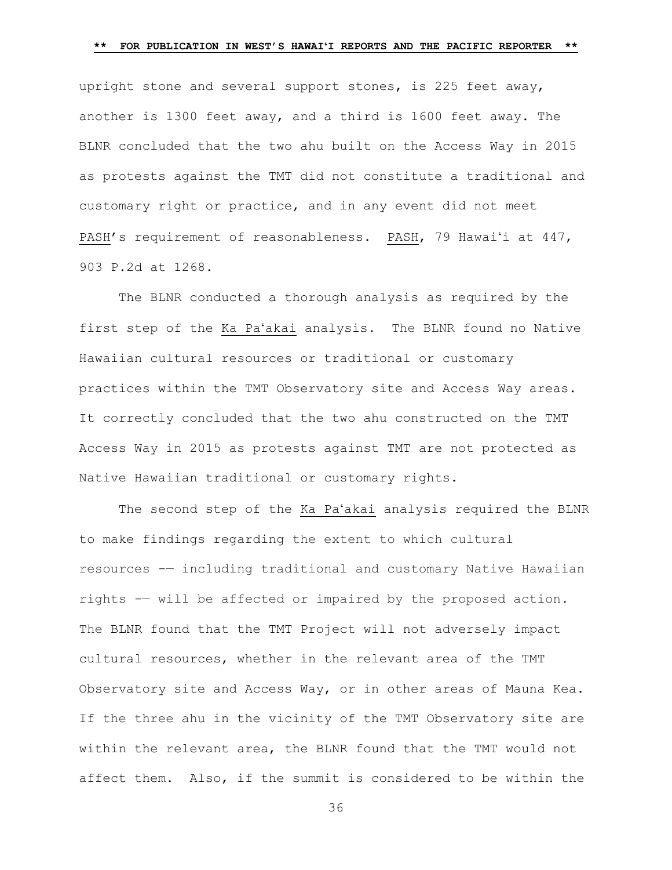upright stone and several support stones, is 225 feet away, another is 1300 feet away, and a third is 1600 feet away. The BLNR concluded that the two ahu built on the Access Way in 2015 as protests against the TMT did not constitute a traditional and customary right or practice, and in any event did not meet PASH's requirement of reasonableness. PASH, 79 Hawaiʻi at 447, 903 P.2d at 1268.

The BLNR conducted a thorough analysis as required by the first step of the Ka Paʻakai analysis. The BLNR found no Native Hawaiian cultural resources or traditional or customary practices within the TMT Observatory site and Access Way areas. It correctly concluded that the two ahu constructed on the TMT Access Way in 2015 as protests against TMT are not protected as Native Hawaiian traditional or customary rights.

The second step of the Ka Paʻakai analysis required the BLNR to make findings regarding the extent to which cultural resources -— including traditional and customary Native Hawaiian rights -— will be affected or impaired by the proposed action. The BLNR found that the TMT Project will not adversely impact cultural resources, whether in the relevant area of the TMT Observatory site and Access Way, or in other areas of Mauna Kea. If the three ahu in the vicinity of the TMT Observatory site are within the relevant area, the BLNR found that the TMT would not affect them. Also, if the summit is considered to be within the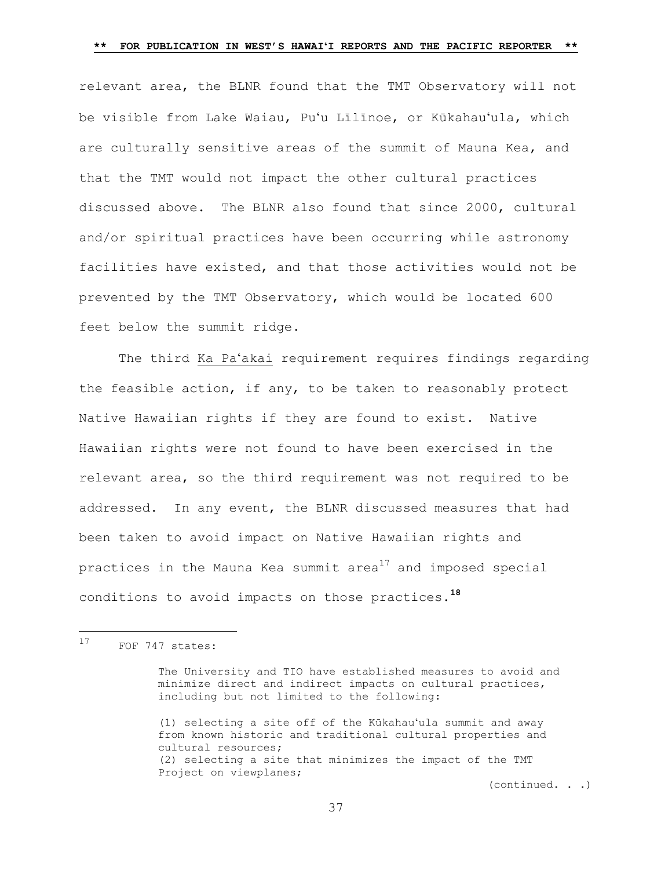relevant area, the BLNR found that the TMT Observatory will not be visible from Lake Waiau, Puʻu Līlīnoe, or Kūkahauʻula, which are culturally sensitive areas of the summit of Mauna Kea, and that the TMT would not impact the other cultural practices discussed above. The BLNR also found that since 2000, cultural and/or spiritual practices have been occurring while astronomy facilities have existed, and that those activities would not be prevented by the TMT Observatory, which would be located 600 feet below the summit ridge.

The third Ka Paʻakai requirement requires findings regarding the feasible action, if any, to be taken to reasonably protect Native Hawaiian rights if they are found to exist. Native Hawaiian rights were not found to have been exercised in the relevant area, so the third requirement was not required to be addressed. In any event, the BLNR discussed measures that had been taken to avoid impact on Native Hawaiian rights and practices in the Mauna Kea summit area<sup>17</sup> and imposed special conditions to avoid impacts on those practices.**<sup>18</sup>**

(1) selecting a site off of the Kūkahauʻula summit and away from known historic and traditional cultural properties and cultural resources; (2) selecting a site that minimizes the impact of the TMT Project on viewplanes;

(continued. . .)

 $17$ FOF 747 states:

The University and TIO have established measures to avoid and minimize direct and indirect impacts on cultural practices, including but not limited to the following: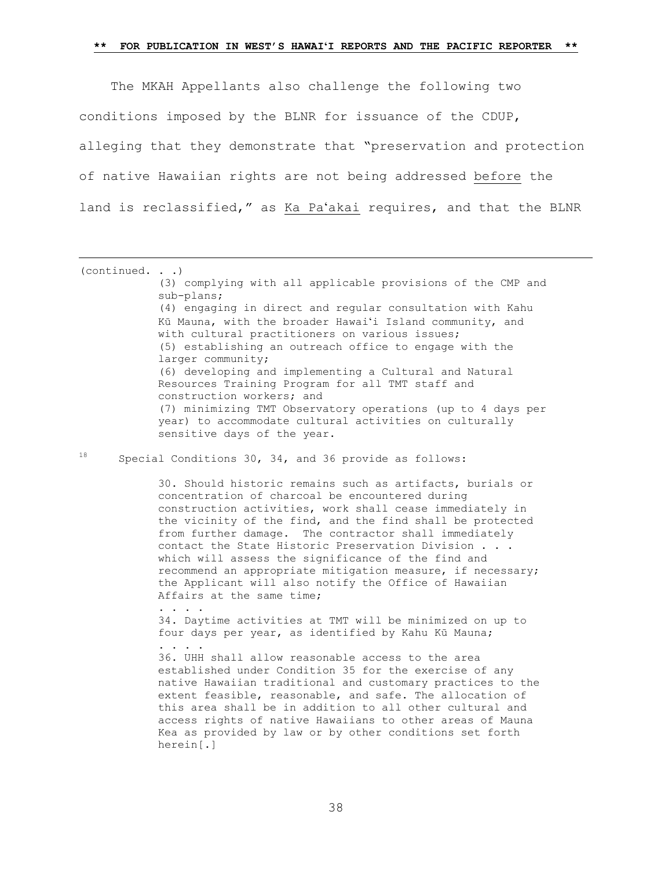The MKAH Appellants also challenge the following two conditions imposed by the BLNR for issuance of the CDUP, alleging that they demonstrate that "preservation and protection of native Hawaiian rights are not being addressed before the land is reclassified," as Ka Paʻakai requires, and that the BLNR

(continued. . .) (3) complying with all applicable provisions of the CMP and sub-plans; (4) engaging in direct and regular consultation with Kahu Kū Mauna, with the broader Hawaiʻi Island community, and with cultural practitioners on various issues; (5) establishing an outreach office to engage with the larger community; (6) developing and implementing a Cultural and Natural Resources Training Program for all TMT staff and construction workers; and (7) minimizing TMT Observatory operations (up to 4 days per year) to accommodate cultural activities on culturally sensitive days of the year.

18 Special Conditions 30, 34, and 36 provide as follows:

. . . .

. . . .

a<br>B

30. Should historic remains such as artifacts, burials or concentration of charcoal be encountered during construction activities, work shall cease immediately in the vicinity of the find, and the find shall be protected from further damage. The contractor shall immediately contact the State Historic Preservation Division . . . which will assess the significance of the find and recommend an appropriate mitigation measure, if necessary; the Applicant will also notify the Office of Hawaiian Affairs at the same time;

34. Daytime activities at TMT will be minimized on up to four days per year, as identified by Kahu Kū Mauna;

36. UHH shall allow reasonable access to the area established under Condition 35 for the exercise of any native Hawaiian traditional and customary practices to the extent feasible, reasonable, and safe. The allocation of this area shall be in addition to all other cultural and access rights of native Hawaiians to other areas of Mauna Kea as provided by law or by other conditions set forth herein[.]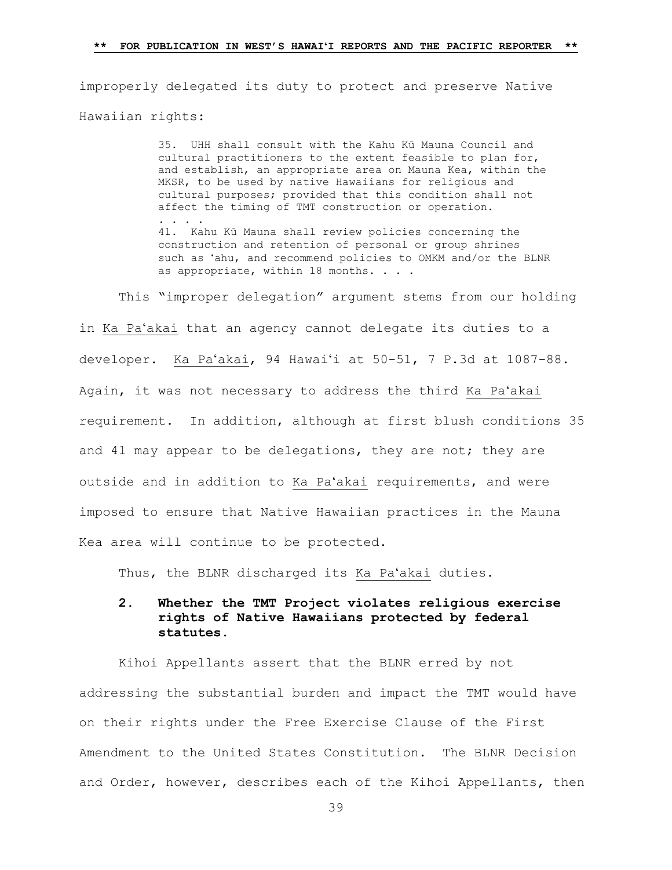improperly delegated its duty to protect and preserve Native Hawaiian rights:

> 35. UHH shall consult with the Kahu Kū Mauna Council and cultural practitioners to the extent feasible to plan for, and establish, an appropriate area on Mauna Kea, within the MKSR, to be used by native Hawaiians for religious and cultural purposes; provided that this condition shall not affect the timing of TMT construction or operation. . . . . 41. Kahu Kū Mauna shall review policies concerning the construction and retention of personal or group shrines such as ʻahu, and recommend policies to OMKM and/or the BLNR as appropriate, within 18 months. . . .

This "improper delegation" argument stems from our holding in Ka Paʻakai that an agency cannot delegate its duties to a developer. Ka Paʻakai, 94 Hawaiʻi at 50-51, 7 P.3d at 1087-88. Again, it was not necessary to address the third Ka Paʻakai requirement. In addition, although at first blush conditions 35 and 41 may appear to be delegations, they are not; they are outside and in addition to Ka Paʻakai requirements, and were imposed to ensure that Native Hawaiian practices in the Mauna Kea area will continue to be protected.

Thus, the BLNR discharged its Ka Paʻakai duties.

# **2. Whether the TMT Project violates religious exercise rights of Native Hawaiians protected by federal statutes.**

Kihoi Appellants assert that the BLNR erred by not addressing the substantial burden and impact the TMT would have on their rights under the Free Exercise Clause of the First Amendment to the United States Constitution. The BLNR Decision and Order, however, describes each of the Kihoi Appellants, then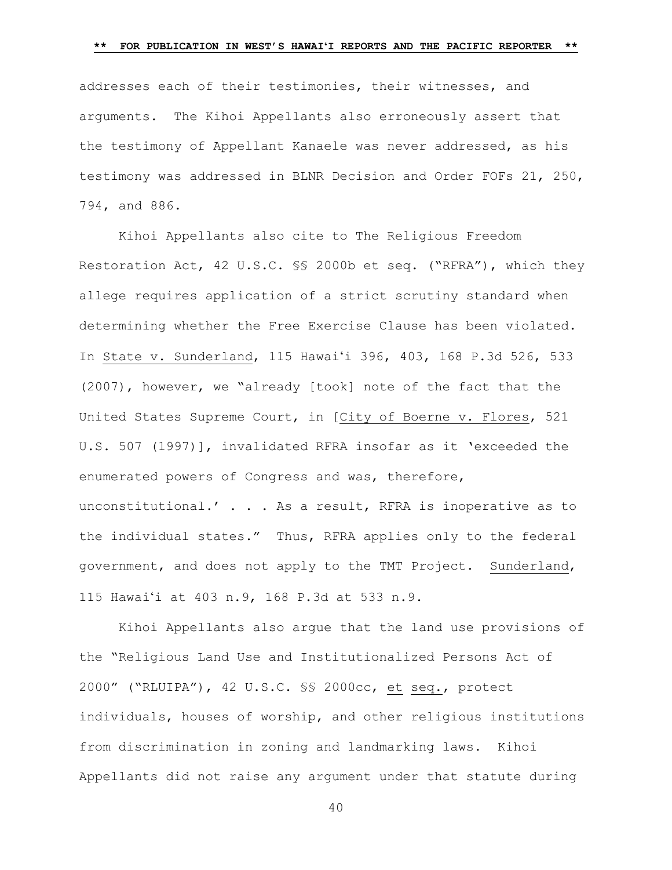addresses each of their testimonies, their witnesses, and arguments. The Kihoi Appellants also erroneously assert that the testimony of Appellant Kanaele was never addressed, as his testimony was addressed in BLNR Decision and Order FOFs 21, 250, 794, and 886.

Kihoi Appellants also cite to The Religious Freedom Restoration Act, 42 U.S.C. §§ 2000b et seq. ("RFRA"), which they allege requires application of a strict scrutiny standard when determining whether the Free Exercise Clause has been violated. In State v. Sunderland, 115 Hawaiʻi 396, 403, 168 P.3d 526, 533 (2007), however, we "already [took] note of the fact that the United States Supreme Court, in [City of Boerne v. Flores, 521 U.S. 507 (1997)], invalidated RFRA insofar as it 'exceeded the enumerated powers of Congress and was, therefore, unconstitutional.'  $\ldots$  . As a result, RFRA is inoperative as to the individual states." Thus, RFRA applies only to the federal government, and does not apply to the TMT Project. Sunderland, 115 Hawaiʻi at 403 n.9, 168 P.3d at 533 n.9.

Kihoi Appellants also argue that the land use provisions of the "Religious Land Use and Institutionalized Persons Act of 2000" ("RLUIPA"), 42 U.S.C. §§ 2000cc, et seq., protect individuals, houses of worship, and other religious institutions from discrimination in zoning and landmarking laws. Kihoi Appellants did not raise any argument under that statute during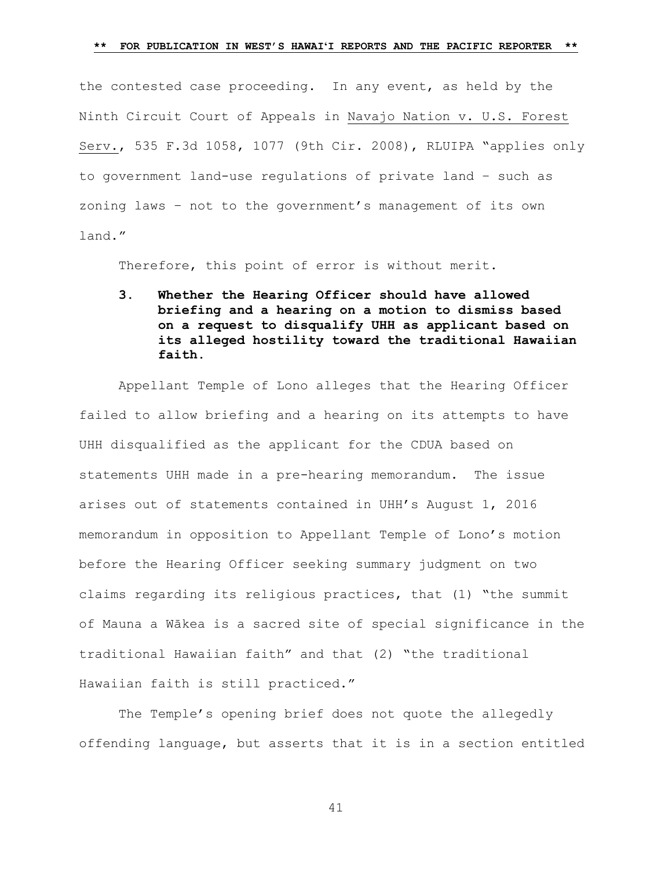the contested case proceeding. In any event, as held by the Ninth Circuit Court of Appeals in Navajo Nation v. U.S. Forest Serv., 535 F.3d 1058, 1077 (9th Cir. 2008), RLUIPA "applies only to government land-use regulations of private land – such as zoning laws – not to the government's management of its own land."

Therefore, this point of error is without merit.

**3. Whether the Hearing Officer should have allowed briefing and a hearing on a motion to dismiss based on a request to disqualify UHH as applicant based on its alleged hostility toward the traditional Hawaiian faith.**

Appellant Temple of Lono alleges that the Hearing Officer failed to allow briefing and a hearing on its attempts to have UHH disqualified as the applicant for the CDUA based on statements UHH made in a pre-hearing memorandum. The issue arises out of statements contained in UHH's August 1, 2016 memorandum in opposition to Appellant Temple of Lono's motion before the Hearing Officer seeking summary judgment on two claims regarding its religious practices, that (1) "the summit of Mauna a Wākea is a sacred site of special significance in the traditional Hawaiian faith" and that (2) "the traditional Hawaiian faith is still practiced."

The Temple's opening brief does not quote the allegedly offending language, but asserts that it is in a section entitled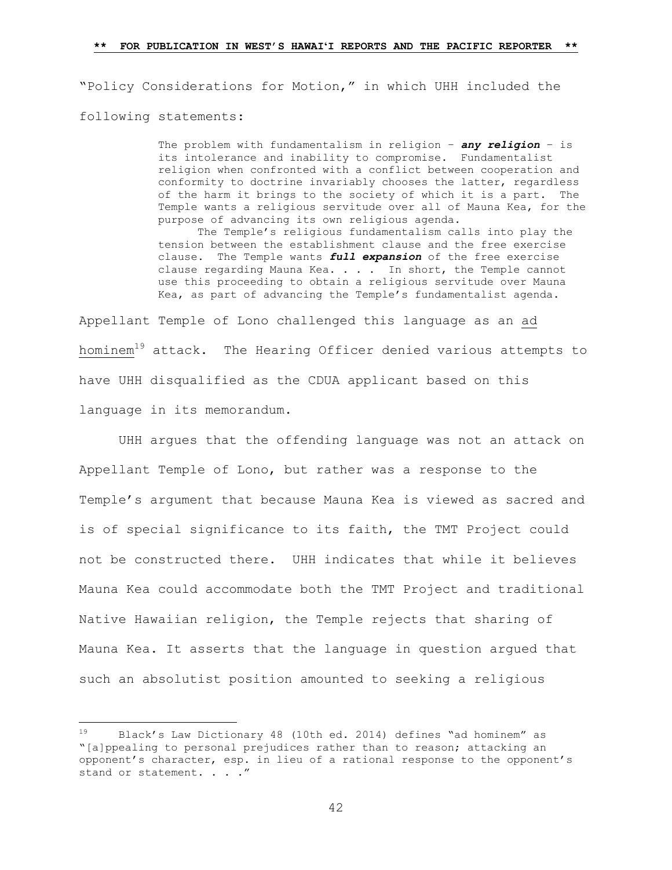"Policy Considerations for Motion," in which UHH included the following statements:

> The problem with fundamentalism in religion – *any religion* – is its intolerance and inability to compromise. Fundamentalist religion when confronted with a conflict between cooperation and conformity to doctrine invariably chooses the latter, regardless of the harm it brings to the society of which it is a part. The Temple wants a religious servitude over all of Mauna Kea, for the purpose of advancing its own religious agenda. The Temple's religious fundamentalism calls into play the tension between the establishment clause and the free exercise clause. The Temple wants *full expansion* of the free exercise clause regarding Mauna Kea. . . . In short, the Temple cannot use this proceeding to obtain a religious servitude over Mauna

Kea, as part of advancing the Temple's fundamentalist agenda.

Appellant Temple of Lono challenged this language as an ad hominem<sup>19</sup> attack. The Hearing Officer denied various attempts to have UHH disqualified as the CDUA applicant based on this language in its memorandum.

UHH argues that the offending language was not an attack on Appellant Temple of Lono, but rather was a response to the Temple's argument that because Mauna Kea is viewed as sacred and is of special significance to its faith, the TMT Project could not be constructed there. UHH indicates that while it believes Mauna Kea could accommodate both the TMT Project and traditional Native Hawaiian religion, the Temple rejects that sharing of Mauna Kea. It asserts that the language in question argued that such an absolutist position amounted to seeking a religious

<sup>19</sup> Black's Law Dictionary 48 (10th ed. 2014) defines "ad hominem" as "[a]ppealing to personal prejudices rather than to reason; attacking an opponent's character, esp. in lieu of a rational response to the opponent's stand or statement. . . . "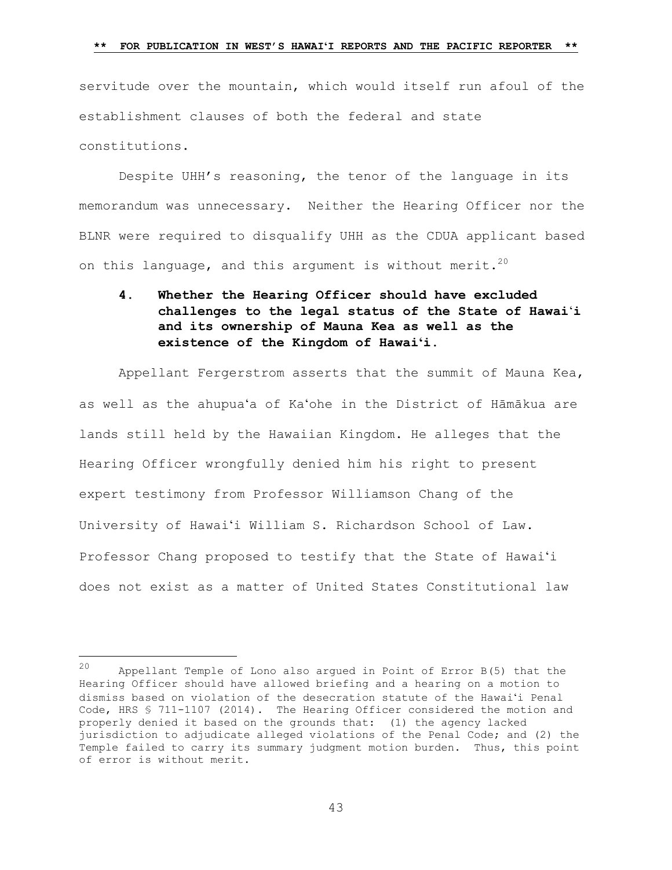servitude over the mountain, which would itself run afoul of the establishment clauses of both the federal and state constitutions.

Despite UHH's reasoning, the tenor of the language in its memorandum was unnecessary. Neither the Hearing Officer nor the BLNR were required to disqualify UHH as the CDUA applicant based on this language, and this argument is without merit.<sup>20</sup>

**4. Whether the Hearing Officer should have excluded challenges to the legal status of the State of Hawai**ʻ**i and its ownership of Mauna Kea as well as the existence of the Kingdom of Hawaiʻi.** 

Appellant Fergerstrom asserts that the summit of Mauna Kea, as well as the ahupuaʻa of Kaʻohe in the District of Hāmākua are lands still held by the Hawaiian Kingdom. He alleges that the Hearing Officer wrongfully denied him his right to present expert testimony from Professor Williamson Chang of the University of Hawaiʻi William S. Richardson School of Law. Professor Chang proposed to testify that the State of Hawaiʻi does not exist as a matter of United States Constitutional law

<sup>20</sup> Appellant Temple of Lono also argued in Point of Error B(5) that the Hearing Officer should have allowed briefing and a hearing on a motion to dismiss based on violation of the desecration statute of the Hawaiʻi Penal Code, HRS § 711-1107 (2014). The Hearing Officer considered the motion and properly denied it based on the grounds that: (1) the agency lacked jurisdiction to adjudicate alleged violations of the Penal Code; and (2) the Temple failed to carry its summary judgment motion burden. Thus, this point of error is without merit.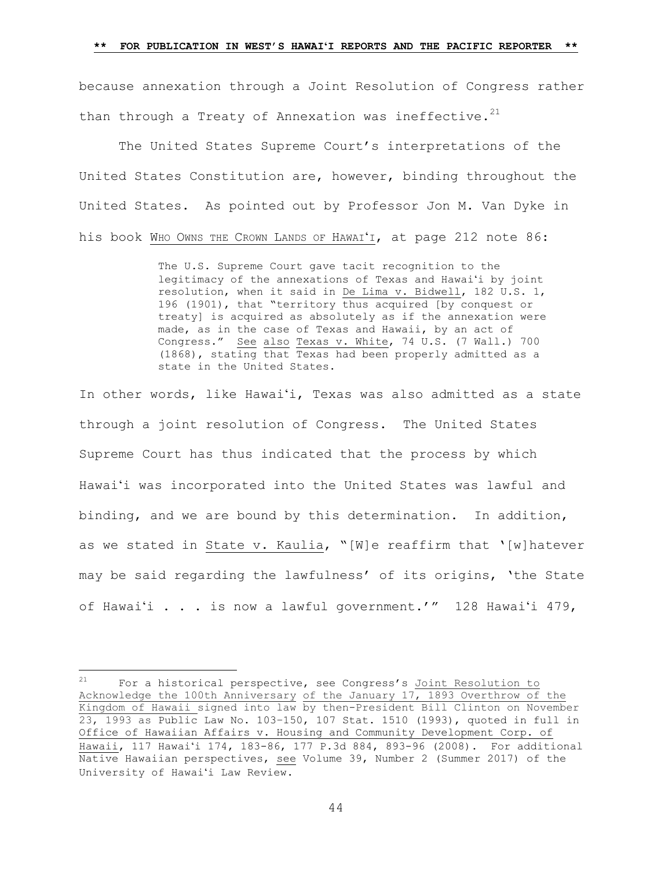because annexation through a Joint Resolution of Congress rather than through a Treaty of Annexation was ineffective. $21$ 

The United States Supreme Court's interpretations of the United States Constitution are, however, binding throughout the United States. As pointed out by Professor Jon M. Van Dyke in his book WHO OWNS THE CROWN LANDS OF HAWAIʻI, at page 212 note 86:

> The U.S. Supreme Court gave tacit recognition to the legitimacy of the annexations of Texas and Hawaiʻi by joint resolution, when it said in De Lima v. Bidwell, 182 U.S. 1, 196 (1901), that "territory thus acquired [by conquest or treaty] is acquired as absolutely as if the annexation were made, as in the case of Texas and Hawaii, by an act of Congress." See also Texas v. White, 74 U.S. (7 Wall.) 700 (1868), stating that Texas had been properly admitted as a state in the United States.

In other words, like Hawaiʻi, Texas was also admitted as a state through a joint resolution of Congress. The United States Supreme Court has thus indicated that the process by which Hawai'i was incorporated into the United States was lawful and binding, and we are bound by this determination. In addition, as we stated in State v. Kaulia, "[W]e reaffirm that '[w]hatever may be said regarding the lawfulness' of its origins, 'the State of Hawaiʻi . . . is now a lawful government.'" 128 Hawaiʻi 479,

 $21$  For a historical perspective, see Congress's Joint Resolution to Acknowledge the 100th Anniversary of the January 17, 1893 Overthrow of the Kingdom of Hawaii signed into law by then-President Bill Clinton on November 23, 1993 as Public Law No. 103–150, 107 Stat. 1510 (1993), quoted in full in Office of Hawaiian Affairs v. Housing and Community Development Corp. of Hawaii, 117 Hawaiʻi 174, 183-86, 177 P.3d 884, 893-96 (2008). For additional Native Hawaiian perspectives, see Volume 39, Number 2 (Summer 2017) of the University of Hawaiʻi Law Review.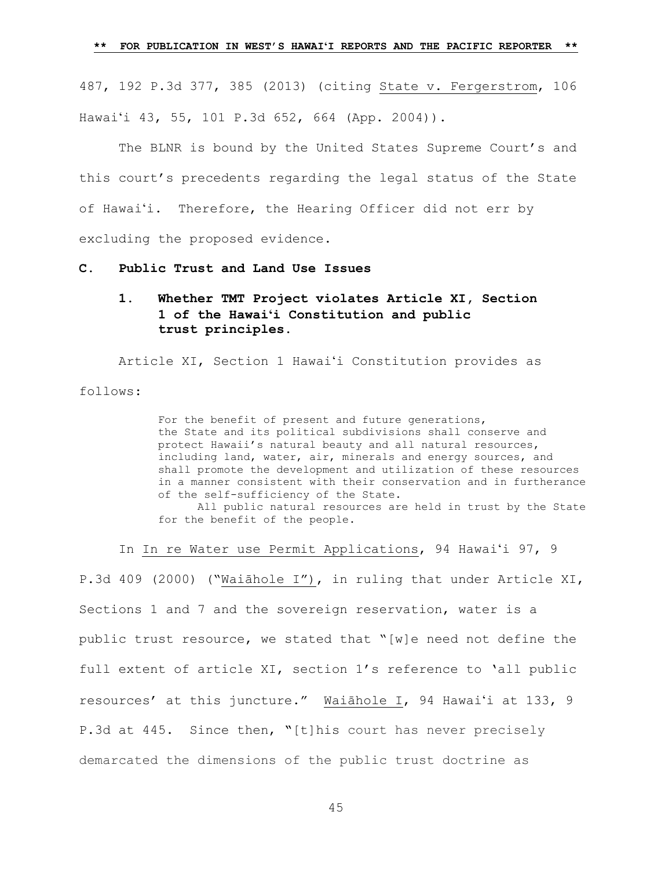487, 192 P.3d 377, 385 (2013) (citing State v. Fergerstrom, 106 Hawaiʻi 43, 55, 101 P.3d 652, 664 (App. 2004)).

The BLNR is bound by the United States Supreme Court's and this court's precedents regarding the legal status of the State of Hawaiʻi. Therefore, the Hearing Officer did not err by excluding the proposed evidence.

**C. Public Trust and Land Use Issues**

# **1. Whether TMT Project violates Article XI, Section 1 of the Hawaiʻi Constitution and public trust principles.**

Article XI, Section 1 Hawaiʻi Constitution provides as follows:

> For the benefit of present and future generations, the State and its political subdivisions shall conserve and protect Hawaii's natural beauty and all natural resources, including land, water, air, minerals and energy sources, and shall promote the development and utilization of these resources in a manner consistent with their conservation and in furtherance of the self-sufficiency of the State. All public natural resources are held in trust by the State

for the benefit of the people.

In In re Water use Permit Applications, 94 Hawaiʻi 97, 9 P.3d 409 (2000) ("Waiāhole I"), in ruling that under Article XI, Sections 1 and 7 and the sovereign reservation, water is a public trust resource, we stated that "[w]e need not define the full extent of article XI, section 1's reference to 'all public resources' at this juncture." Waiāhole I, 94 Hawaiʻi at 133, 9 P.3d at 445. Since then, **"**[t]his court has never precisely demarcated the dimensions of the public trust doctrine as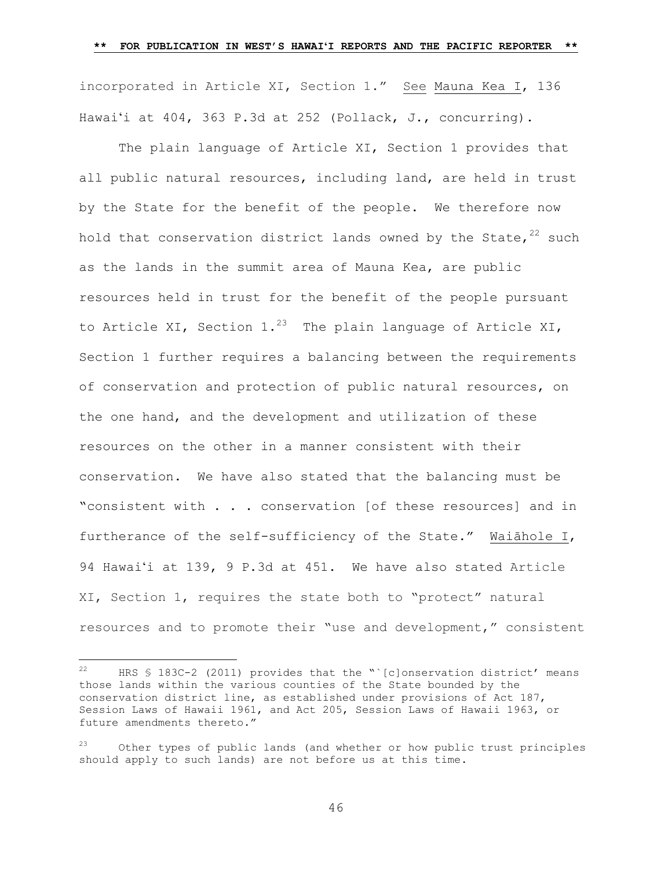incorporated in Article XI, Section 1." See [Mauna Kea I, 136](https://1.next.westlaw.com/Link/Document/FullText?findType=Y&serNum=2037728538&pubNum=0004645&originatingDoc=Ib7310ae08c6c11e68bf9cabfb8a03530&refType=RP&fi=co_pp_sp_4645_262&originationContext=document&transitionType=DocumentItem&contextData=(sc.Search)#co_pp_sp_4645_262) Hawaiʻ[i at 404, 363 P.3d at 252](https://1.next.westlaw.com/Link/Document/FullText?findType=Y&serNum=2037728538&pubNum=0004645&originatingDoc=Ib7310ae08c6c11e68bf9cabfb8a03530&refType=RP&fi=co_pp_sp_4645_262&originationContext=document&transitionType=DocumentItem&contextData=(sc.Search)#co_pp_sp_4645_262) (Pollack, J., concurring).

The plain language of Article XI, Section 1 provides that all public natural resources, including land, are held in trust by the State for the benefit of the people. We therefore now hold that conservation district lands owned by the State,  $22$  such as the lands in the summit area of Mauna Kea, are public resources held in trust for the benefit of the people pursuant to Article XI, Section 1.<sup>23</sup> The plain language of Article XI, Section 1 further requires a balancing between the requirements of conservation and protection of public natural resources, on the one hand, and the development and utilization of these resources on the other in a manner consistent with their conservation. We have also stated that the balancing must be "consistent with . . . conservation [of these resources] and in furtherance of the self-sufficiency of the State." Waiāhole I, 94 Hawaiʻi at 139, 9 P.3d at 451. We have also stated Article XI, Section 1, requires the state both to "protect" natural resources and to promote their "use and development," consistent

a<br>B

<sup>&</sup>lt;sup>22</sup> HRS § 183C-2 (2011) provides that the "`[c]onservation district' means those lands within the various counties of the State bounded by the conservation district line, as established under provisions of Act 187, Session Laws of Hawaii 1961, and Act 205, Session Laws of Hawaii 1963, or future amendments thereto."

 $23$  Other types of public lands (and whether or how public trust principles should apply to such lands) are not before us at this time.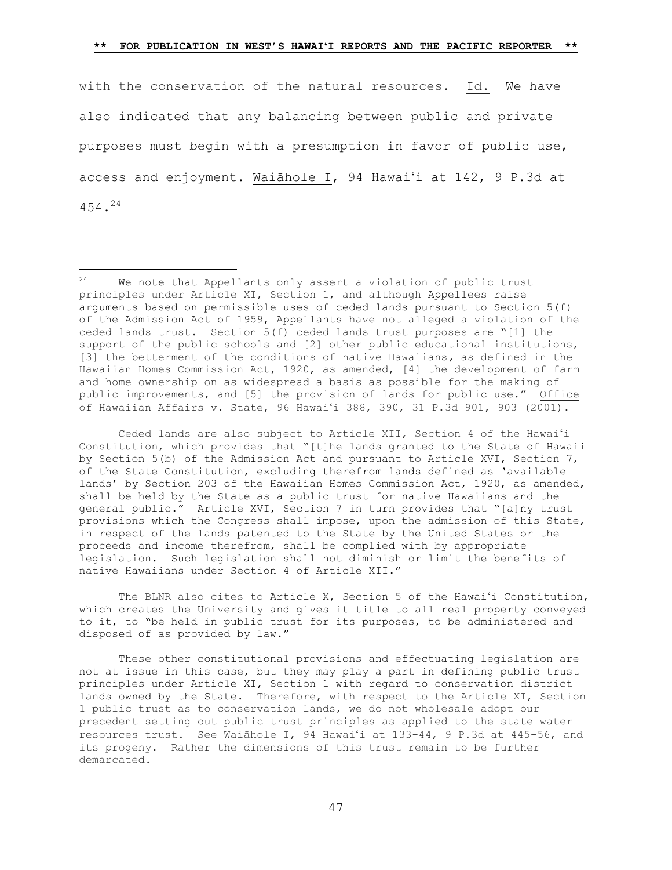with the conservation of the natural resources. Id. We have also indicated that any balancing between public and private purposes must begin with a presumption in favor of public use, access and enjoyment. Waiāhole I, 94 Hawaiʻi at 142, 9 P.3d at 454. 24

a<br>B

Ceded lands are also subject to Article XII, Section 4 of the Hawaiʻi Constitution, which provides that "[t]he lands granted to the State of Hawaii by Section 5(b) of the Admission Act and pursuant to Article XVI, Section 7, of the State Constitution, excluding therefrom lands defined as 'available lands' by Section 203 of the Hawaiian Homes Commission Act, 1920, as amended, shall be held by the State as a public trust for native Hawaiians and the general public." Article XVI, Section 7 in turn provides that "[a]ny trust provisions which the Congress shall impose, upon the admission of this State, in respect of the lands patented to the State by the United States or the proceeds and income therefrom, shall be complied with by appropriate legislation. Such legislation shall not diminish or limit the benefits of native Hawaiians under Section 4 of Article XII."

The BLNR also cites to Article X, Section 5 of the Hawaiʻi Constitution, which creates the University and gives it title to all real property conveyed to it, to "be held in public trust for its purposes, to be administered and disposed of as provided by law."

These other constitutional provisions and effectuating legislation are not at issue in this case, but they may play a part in defining public trust principles under Article XI, Section 1 with regard to conservation district lands owned by the State. Therefore, with respect to the Article XI, Section 1 public trust as to conservation lands, we do not wholesale adopt our precedent setting out public trust principles as applied to the state water resources trust. See Waiāhole I, 94 Hawaiʻi at 133-44, 9 P.3d at 445-56, and its progeny. Rather the dimensions of this trust remain to be further demarcated.

 $24$  We note that Appellants only assert a violation of public trust principles under Article XI, Section 1, and although Appellees raise arguments based on permissible uses of ceded lands pursuant to Section 5(f) of the Admission Act of 1959, Appellants have not alleged a violation of the ceded lands trust. Section 5(f) ceded lands trust purposes are "[1] the support of the public schools and [2] other public educational institutions, [3] the betterment of the conditions of native Hawaiians*,* as defined in the Hawaiian Homes Commission Act, 1920, as amended, [4] the development of farm and home ownership on as widespread a basis as possible for the making of public improvements, and [5] the provision of lands for public use." Office of Hawaiian Affairs v. State, 96 Hawaiʻi 388, 390, 31 P.3d 901, 903 (2001).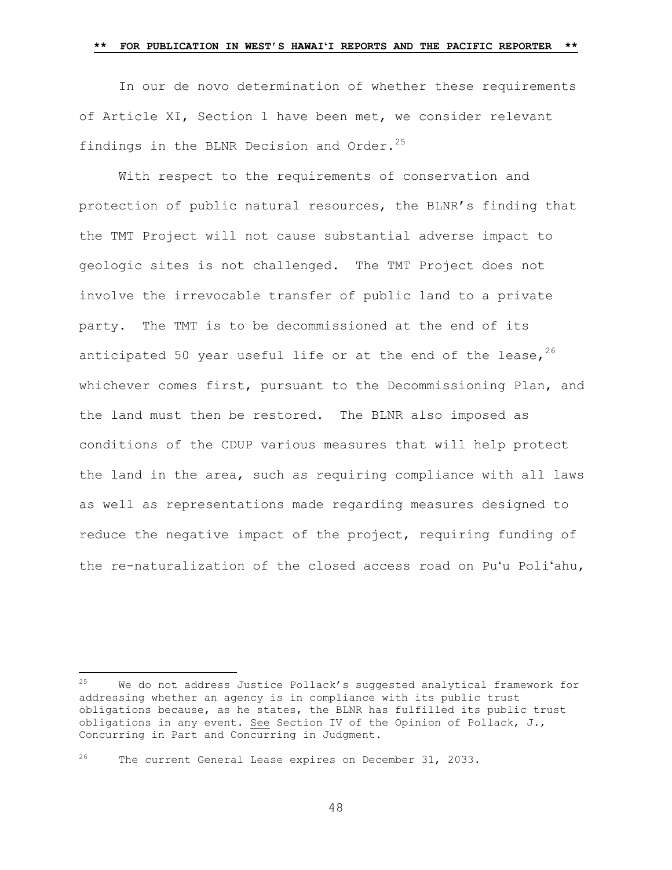In our de novo determination of whether these requirements of Article XI, Section 1 have been met, we consider relevant findings in the BLNR Decision and Order.<sup>25</sup>

With respect to the requirements of conservation and protection of public natural resources, the BLNR's finding that the TMT Project will not cause substantial adverse impact to geologic sites is not challenged. The TMT Project does not involve the irrevocable transfer of public land to a private party. The TMT is to be decommissioned at the end of its anticipated 50 year useful life or at the end of the lease,  $26$ whichever comes first, pursuant to the Decommissioning Plan, and the land must then be restored. The BLNR also imposed as conditions of the CDUP various measures that will help protect the land in the area, such as requiring compliance with all laws as well as representations made regarding measures designed to reduce the negative impact of the project, requiring funding of the re-naturalization of the closed access road on Puʻu Poliʻahu,

<sup>26</sup> The current General Lease expires on December 31, 2033.

<sup>25</sup> We do not address Justice Pollack's suggested analytical framework for addressing whether an agency is in compliance with its public trust obligations because, as he states, the BLNR has fulfilled its public trust obligations in any event. See Section IV of the Opinion of Pollack, J., Concurring in Part and Concurring in Judgment.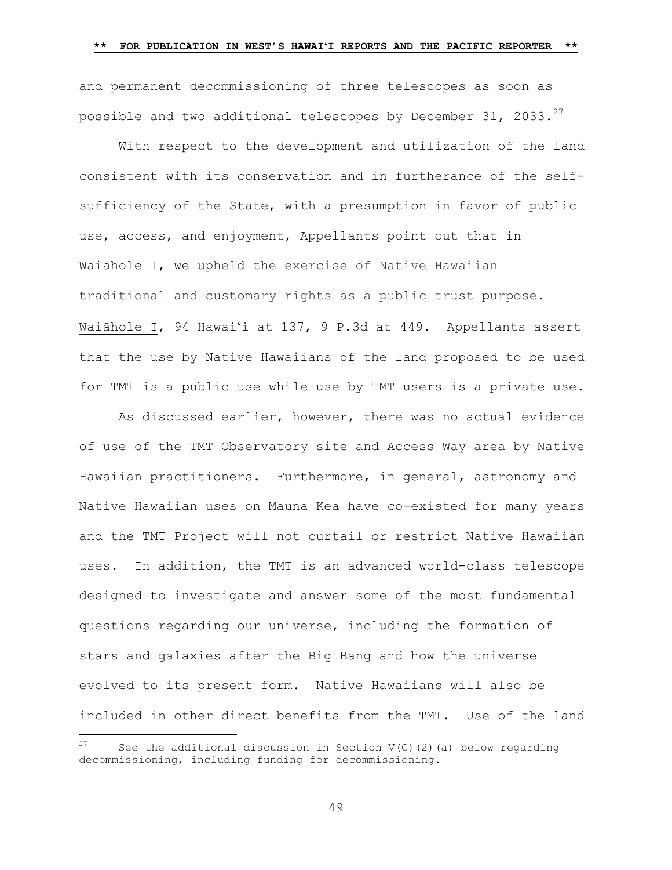and permanent decommissioning of three telescopes as soon as possible and two additional telescopes by December 31, 2033. $^{27}$ 

With respect to the development and utilization of the land consistent with its conservation and in furtherance of the selfsufficiency of the State, with a presumption in favor of public use, access, and enjoyment, Appellants point out that in Waiāhole I, we upheld the exercise of Native Hawaiian traditional and customary rights as a public trust purpose. Waiāhole I, 94 Hawaiʻi at 137, 9 P.3d at 449. Appellants assert that the use by Native Hawaiians of the land proposed to be used for TMT is a public use while use by TMT users is a private use.

As discussed earlier, however, there was no actual evidence of use of the TMT Observatory site and Access Way area by Native Hawaiian practitioners. Furthermore, in general, astronomy and Native Hawaiian uses on Mauna Kea have co-existed for many years and the TMT Project will not curtail or restrict Native Hawaiian uses. In addition, the TMT is an advanced world-class telescope designed to investigate and answer some of the most fundamental questions regarding our universe, including the formation of stars and galaxies after the Big Bang and how the universe evolved to its present form. Native Hawaiians will also be included in other direct benefits from the TMT. Use of the land

a<br>B

See the additional discussion in Section  $V(C)$  (2)(a) below regarding decommissioning, including funding for decommissioning.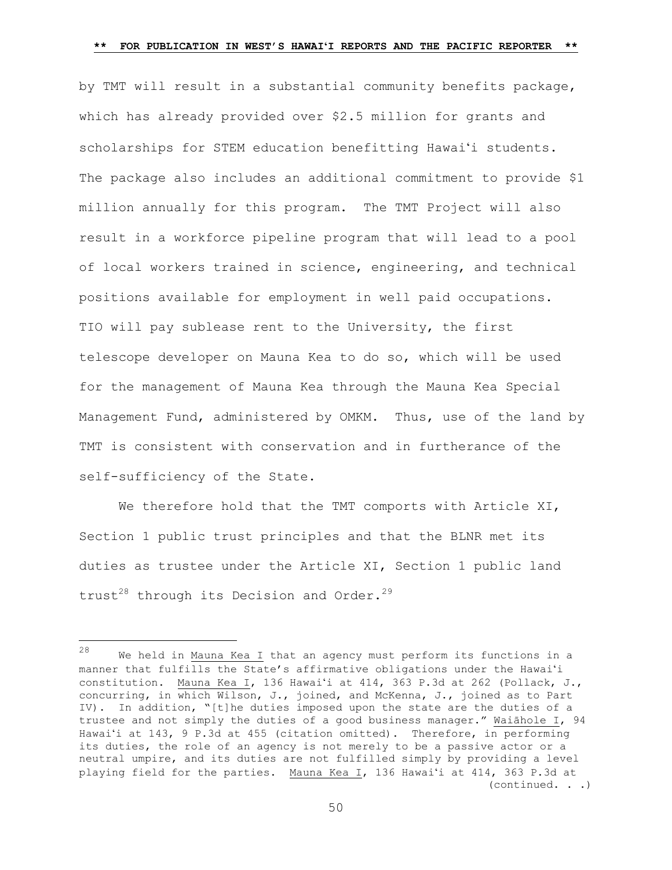by TMT will result in a substantial community benefits package, which has already provided over \$2.5 million for grants and scholarships for STEM education benefitting Hawaiʻi students. The package also includes an additional commitment to provide \$1 million annually for this program. The TMT Project will also result in a workforce pipeline program that will lead to a pool of local workers trained in science, engineering, and technical positions available for employment in well paid occupations. TIO will pay sublease rent to the University, the first telescope developer on Mauna Kea to do so, which will be used for the management of Mauna Kea through the Mauna Kea Special Management Fund, administered by OMKM. Thus, use of the land by TMT is consistent with conservation and in furtherance of the self-sufficiency of the State.

We therefore hold that the TMT comports with Article XI, Section 1 public trust principles and that the BLNR met its duties as trustee under the Article XI, Section 1 public land trust<sup>28</sup> through its Decision and Order.<sup>29</sup>

 $28$  We held in Mauna Kea I that an agency must perform its functions in a manner that fulfills the [State's affirmative obligations under the Hawai](https://1.next.westlaw.com/Link/Document/FullText?findType=Y&serNum=2037728538&pubNum=0004645&originatingDoc=Ib7310ae08c6c11e68bf9cabfb8a03530&refType=RP&fi=co_pp_sp_4645_262&originationContext=document&transitionType=DocumentItem&contextData=(sc.Search)#co_pp_sp_4645_262)ʻi [constitution. Mauna Kea I, 136 Hawai](https://1.next.westlaw.com/Link/Document/FullText?findType=Y&serNum=2037728538&pubNum=0004645&originatingDoc=Ib7310ae08c6c11e68bf9cabfb8a03530&refType=RP&fi=co_pp_sp_4645_262&originationContext=document&transitionType=DocumentItem&contextData=(sc.Search)#co_pp_sp_4645_262)ʻi at 414, 363 P.3d at 262 (Pollack, J., concurring, in which Wilson, J., joined, and McKenna, J., joined as to Part IV). In addition, "[t]he duties imposed upon the state are the duties of a trustee and not simply the duties of a good business manager." Waiāhole I, 94 Hawaiʻi at 143, 9 P.3d at 455 (citation omitted). Therefore, in performing its duties, the role of an agency is not merely to be a passive actor or a neutral umpire, and its duties are not fulfilled simply by providing a level playing field for the parties. [Mauna Kea I, 136 Hawai](https://1.next.westlaw.com/Link/Document/FullText?findType=Y&serNum=2037728538&pubNum=0004645&originatingDoc=Ib7310ae08c6c11e68bf9cabfb8a03530&refType=RP&fi=co_pp_sp_4645_262&originationContext=document&transitionType=DocumentItem&contextData=(sc.Search)#co_pp_sp_4645_262)ʻi at 414, 363 P.3d at (continued. . .)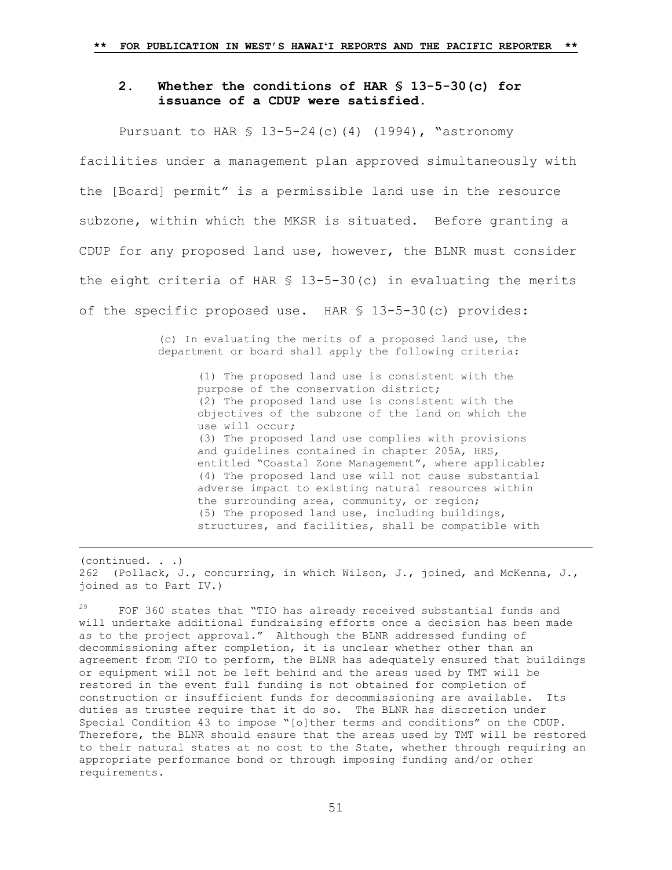## **2. Whether the conditions of HAR § 13-5-30(c) for issuance of a CDUP were satisfied.**

Pursuant to HAR  $$ 13-5-24$  (c)(4) (1994), "astronomy facilities under a management plan approved simultaneously with the [Board] permit" is a permissible land use in the resource subzone, within which the MKSR is situated. Before granting a CDUP for any proposed land use, however, the BLNR must consider the eight criteria of HAR § 13-5-30(c) in evaluating the merits of the specific proposed use. HAR § 13-5-30(c) provides:

> (c) In evaluating the merits of a proposed land use, the department or board shall apply the following criteria:

> > (1) The proposed land use is consistent with the purpose of the conservation district; (2) The proposed land use is consistent with the objectives of the subzone of the land on which the use will occur; (3) The proposed land use complies with provisions and guidelines contained in chapter 205A, HRS, entitled "Coastal Zone Management", where applicable; (4) The proposed land use will not cause substantial adverse impact to existing natural resources within the surrounding area, community, or region; (5) The proposed land use, including buildings, structures, and facilities, shall be compatible with

(continued. . .) [262](https://1.next.westlaw.com/Link/Document/FullText?findType=Y&serNum=2037728538&pubNum=0004645&originatingDoc=Ib7310ae08c6c11e68bf9cabfb8a03530&refType=RP&fi=co_pp_sp_4645_262&originationContext=document&transitionType=DocumentItem&contextData=(sc.Search)#co_pp_sp_4645_262) (Pollack, J., concurring, in which Wilson, J., joined, and McKenna, J., joined as to Part IV.)

a<br>B

 $29$  FOF 360 states that "TIO has already received substantial funds and will undertake additional fundraising efforts once a decision has been made as to the project approval." Although the BLNR addressed funding of decommissioning after completion, it is unclear whether other than an agreement from TIO to perform, the BLNR has adequately ensured that buildings or equipment will not be left behind and the areas used by TMT will be restored in the event full funding is not obtained for completion of construction or insufficient funds for decommissioning are available. Its duties as trustee require that it do so. The BLNR has discretion under Special Condition 43 to impose "[o]ther terms and conditions" on the CDUP. Therefore, the BLNR should ensure that the areas used by TMT will be restored to their natural states at no cost to the State, whether through requiring an appropriate performance bond or through imposing funding and/or other requirements.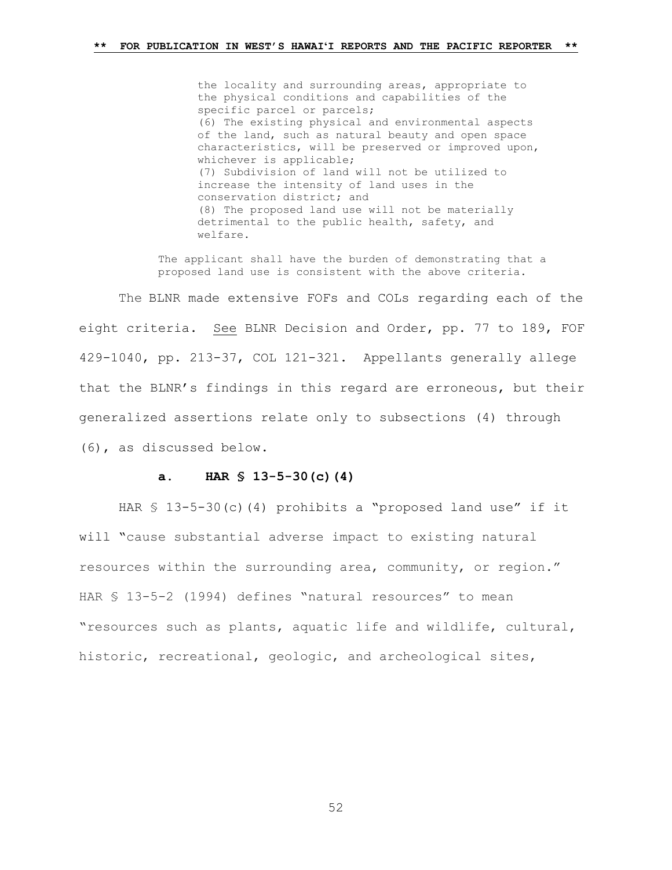the locality and surrounding areas, appropriate to the physical conditions and capabilities of the specific parcel or parcels; (6) The existing physical and environmental aspects of the land, such as natural beauty and open space characteristics, will be preserved or improved upon, whichever is applicable; (7) Subdivision of land will not be utilized to increase the intensity of land uses in the conservation district; and (8) The proposed land use will not be materially detrimental to the public health, safety, and welfare.

The applicant shall have the burden of demonstrating that a proposed land use is consistent with the above criteria.

The BLNR made extensive FOFs and COLs regarding each of the eight criteria. See BLNR Decision and Order, pp. 77 to 189, FOF 429-1040, pp. 213-37, COL 121-321. Appellants generally allege that the BLNR's findings in this regard are erroneous, but their generalized assertions relate only to subsections (4) through (6), as discussed below.

## **a. HAR § 13-5-30(c)(4)**

HAR § 13-5-30(c)(4) prohibits a "proposed land use" if it will "cause substantial adverse impact to existing natural resources within the surrounding area, community, or region." HAR § 13-5-2 (1994) defines "natural resources" to mean "resources such as plants, aquatic life and wildlife, cultural, historic, recreational, geologic, and archeological sites,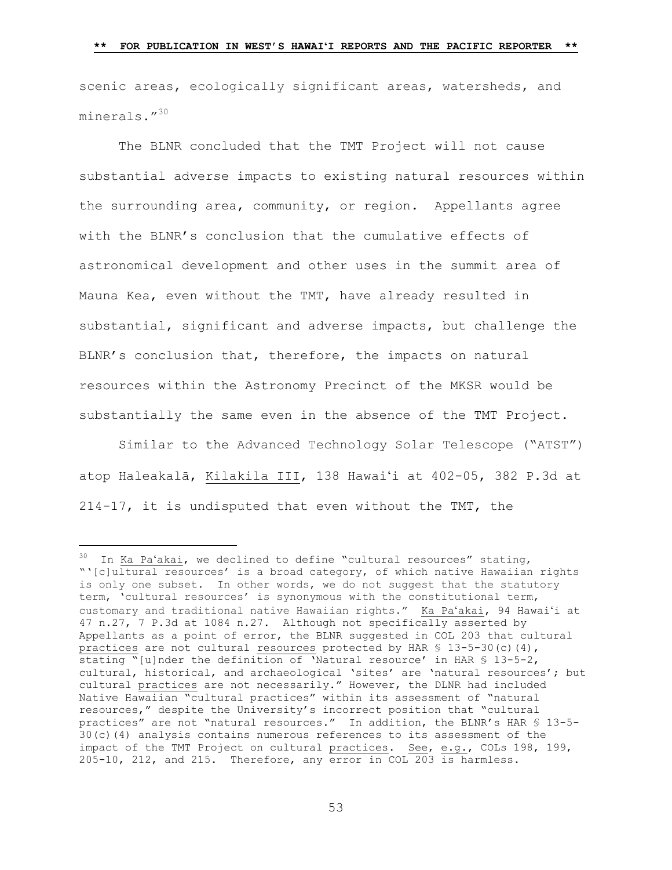scenic areas, ecologically significant areas, watersheds, and minerals."<sup>30</sup>

The BLNR concluded that the TMT Project will not cause substantial adverse impacts to existing natural resources within the surrounding area, community, or region. Appellants agree with the BLNR's conclusion that the cumulative effects of astronomical development and other uses in the summit area of Mauna Kea, even without the TMT, have already resulted in substantial, significant and adverse impacts, but challenge the BLNR's conclusion that, therefore, the impacts on natural resources within the Astronomy Precinct of the MKSR would be substantially the same even in the absence of the TMT Project.

Similar to the Advanced Technology Solar Telescope ("ATST") atop Haleakalā, Kilakila III, 138 Hawaiʻi at 402-05, 382 P.3d at 214-17, it is undisputed that even without the TMT, the

L,

 $30$  In Ka Pa'akai, we declined to define "cultural resources" stating, "'[c]ultural resources' is a broad category, of which native Hawaiian rights is only one subset. In other words, we do not suggest that the statutory term, 'cultural resources' is synonymous with the constitutional term, customary and traditional native Hawaiian rights." Ka Paʻakai, 94 Hawaiʻi at 47 n.27, 7 P.3d at 1084 n.27. Although not specifically asserted by Appellants as a point of error, the BLNR suggested in COL 203 that cultural practices are not cultural resources protected by HAR  $$ 13-5-30(c) (4)$ , stating "[u]nder the definition of 'Natural resource' in HAR § 13-5-2, cultural, historical, and archaeological 'sites' are 'natural resources'; but cultural practices are not necessarily." However, the DLNR had included Native Hawaiian "cultural practices" within its assessment of "natural resources," despite the University's incorrect position that "cultural practices" are not "natural resources." In addition, the BLNR's HAR § 13-5- 30(c)(4) analysis contains numerous references to its assessment of the impact of the TMT Project on cultural practices. See, e.g., COLs 198, 199, 205-10, 212, and 215. Therefore, any error in COL 203 is harmless.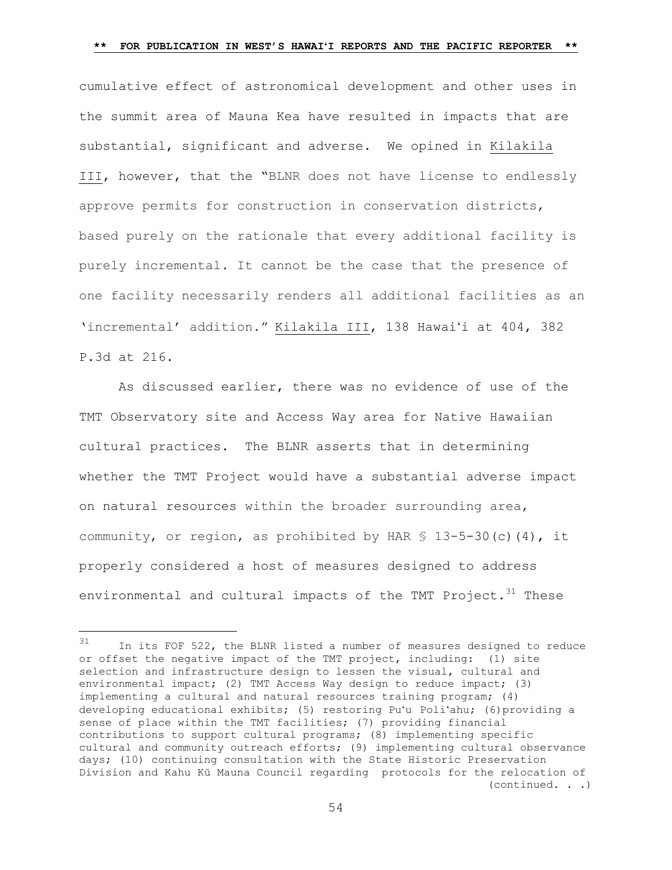cumulative effect of astronomical development and other uses in the summit area of Mauna Kea have resulted in impacts that are substantial, significant and adverse. We opined in Kilakila III, however, that the "BLNR does not have license to endlessly approve permits for construction in conservation districts, based purely on the rationale that every additional facility is purely incremental. It cannot be the case that the presence of one facility necessarily renders all additional facilities as an 'incremental' addition." Kilakila III, 138 Hawaiʻi at 404, 382 P.3d at 216.

As discussed earlier, there was no evidence of use of the TMT Observatory site and Access Way area for Native Hawaiian cultural practices. The BLNR asserts that in determining whether the TMT Project would have a substantial adverse impact on natural resources within the broader surrounding area, community, or region, as prohibited by HAR § 13-5-30(c)(4), it properly considered a host of measures designed to address environmental and cultural impacts of the TMT Project.<sup>31</sup> These

<sup>31</sup> In its FOF 522, the BLNR listed a number of measures designed to reduce or offset the negative impact of the TMT project, including: (1) site selection and infrastructure design to lessen the visual, cultural and environmental impact; (2) TMT Access Way design to reduce impact; (3) implementing a cultural and natural resources training program; (4) developing educational exhibits; (5) restoring Puʻu Poliʻahu; (6)providing a sense of place within the TMT facilities; (7) providing financial contributions to support cultural programs; (8) implementing specific cultural and community outreach efforts; (9) implementing cultural observance days; (10) continuing consultation with the State Historic Preservation Division and Kahu Kū Mauna Council regarding protocols for the relocation of (continued. . .)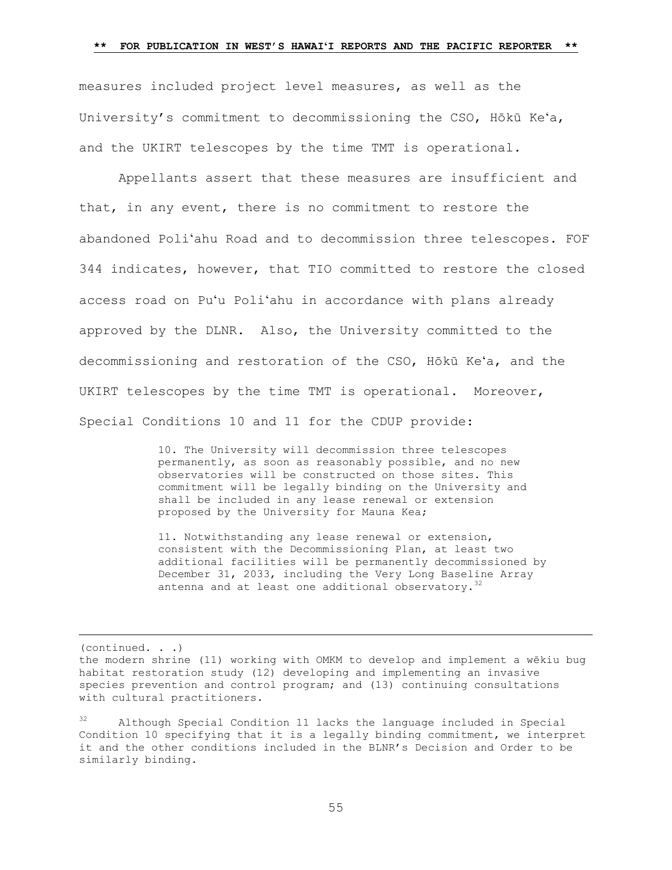measures included project level measures, as well as the University's commitment to decommissioning the CSO, Hōkū Keʻa, and the UKIRT telescopes by the time TMT is operational.

Appellants assert that these measures are insufficient and that, in any event, there is no commitment to restore the abandoned Poliʻahu Road and to decommission three telescopes. FOF 344 indicates, however, that TIO committed to restore the closed access road on Puʻu Poliʻahu in accordance with plans already approved by the DLNR. Also, the University committed to the decommissioning and restoration of the CSO, Hōkū Keʻa, and the UKIRT telescopes by the time TMT is operational. Moreover, Special Conditions 10 and 11 for the CDUP provide:

> 10. The University will decommission three telescopes permanently, as soon as reasonably possible, and no new observatories will be constructed on those sites. This commitment will be legally binding on the University and shall be included in any lease renewal or extension proposed by the University for Mauna Kea;

11. Notwithstanding any lease renewal or extension, consistent with the Decommissioning Plan, at least two additional facilities will be permanently decommissioned by December 31, 2033, including the Very Long Baseline Array antenna and at least one additional observatory.<sup>32</sup>

(continued. . .)

the modern shrine (11) working with OMKM to develop and implement a wēkiu bug habitat restoration study (12) developing and implementing an invasive species prevention and control program; and (13) continuing consultations with cultural practitioners.

<sup>32</sup> Although Special Condition 11 lacks the language included in Special Condition 10 specifying that it is a legally binding commitment, we interpret it and the other conditions included in the BLNR's Decision and Order to be similarly binding.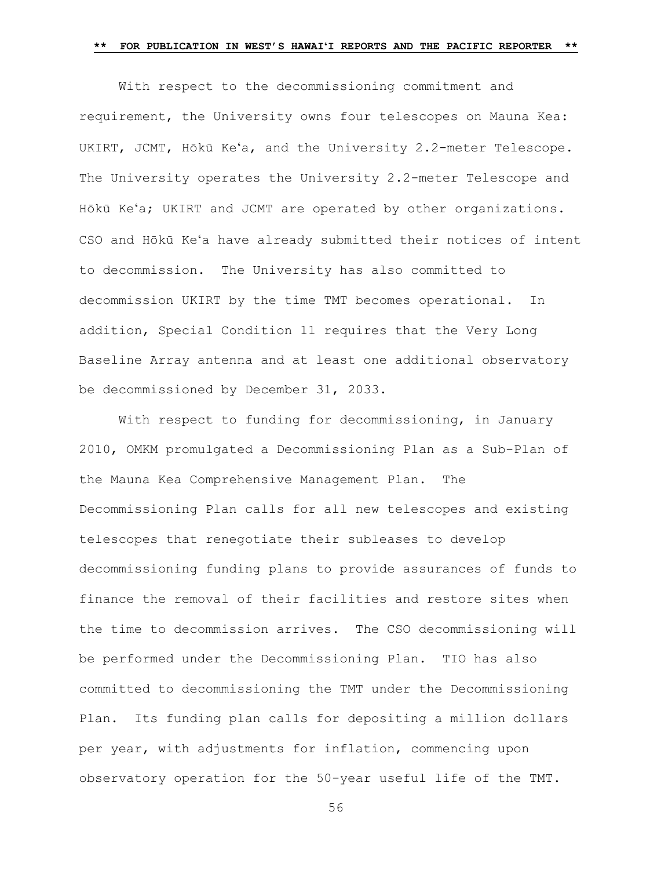With respect to the decommissioning commitment and requirement, the University owns four telescopes on Mauna Kea: UKIRT, JCMT, Hōkū Keʻa, and the University 2.2-meter Telescope. The University operates the University 2.2-meter Telescope and Hōkū Keʻa; UKIRT and JCMT are operated by other organizations. CSO and Hōkū Keʻa have already submitted their notices of intent to decommission. The University has also committed to decommission UKIRT by the time TMT becomes operational. In addition, Special Condition 11 requires that the Very Long Baseline Array antenna and at least one additional observatory be decommissioned by December 31, 2033.

With respect to funding for decommissioning, in January 2010, OMKM promulgated a Decommissioning Plan as a Sub-Plan of the Mauna Kea Comprehensive Management Plan. The Decommissioning Plan calls for all new telescopes and existing telescopes that renegotiate their subleases to develop decommissioning funding plans to provide assurances of funds to finance the removal of their facilities and restore sites when the time to decommission arrives. The CSO decommissioning will be performed under the Decommissioning Plan. TIO has also committed to decommissioning the TMT under the Decommissioning Plan. Its funding plan calls for depositing a million dollars per year, with adjustments for inflation, commencing upon observatory operation for the 50-year useful life of the TMT.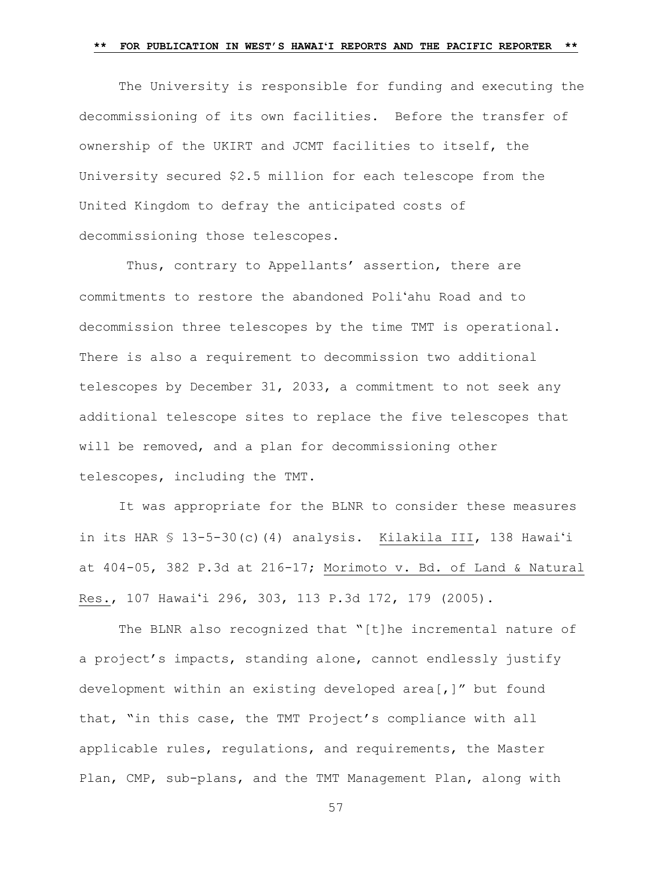The University is responsible for funding and executing the decommissioning of its own facilities. Before the transfer of ownership of the UKIRT and JCMT facilities to itself, the University secured \$2.5 million for each telescope from the United Kingdom to defray the anticipated costs of decommissioning those telescopes.

Thus, contrary to Appellants' assertion, there are commitments to restore the abandoned Poliʻahu Road and to decommission three telescopes by the time TMT is operational. There is also a requirement to decommission two additional telescopes by December 31, 2033, a commitment to not seek any additional telescope sites to replace the five telescopes that will be removed, and a plan for decommissioning other telescopes, including the TMT.

It was appropriate for the BLNR to consider these measures in its HAR § 13-5-30(c)(4) analysis. Kilakila III, 138 Hawaiʻi at 404-05, 382 P.3d at 216-17; Morimoto v. Bd. of Land & Natural Res., 107 Hawaiʻi 296, 303, 113 P.3d 172, 179 (2005).

The BLNR also recognized that "[t]he incremental nature of a project's impacts, standing alone, cannot endlessly justify development within an existing developed area[,]" but found that, "in this case, the TMT Project's compliance with all applicable rules, regulations, and requirements, the Master Plan, CMP, sub-plans, and the TMT Management Plan, along with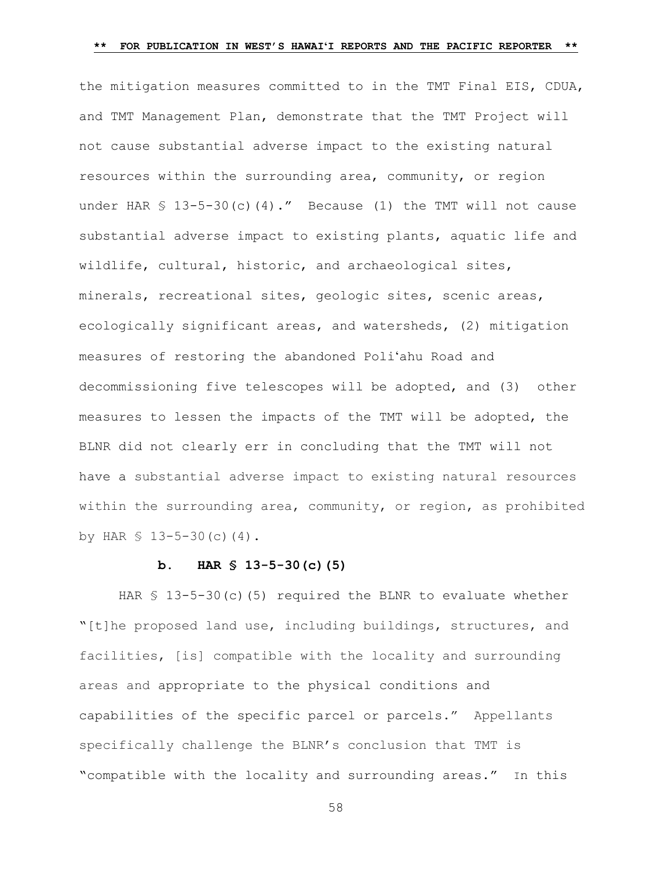the mitigation measures committed to in the TMT Final EIS, CDUA, and TMT Management Plan, demonstrate that the TMT Project will not cause substantial adverse impact to the existing natural resources within the surrounding area, community, or region under HAR  $\frac{1}{5}$  13-5-30(c)(4)." Because (1) the TMT will not cause substantial adverse impact to existing plants, aquatic life and wildlife, cultural, historic, and archaeological sites, minerals, recreational sites, geologic sites, scenic areas, ecologically significant areas, and watersheds, (2) mitigation measures of restoring the abandoned Poliʻahu Road and decommissioning five telescopes will be adopted, and (3) other measures to lessen the impacts of the TMT will be adopted, the BLNR did not clearly err in concluding that the TMT will not have a substantial adverse impact to existing natural resources within the surrounding area, community, or region, as prohibited by HAR  $$ 13-5-30(c)(4)$ .

### **b. HAR § 13-5-30(c)(5)**

HAR  $\leq 13-5-30$  (c) (5) required the BLNR to evaluate whether "[t]he proposed land use, including buildings, structures, and facilities, [is] compatible with the locality and surrounding areas and appropriate to the physical conditions and capabilities of the specific parcel or parcels." Appellants specifically challenge the BLNR's conclusion that TMT is "compatible with the locality and surrounding areas." In this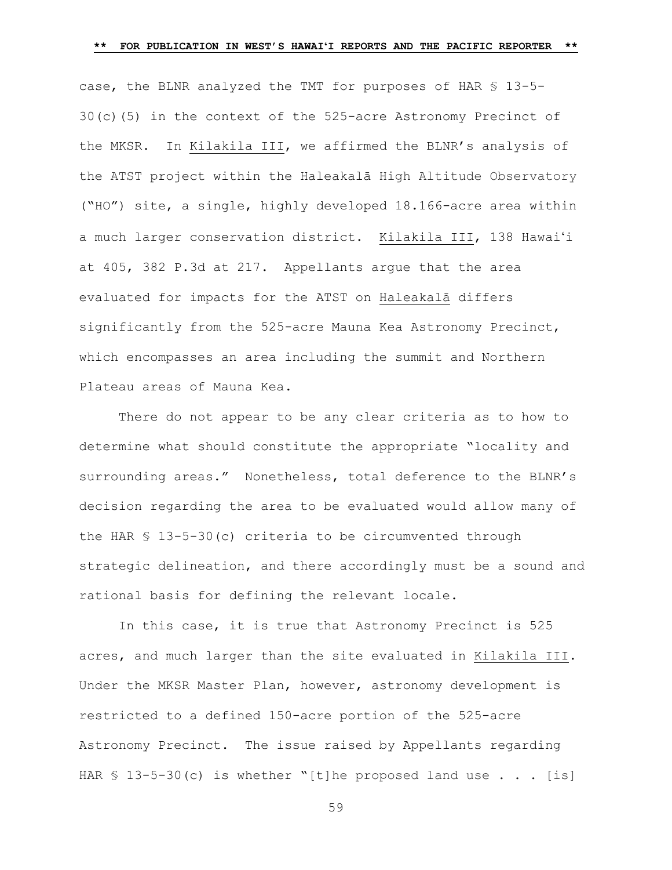case, the BLNR analyzed the TMT for purposes of HAR § 13-5- 30(c)(5) in the context of the 525-acre Astronomy Precinct of the MKSR. In Kilakila III, we affirmed the BLNR's analysis of the ATST project within the Haleakalā High Altitude Observatory ("HO") site, a single, highly developed 18.166-acre area within a much larger conservation district. Kilakila III, 138 Hawaiʻi at 405, 382 P.3d at 217. Appellants argue that the area evaluated for impacts for the ATST on Haleakalā differs significantly from the 525-acre Mauna Kea Astronomy Precinct, which encompasses an area including the summit and Northern Plateau areas of Mauna Kea.

There do not appear to be any clear criteria as to how to determine what should constitute the appropriate "locality and surrounding areas." Nonetheless, total deference to the BLNR's decision regarding the area to be evaluated would allow many of the HAR § 13-5-30(c) criteria to be circumvented through strategic delineation, and there accordingly must be a sound and rational basis for defining the relevant locale.

In this case, it is true that Astronomy Precinct is 525 acres, and much larger than the site evaluated in Kilakila III. Under the MKSR Master Plan, however, astronomy development is restricted to a defined 150-acre portion of the 525-acre Astronomy Precinct. The issue raised by Appellants regarding HAR § 13-5-30(c) is whether "[t]he proposed land use . . . [is]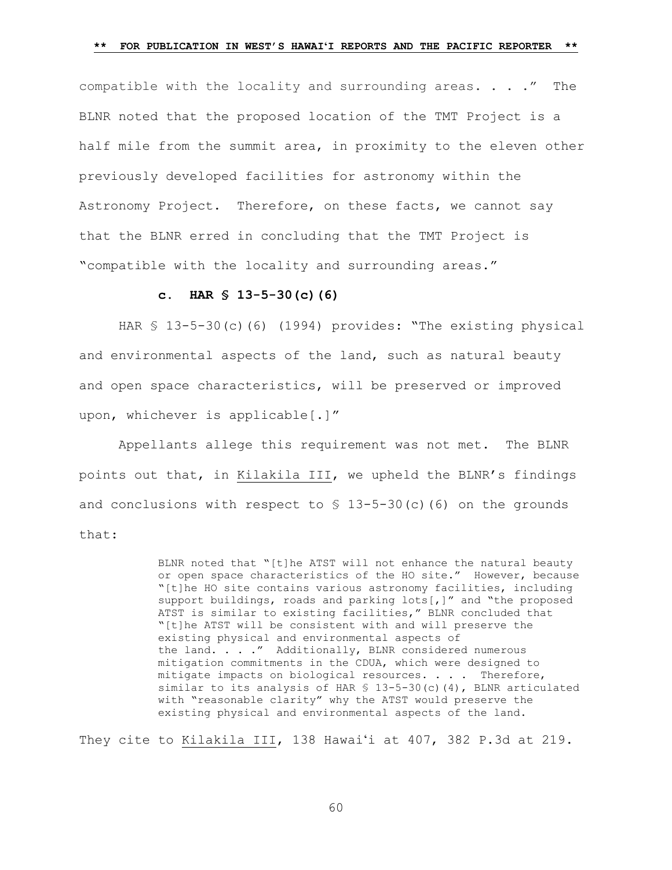compatible with the locality and surrounding areas. . . ." The BLNR noted that the proposed location of the TMT Project is a half mile from the summit area, in proximity to the eleven other previously developed facilities for astronomy within the Astronomy Project. Therefore, on these facts, we cannot say that the BLNR erred in concluding that the TMT Project is "compatible with the locality and surrounding areas."

### **c. HAR § 13-5-30(c)(6)**

HAR § 13-5-30(c)(6) (1994) provides: "The existing physical and environmental aspects of the land, such as natural beauty and open space characteristics, will be preserved or improved upon, whichever is applicable[.]"

Appellants allege this requirement was not met. The BLNR points out that, in Kilakila III, we upheld the BLNR's findings and conclusions with respect to  $$ 13-5-30(c)$  (6) on the grounds that:

> BLNR noted that "[t]he ATST will not enhance the natural beauty or open space characteristics of the HO site." However, because "[t]he HO site contains various astronomy facilities, including support buildings, roads and parking lots[,]" and "the proposed ATST is similar to existing facilities," BLNR concluded that "[t]he ATST will be consistent with and will preserve the existing physical and environmental aspects of the land. . . ." Additionally, BLNR considered numerous mitigation commitments in the CDUA, which were designed to mitigate impacts on biological resources. . . . Therefore, similar to its analysis of HAR  $$ 13-5-30(c) (4)$ , BLNR articulated with "reasonable clarity" why the ATST would preserve the existing physical and environmental aspects of the land.

They cite to Kilakila III, 138 Hawaiʻi at 407, 382 P.3d at 219.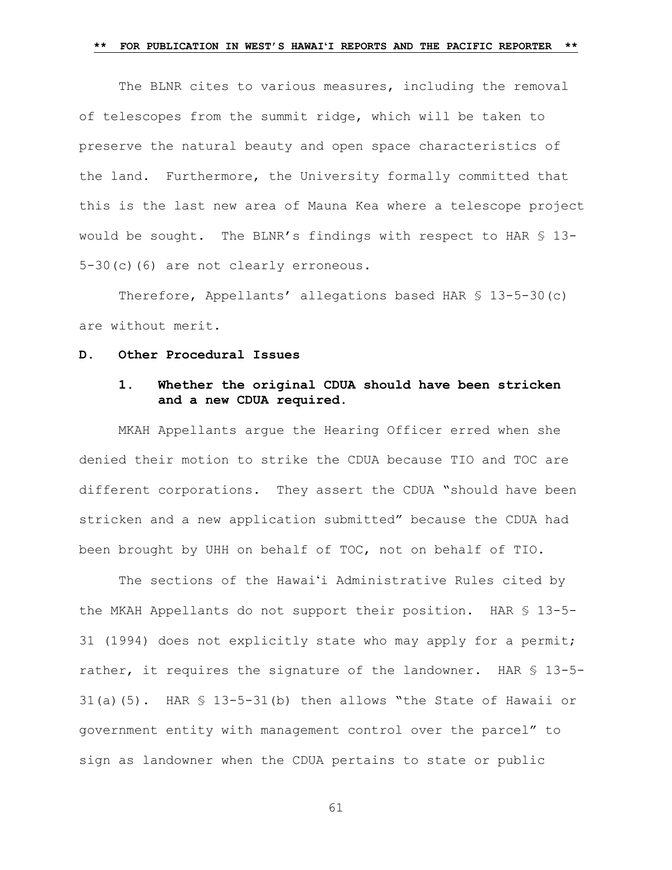The BLNR cites to various measures, including the removal of telescopes from the summit ridge, which will be taken to preserve the natural beauty and open space characteristics of the land. Furthermore, the University formally committed that this is the last new area of Mauna Kea where a telescope project would be sought. The BLNR's findings with respect to HAR § 13- 5-30(c)(6) are not clearly erroneous.

Therefore, Appellants' allegations based HAR § 13-5-30(c) are without merit.

#### **D. Other Procedural Issues**

## **1. Whether the original CDUA should have been stricken and a new CDUA required.**

MKAH Appellants argue the Hearing Officer erred when she denied their motion to strike the CDUA because TIO and TOC are different corporations. They assert the CDUA "should have been stricken and a new application submitted" because the CDUA had been brought by UHH on behalf of TOC, not on behalf of TIO.

The sections of the Hawaiʻi Administrative Rules cited by the MKAH Appellants do not support their position. HAR § 13-5- 31 (1994) does not explicitly state who may apply for a permit; rather, it requires the signature of the landowner. HAR § 13-5-31(a)(5). HAR § 13-5-31(b) then allows "the State of Hawaii or government entity with management control over the parcel" to sign as landowner when the CDUA pertains to state or public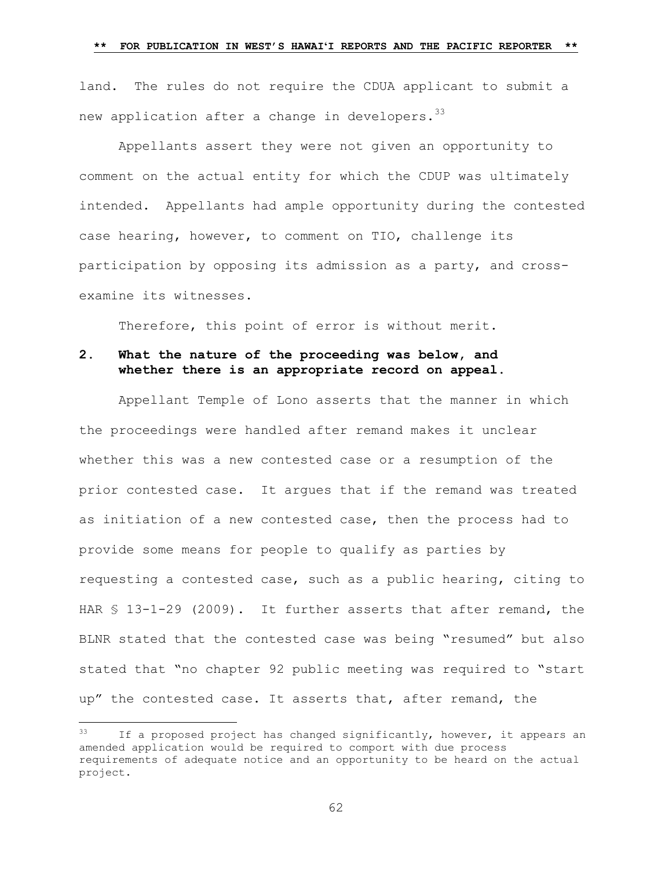land. The rules do not require the CDUA applicant to submit a new application after a change in developers. $^{33}$ 

Appellants assert they were not given an opportunity to comment on the actual entity for which the CDUP was ultimately intended. Appellants had ample opportunity during the contested case hearing, however, to comment on TIO, challenge its participation by opposing its admission as a party, and crossexamine its witnesses.

Therefore, this point of error is without merit.

## **2. What the nature of the proceeding was below, and whether there is an appropriate record on appeal.**

Appellant Temple of Lono asserts that the manner in which the proceedings were handled after remand makes it unclear whether this was a new contested case or a resumption of the prior contested case. It argues that if the remand was treated as initiation of a new contested case, then the process had to provide some means for people to qualify as parties by requesting a contested case, such as a public hearing, citing to HAR § 13-1-29 (2009). It further asserts that after remand, the BLNR stated that the contested case was being "resumed" but also stated that "no chapter 92 public meeting was required to "start up" the contested case. It asserts that, after remand, the

 $33$  If a proposed project has changed significantly, however, it appears an amended application would be required to comport with due process requirements of adequate notice and an opportunity to be heard on the actual project.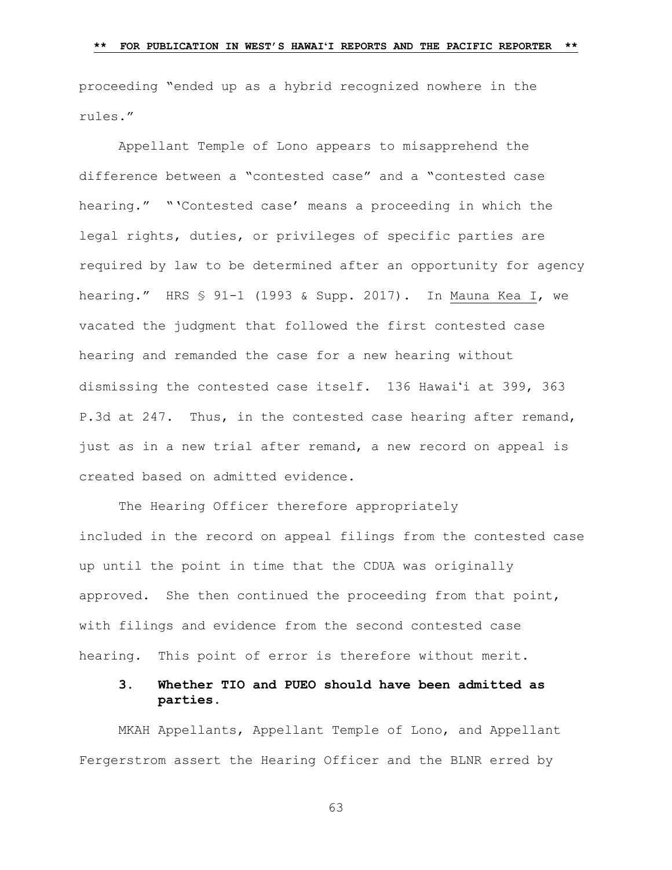proceeding "ended up as a hybrid recognized nowhere in the rules."

Appellant Temple of Lono appears to misapprehend the difference between a "contested case" and a "contested case hearing." "'Contested case' means a proceeding in which the legal rights, duties, or privileges of specific parties are required by law to be determined after an opportunity for agency hearing." HRS § 91-1 (1993 & Supp. 2017). In Mauna Kea I, we vacated the judgment that followed the first contested case hearing and remanded the case for a new hearing without dismissing the contested case itself. 136 Hawaiʻi at 399, 363 P.3d at 247. Thus, in the contested case hearing after remand, just as in a new trial after remand, a new record on appeal is created based on admitted evidence.

The Hearing Officer therefore appropriately included in the record on appeal filings from the contested case up until the point in time that the CDUA was originally approved. She then continued the proceeding from that point, with filings and evidence from the second contested case hearing. This point of error is therefore without merit.

## **3. Whether TIO and PUEO should have been admitted as parties.**

MKAH Appellants, Appellant Temple of Lono, and Appellant Fergerstrom assert the Hearing Officer and the BLNR erred by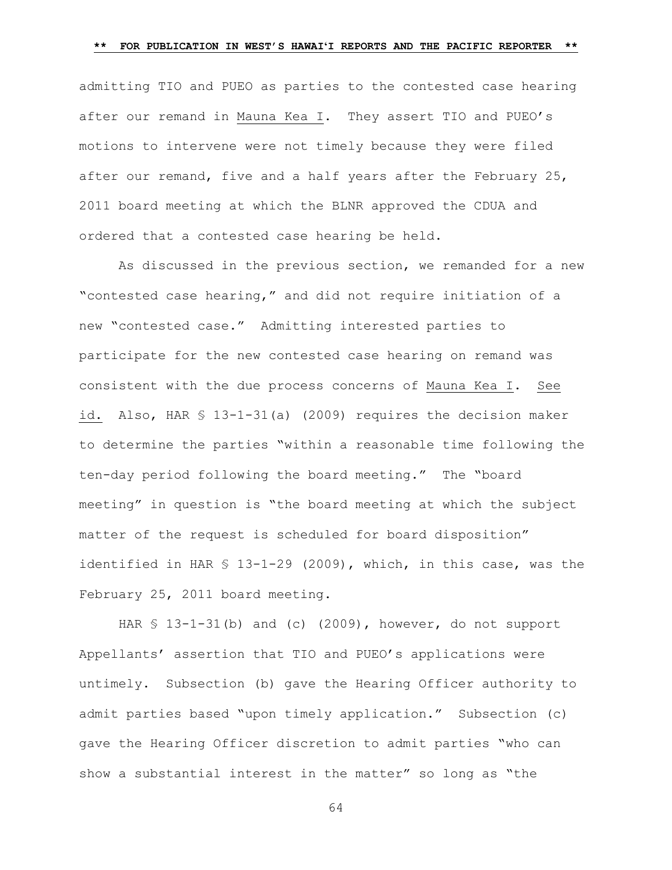admitting TIO and PUEO as parties to the contested case hearing after our remand in Mauna Kea I. They assert TIO and PUEO's motions to intervene were not timely because they were filed after our remand, five and a half years after the February 25, 2011 board meeting at which the BLNR approved the CDUA and ordered that a contested case hearing be held.

As discussed in the previous section, we remanded for a new "contested case hearing," and did not require initiation of a new "contested case." Admitting interested parties to participate for the new contested case hearing on remand was consistent with the due process concerns of Mauna Kea I. See id. Also, HAR § 13-1-31(a) (2009) requires the decision maker to determine the parties "within a reasonable time following the ten-day period following the board meeting." The "board meeting" in question is "the board meeting at which the subject matter of the request is scheduled for board disposition" identified in HAR § 13-1-29 (2009), which, in this case, was the February 25, 2011 board meeting.

HAR  $$ 13-1-31(b)$  and (c) (2009), however, do not support Appellants' assertion that TIO and PUEO's applications were untimely. Subsection (b) gave the Hearing Officer authority to admit parties based "upon timely application." Subsection (c) gave the Hearing Officer discretion to admit parties "who can show a substantial interest in the matter" so long as "the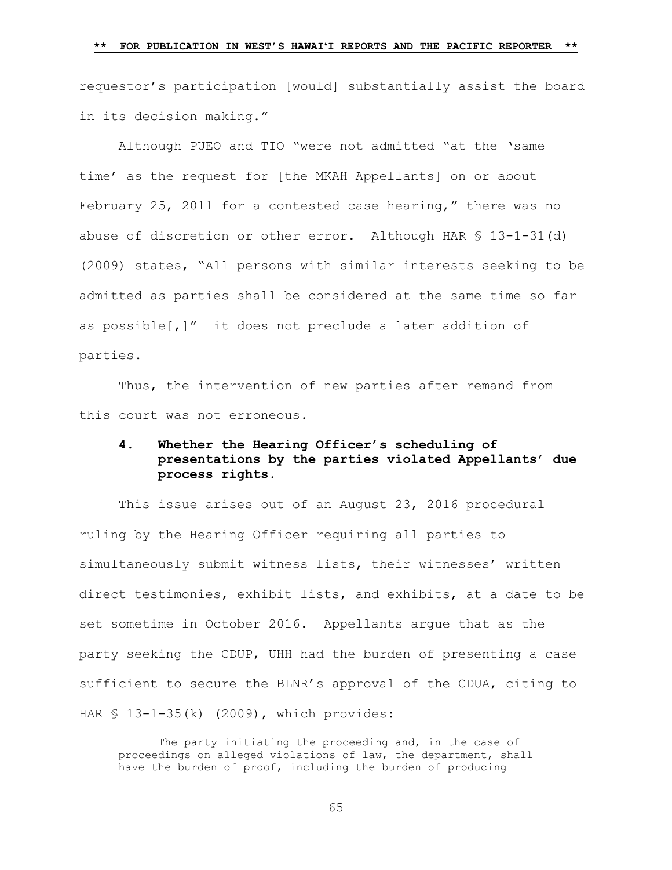requestor's participation [would] substantially assist the board in its decision making."

Although PUEO and TIO "were not admitted "at the 'same time' as the request for [the MKAH Appellants] on or about February 25, 2011 for a contested case hearing," there was no abuse of discretion or other error. Although HAR § 13-1-31(d) (2009) states, "All persons with similar interests seeking to be admitted as parties shall be considered at the same time so far as possible[,]" it does not preclude a later addition of parties.

Thus, the intervention of new parties after remand from this court was not erroneous.

# **4. Whether the Hearing Officer's scheduling of presentations by the parties violated Appellants' due process rights.**

This issue arises out of an August 23, 2016 procedural ruling by the Hearing Officer requiring all parties to simultaneously submit witness lists, their witnesses' written direct testimonies, exhibit lists, and exhibits, at a date to be set sometime in October 2016. Appellants argue that as the party seeking the CDUP, UHH had the burden of presenting a case sufficient to secure the BLNR's approval of the CDUA, citing to HAR § 13-1-35(k) (2009), which provides:

The party initiating the proceeding and, in the case of proceedings on alleged violations of law, the department, shall have the burden of proof, including the burden of producing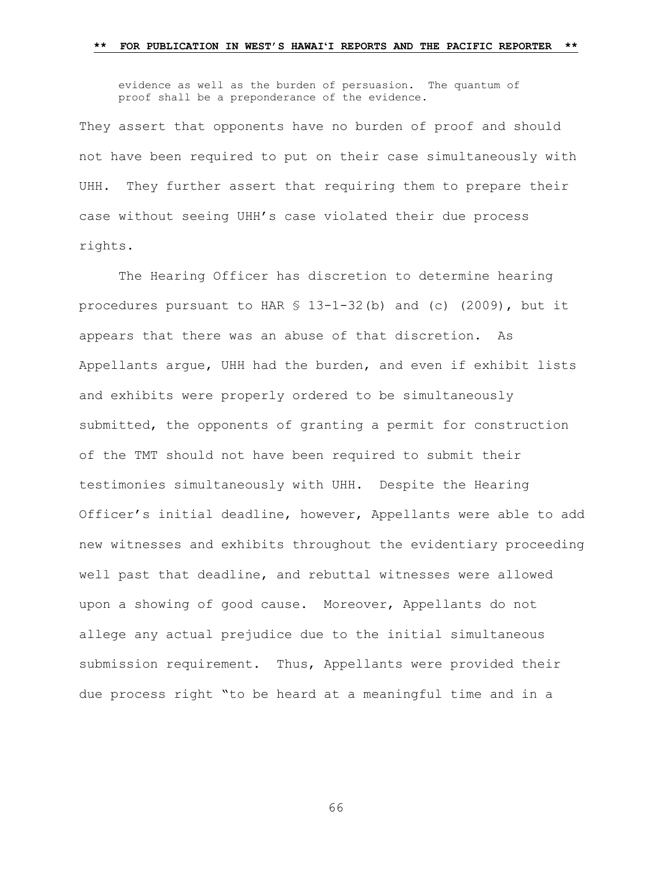evidence as well as the burden of persuasion. The quantum of proof shall be a preponderance of the evidence.

They assert that opponents have no burden of proof and should not have been required to put on their case simultaneously with UHH. They further assert that requiring them to prepare their case without seeing UHH's case violated their due process rights.

The Hearing Officer has discretion to determine hearing procedures pursuant to HAR  $$ 13-1-32(b)$  and (c) (2009), but it appears that there was an abuse of that discretion. As Appellants argue, UHH had the burden, and even if exhibit lists and exhibits were properly ordered to be simultaneously submitted, the opponents of granting a permit for construction of the TMT should not have been required to submit their testimonies simultaneously with UHH. Despite the Hearing Officer's initial deadline, however, Appellants were able to add new witnesses and exhibits throughout the evidentiary proceeding well past that deadline, and rebuttal witnesses were allowed upon a showing of good cause. Moreover, Appellants do not allege any actual prejudice due to the initial simultaneous submission requirement. Thus, Appellants were provided their due process right "to be heard at a meaningful time and in a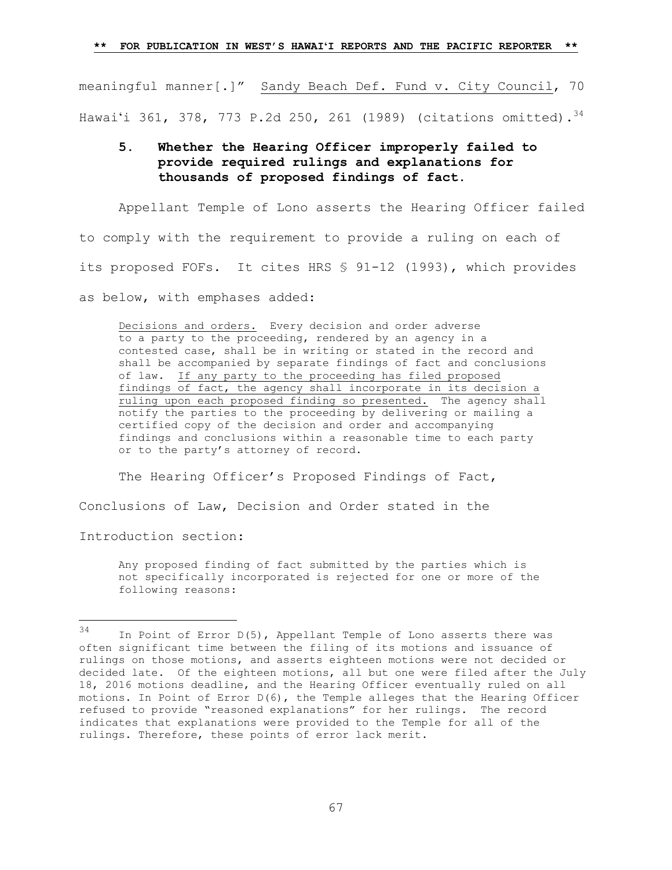meaningful manner[.]" Sandy Beach Def. Fund v. City Council, 70 Hawai'i 361, 378, 773 P.2d 250, 261 (1989) (citations omitted).  $^{34}$ 

## **5. Whether the Hearing Officer improperly failed to provide required rulings and explanations for thousands of proposed findings of fact.**

Appellant Temple of Lono asserts the Hearing Officer failed to comply with the requirement to provide a ruling on each of its proposed FOFs. It cites HRS § 91-12 (1993), which provides as below, with emphases added:

Decisions and orders. Every decision and order adverse to a party to the proceeding, rendered by an agency in a contested case, shall be in writing or stated in the record and shall be accompanied by separate findings of fact and conclusions of law. If any party to the proceeding has filed proposed findings of fact, the agency shall incorporate in its decision a ruling upon each proposed finding so presented. The agency shall notify the parties to the proceeding by delivering or mailing a certified copy of the decision and order and accompanying findings and conclusions within a reasonable time to each party or to the party's attorney of record.

The Hearing Officer's Proposed Findings of Fact,

Conclusions of Law, Decision and Order stated in the

Introduction section:

a<br>B

Any proposed finding of fact submitted by the parties which is not specifically incorporated is rejected for one or more of the following reasons:

 $34$  In Point of Error D(5), Appellant Temple of Lono asserts there was often significant time between the filing of its motions and issuance of rulings on those motions, and asserts eighteen motions were not decided or decided late. Of the eighteen motions, all but one were filed after the July 18, 2016 motions deadline, and the Hearing Officer eventually ruled on all motions. In Point of Error D(6), the Temple alleges that the Hearing Officer refused to provide "reasoned explanations" for her rulings. The record indicates that explanations were provided to the Temple for all of the rulings. Therefore, these points of error lack merit.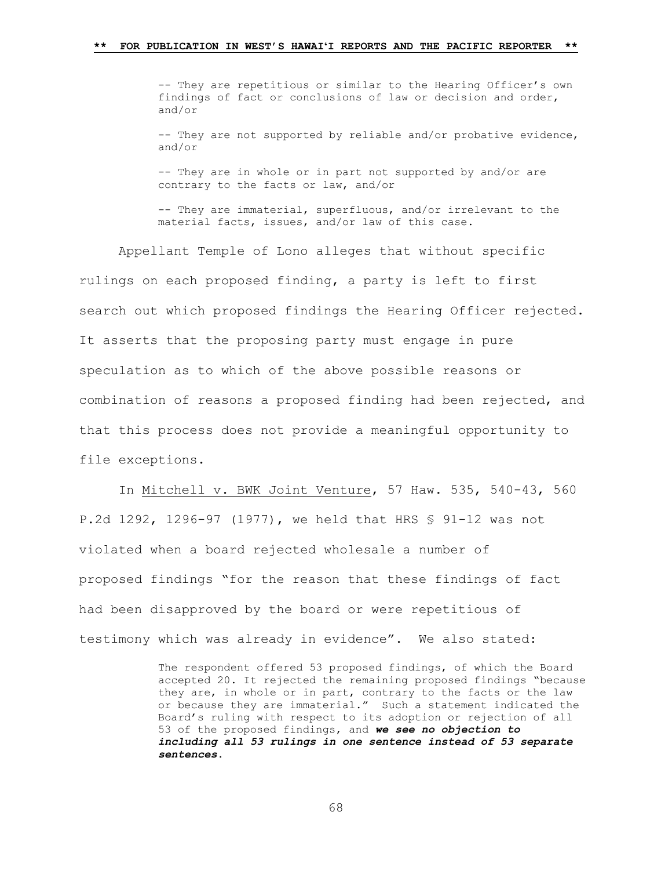-- They are repetitious or similar to the Hearing Officer's own findings of fact or conclusions of law or decision and order, and/or -- They are not supported by reliable and/or probative evidence, and/or

-- They are in whole or in part not supported by and/or are contrary to the facts or law, and/or

-- They are immaterial, superfluous, and/or irrelevant to the material facts, issues, and/or law of this case.

Appellant Temple of Lono alleges that without specific rulings on each proposed finding, a party is left to first search out which proposed findings the Hearing Officer rejected. It asserts that the proposing party must engage in pure speculation as to which of the above possible reasons or combination of reasons a proposed finding had been rejected, and that this process does not provide a meaningful opportunity to file exceptions.

In Mitchell v. BWK Joint Venture, 57 Haw. 535, 540-43, 560 P.2d 1292, 1296-97 (1977), we held that HRS § 91-12 was not violated when a board rejected wholesale a number of proposed findings "for the reason that these findings of fact had been disapproved by the board or were repetitious of testimony which was already in evidence". We also stated:

> The respondent offered 53 proposed findings, of which the Board accepted 20. It rejected the remaining proposed findings "because they are, in whole or in part, contrary to the facts or the law or because they are immaterial." Such a statement indicated the Board's ruling with respect to its adoption or rejection of all 53 of the proposed findings, and *we see no objection to including all 53 rulings in one sentence instead of 53 separate sentences*.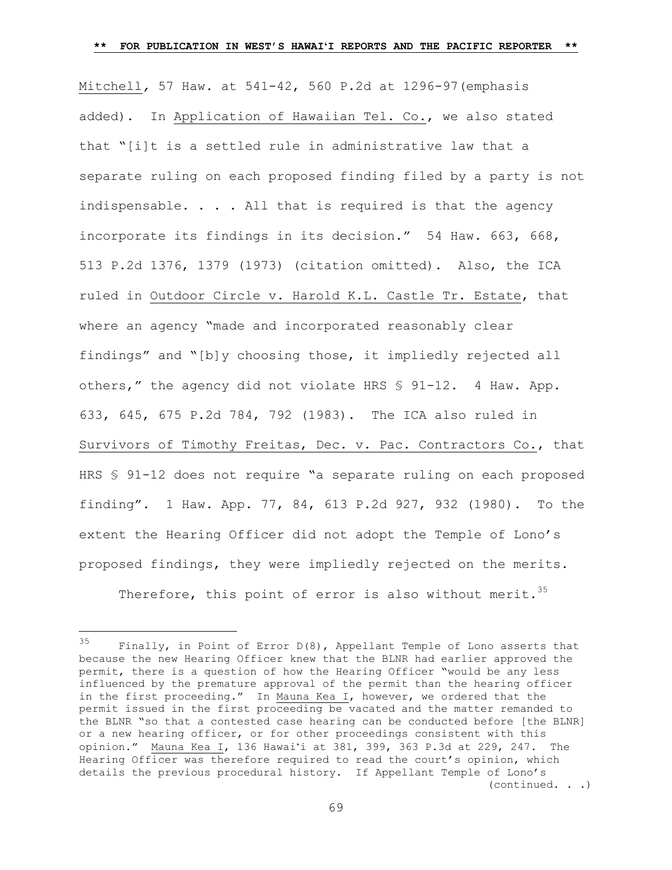Mitchell*,* 57 Haw. at 541-42, 560 P.2d at 1296-97(emphasis added). In Application of Hawaiian Tel. Co., we also stated that "[i]t is a settled rule in administrative law that a separate ruling on each proposed finding filed by a party is not indispensable.  $\ldots$  . All that is required is that the agency incorporate its findings in its decision." 54 Haw. 663, 668, 513 P.2d 1376, 1379 (1973) (citation omitted). Also, the ICA ruled in Outdoor Circle v. Harold K.L. Castle Tr. Estate, that where an agency "made and incorporated reasonably clear findings" and "[b]y choosing those, it impliedly rejected all others," the agency did not violate HRS § 91-12. 4 Haw. App. 633, 645, 675 P.2d 784, 792 (1983). The ICA also ruled in Survivors of Timothy Freitas, Dec. v. Pac. Contractors Co., that HRS § 91-12 does not require "a separate ruling on each proposed finding". 1 Haw. App. 77, 84, 613 P.2d 927, 932 (1980). To the extent the Hearing Officer did not adopt the Temple of Lono's proposed findings, they were impliedly rejected on the merits. Therefore, this point of error is also without merit.<sup>35</sup>

<sup>35</sup> Finally, in Point of Error  $D(8)$ , Appellant Temple of Lono asserts that because the new Hearing Officer knew that the BLNR had earlier approved the permit, there is a question of how the Hearing Officer "would be any less influenced by the premature approval of the permit than the hearing officer in the first proceeding." In Mauna Kea I, however, we ordered that the permit issued in the first proceeding be vacated and the matter remanded to the BLNR "so that a contested case hearing can be conducted before [the BLNR] or a new hearing officer, or for other proceedings consistent with this opinion." Mauna Kea I, 136 Hawaiʻi at 381, 399, 363 P.3d at 229, 247**.** The Hearing Officer was therefore required to read the court's opinion, which details the previous procedural history. If Appellant Temple of Lono's (continued. . .)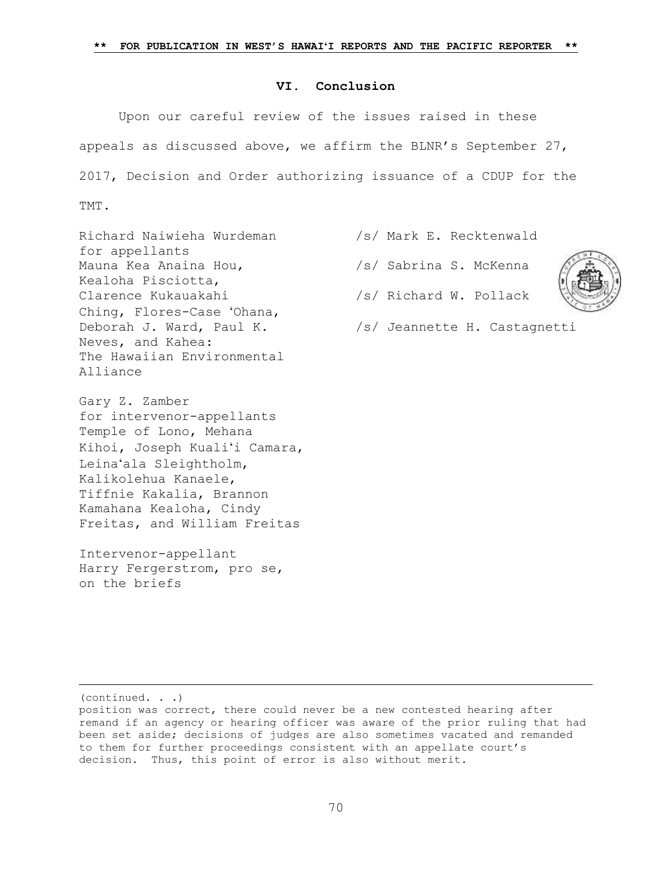## **VI. Conclusion**

Upon our careful review of the issues raised in these appeals as discussed above, we affirm the BLNR's September 27, 2017, Decision and Order authorizing issuance of a CDUP for the TMT.

Richard Naiwieha Wurdeman /s/ Mark E. Recktenwald for appellants Mauna Kea Anaina Hou,  $\frac{1}{s}$  /s/ Sabrina S. McKenna Kealoha Pisciotta, Clarence Kukauakahi /s/ Richard W. Pollack Ching, Flores-Case ʻOhana, Neves, and Kahea: The Hawaiian Environmental Alliance

Gary Z. Zamber for intervenor-appellants Temple of Lono, Mehana Kihoi, Joseph Kualiʻi Camara, Leinaʻala Sleightholm, Kalikolehua Kanaele, Tiffnie Kakalia, Brannon Kamahana Kealoha, Cindy Freitas, and William Freitas

Intervenor-appellant Harry Fergerstrom, pro se, on the briefs

- 
- 



- 
- Deborah J. Ward, Paul K. /s/ Jeannette H. Castagnetti

(continued. . .)

L,

position was correct, there could never be a new contested hearing after remand if an agency or hearing officer was aware of the prior ruling that had been set aside; decisions of judges are also sometimes vacated and remanded to them for further proceedings consistent with an appellate court's decision. Thus, this point of error is also without merit.